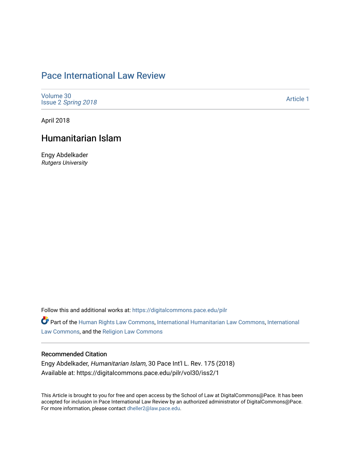# [Pace International Law Review](https://digitalcommons.pace.edu/pilr)

[Volume 30](https://digitalcommons.pace.edu/pilr/vol30) Issue 2 [Spring 2018](https://digitalcommons.pace.edu/pilr/vol30/iss2) 

[Article 1](https://digitalcommons.pace.edu/pilr/vol30/iss2/1) 

April 2018

# Humanitarian Islam

Engy Abdelkader Rutgers University

Follow this and additional works at: [https://digitalcommons.pace.edu/pilr](https://digitalcommons.pace.edu/pilr?utm_source=digitalcommons.pace.edu%2Fpilr%2Fvol30%2Fiss2%2F1&utm_medium=PDF&utm_campaign=PDFCoverPages) 

Part of the [Human Rights Law Commons,](http://network.bepress.com/hgg/discipline/847?utm_source=digitalcommons.pace.edu%2Fpilr%2Fvol30%2Fiss2%2F1&utm_medium=PDF&utm_campaign=PDFCoverPages) [International Humanitarian Law Commons](http://network.bepress.com/hgg/discipline/1330?utm_source=digitalcommons.pace.edu%2Fpilr%2Fvol30%2Fiss2%2F1&utm_medium=PDF&utm_campaign=PDFCoverPages), [International](http://network.bepress.com/hgg/discipline/609?utm_source=digitalcommons.pace.edu%2Fpilr%2Fvol30%2Fiss2%2F1&utm_medium=PDF&utm_campaign=PDFCoverPages) [Law Commons,](http://network.bepress.com/hgg/discipline/609?utm_source=digitalcommons.pace.edu%2Fpilr%2Fvol30%2Fiss2%2F1&utm_medium=PDF&utm_campaign=PDFCoverPages) and the [Religion Law Commons](http://network.bepress.com/hgg/discipline/872?utm_source=digitalcommons.pace.edu%2Fpilr%2Fvol30%2Fiss2%2F1&utm_medium=PDF&utm_campaign=PDFCoverPages) 

# Recommended Citation

Engy Abdelkader, Humanitarian Islam, 30 Pace Int'l L. Rev. 175 (2018) Available at: https://digitalcommons.pace.edu/pilr/vol30/iss2/1

This Article is brought to you for free and open access by the School of Law at DigitalCommons@Pace. It has been accepted for inclusion in Pace International Law Review by an authorized administrator of DigitalCommons@Pace. For more information, please contact [dheller2@law.pace.edu](mailto:dheller2@law.pace.edu).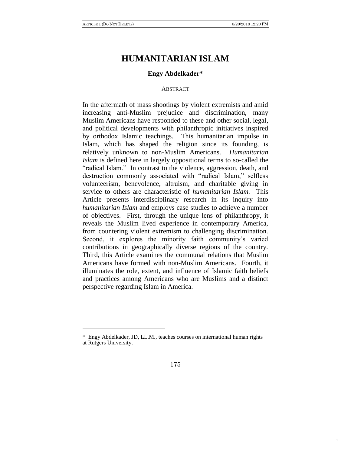1

# **HUMANITARIAN ISLAM**

# **Engy Abdelkader\***

# ABSTRACT

In the aftermath of mass shootings by violent extremists and amid increasing anti-Muslim prejudice and discrimination, many Muslim Americans have responded to these and other social, legal, and political developments with philanthropic initiatives inspired by orthodox Islamic teachings. This humanitarian impulse in Islam, which has shaped the religion since its founding, is relatively unknown to non-Muslim Americans. *Humanitarian Islam* is defined here in largely oppositional terms to so-called the "radical Islam." In contrast to the violence, aggression, death, and destruction commonly associated with "radical Islam," selfless volunteerism, benevolence, altruism, and charitable giving in service to others are characteristic of *humanitarian Islam.* This Article presents interdisciplinary research in its inquiry into *humanitarian Islam* and employs case studies to achieve a number of objectives. First, through the unique lens of philanthropy, it reveals the Muslim lived experience in contemporary America, from countering violent extremism to challenging discrimination. Second, it explores the minority faith community's varied contributions in geographically diverse regions of the country. Third, this Article examines the communal relations that Muslim Americans have formed with non-Muslim Americans. Fourth, it illuminates the role, extent, and influence of Islamic faith beliefs and practices among Americans who are Muslims and a distinct perspective regarding Islam in America.

## 175

<sup>\*</sup> Engy Abdelkader, JD, LL.M., teaches courses on international human rights at Rutgers University.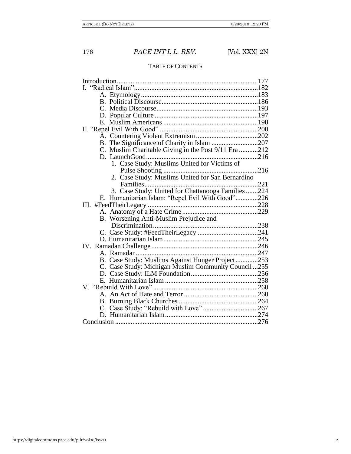# TABLE OF CONTENTS

| B. The Significance of Charity in Islam 207          |  |
|------------------------------------------------------|--|
| C. Muslim Charitable Giving in the Post 9/11 Era 212 |  |
|                                                      |  |
| 1. Case Study: Muslims United for Victims of         |  |
|                                                      |  |
| 2. Case Study: Muslims United for San Bernardino     |  |
|                                                      |  |
| 3. Case Study: United for Chattanooga Families 224   |  |
| E. Humanitarian Islam: "Repel Evil With Good"226     |  |
|                                                      |  |
|                                                      |  |
| B. Worsening Anti-Muslim Prejudice and               |  |
|                                                      |  |
|                                                      |  |
|                                                      |  |
|                                                      |  |
|                                                      |  |
| B. Case Study: Muslims Against Hunger Project253     |  |
| C. Case Study: Michigan Muslim Community Council 255 |  |
|                                                      |  |
|                                                      |  |
|                                                      |  |
|                                                      |  |
|                                                      |  |
|                                                      |  |
|                                                      |  |
|                                                      |  |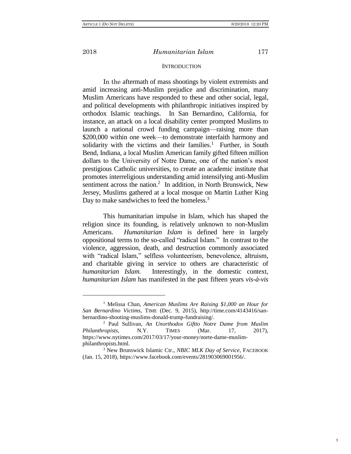# 2018 *Humanitarian Islam* 177

## **INTRODUCTION**

In the aftermath of mass shootings by violent extremists and amid increasing anti-Muslim prejudice and discrimination, many Muslim Americans have responded to these and other social, legal, and political developments with philanthropic initiatives inspired by orthodox Islamic teachings. In San Bernardino, California, for instance, an attack on a local disability center prompted Muslims to launch a national crowd funding campaign—raising more than \$200,000 within one week—to demonstrate interfaith harmony and solidarity with the victims and their families.<sup>1</sup> Further, in South Bend, Indiana, a local Muslim American family gifted fifteen million dollars to the University of Notre Dame, one of the nation's most prestigious Catholic universities, to create an academic institute that promotes interreligious understanding amid intensifying anti-Muslim sentiment across the nation. $2$  In addition, in North Brunswick, New Jersey, Muslims gathered at a local mosque on Martin Luther King Day to make sandwiches to feed the homeless.<sup>3</sup>

This humanitarian impulse in Islam, which has shaped the religion since its founding, is relatively unknown to non-Muslim Americans. *Humanitarian Islam* is defined here in largely oppositional terms to the so-called "radical Islam." In contrast to the violence, aggression, death, and destruction commonly associated with "radical Islam," selfless volunteerism, benevolence, altruism, and charitable giving in service to others are characteristic of *humanitarian Islam.* Interestingly, in the domestic context, *humanitarian Islam* has manifested in the past fifteen years *vis-à-vis*

<sup>1</sup> Melissa Chan, *American Muslims Are Raising \$1,000 an Hour for San Bernardino Victims*, TIME (Dec. 9, 2015), http://time.com/4143416/sanbernardino-shooting-muslims-donald-trump-fundraising/.

<sup>2</sup> Paul Sullivan, *An Unorthodox Giftto Notre Dame from Muslim Philanthropists*, N.Y. TIMES (Mar. 17, 2017), https://www.nytimes.com/2017/03/17/your-money/norte-dame-muslimphilanthropists.html.

<sup>3</sup> New Brunswick Islamic Ctr., *NBIC MLK Day of Service*, FACEBOOK (Jan. 15, 2018), https://www.facebook.com/events/281903069001956/.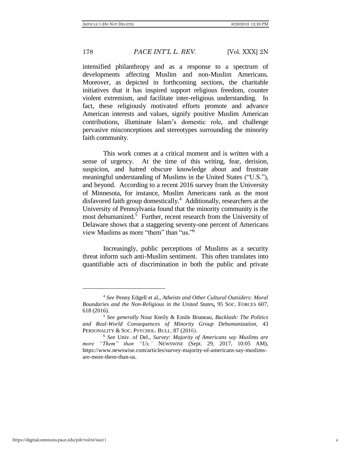# 178 *PACE INT'L L. REV.* [Vol. XXX] 2N

intensified philanthropy and as a response to a spectrum of developments affecting Muslim and non-Muslim Americans. Moreover, as depicted in forthcoming sections, the charitable initiatives that it has inspired support religious freedom, counter violent extremism, and facilitate inter-religious understanding. In fact, these religiously motivated efforts promote and advance American interests and values, signify positive Muslim American contributions, illuminate Islam's domestic role, and challenge pervasive misconceptions and stereotypes surrounding the minority faith community.

This work comes at a critical moment and is written with a sense of urgency. At the time of this writing, fear, derision, suspicion, and hatred obscure knowledge about and frustrate meaningful understanding of Muslims in the United States ("U.S."), and beyond. According to a recent 2016 survey from the University of Minnesota, for instance, Muslim Americans rank as the most disfavored faith group domestically.<sup>4</sup> Additionally, researchers at the University of Pennsylvania found that the minority community is the most dehumanized.<sup>5</sup> Further, recent research from the University of Delaware shows that a staggering seventy-one percent of Americans view Muslims as more "them" than "us." 6

Increasingly, public perceptions of Muslims as a security threat inform such anti-Muslim sentiment. This often translates into quantifiable acts of discrimination in both the public and private

<sup>4</sup> *See* Penny Edgell et al., *Atheists and Other Cultural Outsiders: Moral Boundaries and the Non-Religious in the United States,* 95 SOC. FORCES 607, 618 (2016).

<sup>5</sup> *See generally* Nour Kteily & Emile Bruneau, *Backlash: The Politics and Real-World Consequences of Minority Group Dehumanization,* 43 PERSONALITY & SOC. PSYCHOL. BULL. 87 (2016).

<sup>6</sup> *See* Univ. of Del., *Survey: Majority of Americans say Muslims are more "Them" than "Us,"* NEWSWISE (Sept. 29, 2017, 10:05 AM), https://www.newswise.com/articles/survey-majority-of-americans-say-muslimsare-more-them-than-us.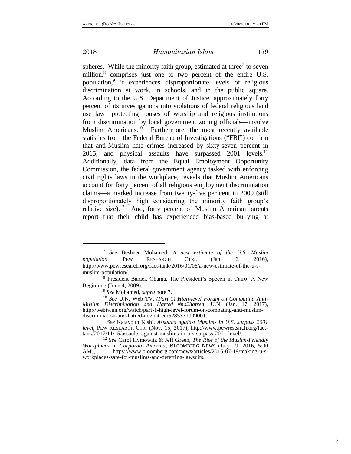# 2018 *Humanitarian Islam* 179

spheres. While the minority faith group, estimated at three<sup>7</sup> to seven million,<sup>8</sup> comprises just one to two percent of the entire U.S. population, 9 it experiences disproportionate levels of religious discrimination at work, in schools, and in the public square. According to the U.S. Department of Justice, approximately forty percent of its investigations into violations of federal religious land use law—protecting houses of worship and religious institutions from discrimination by local government zoning officials—involve Muslim Americans.<sup>10</sup> Furthermore, the most recently available statistics from the Federal Bureau of Investigations ("FBI") confirm that anti-Muslim hate crimes increased by sixty-seven percent in 2015, and physical assaults have surpassed  $2001$  levels.<sup>11</sup> Additionally, data from the Equal Employment Opportunity Commission, the federal government agency tasked with enforcing civil rights laws in the workplace, reveals that Muslim Americans account for forty percent of all religious employment discrimination claims—a marked increase from twenty-five per cent in 2009 (still disproportionately high considering the minority faith group's relative size).<sup>12</sup> And, forty percent of Muslim American parents report that their child has experienced bias-based bullying at

<sup>9</sup> *See* Mohamed, *supra* note 7.

<sup>10</sup> *See* U.N. Web TV, *(Part 1) High-level Forum on Combating Anti-Muslim Discrimination and Hatred #no2hatred*, U.N. (Jan. 17, 2017), http://webtv.un.org/watch/part-1-high-level-forum-on-combating-anti-muslimdiscrimination-and-hatred-no2hatred/5285331909001.

<sup>11</sup>*See* Katayoun Kishi, *Assaults against Muslims in U.S. surpass 2001 level*, PEW RESEARCH CTR. (Nov. 15, 2017), http://www.pewresearch.org/facttank/2017/11/15/assaults-against-muslims-in-u-s-surpass-2001-level/.

<sup>7</sup> *See* Besheer Mohamed, *A new estimate of the U.S. Muslim population*, PEW RESEARCH CTR., (Jan. 6, 2016), http://www.pewresearch.org/fact-tank/2016/01/06/a-new-estimate-of-the-u-smuslim-population/.

<sup>&</sup>lt;sup>8</sup> President Barack Obama, The President's Speech in Cairo: A New Beginning (June 4, 2009).

<sup>12</sup> *See* Carol Hymowitz & Jeff Green, *The Rise of the Muslim-Friendly Workplaces in Corporate America*, BLOOMBERG NEWS (July 19, 2016, 5:00 AM), https://www.bloomberg.com/news/articles/2016-07-19/making-u-sworkplaces-safe-for-muslims-and-deterring-lawsuits.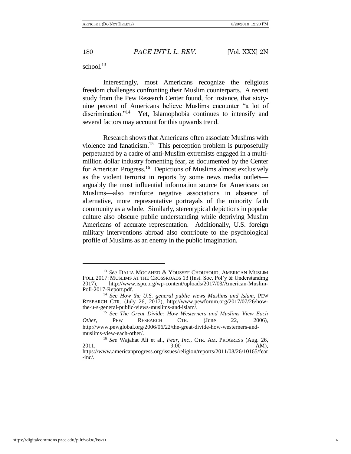# 180 *PACE INT'L L. REV.* [Vol. XXX] 2N

school. $13$ 

Interestingly, most Americans recognize the religious freedom challenges confronting their Muslim counterparts. A recent study from the Pew Research Center found, for instance, that sixtynine percent of Americans believe Muslims encounter "a lot of discrimination."<sup>14</sup> Yet, Islamophobia continues to intensify and several factors may account for this upwards trend.

Research shows that Americans often associate Muslims with violence and fanaticism.<sup>15</sup> This perception problem is purposefully perpetuated by a cadre of anti-Muslim extremists engaged in a multimillion dollar industry fomenting fear, as documented by the Center for American Progress.<sup>16</sup> Depictions of Muslims almost exclusively as the violent terrorist in reports by some news media outlets arguably the most influential information source for Americans on Muslims—also reinforce negative associations in absence of alternative, more representative portrayals of the minority faith community as a whole. Similarly, stereotypical depictions in popular culture also obscure public understanding while depriving Muslim Americans of accurate representation. Additionally, U.S. foreign military interventions abroad also contribute to the psychological profile of Muslims as an enemy in the public imagination.

<sup>13</sup> *See* DALIA MOGAHED & YOUSSEF CHOUHOUD, AMERICAN MUSLIM POLL 2017: MUSLIMS AT THE CROSSROADS 13 (Inst. Soc. Pol'y & Understanding 2017), http://www.ispu.org/wp-content/uploads/2017/03/American-Muslim-Poll-2017-Report.pdf.

<sup>14</sup> *See How the U.S. general public views Muslims and Islam*, PEW RESEARCH CTR. (July 26, 2017), http://www.pewforum.org/2017/07/26/howthe-u-s-general-public-views-muslims-and-islam/.

<sup>15</sup> *See The Great Divide: How Westerners and Muslims View Each Other*, PEW RESEARCH CTR. (June 22, 2006), http://www.pewglobal.org/2006/06/22/the-great-divide-how-westerners-andmuslims-view-each-other/.

<sup>16</sup> *See* Wajahat Ali et al., *Fear, Inc*., CTR. AM. PROGRESS (Aug. 26, 2011, 2011, 2011, 2011, 2011, 2011, 2011, 2011, 2011, 2011, 2011, 2012, 2011, 2012 https://www.americanprogress.org/issues/religion/reports/2011/08/26/10165/fear -inc/.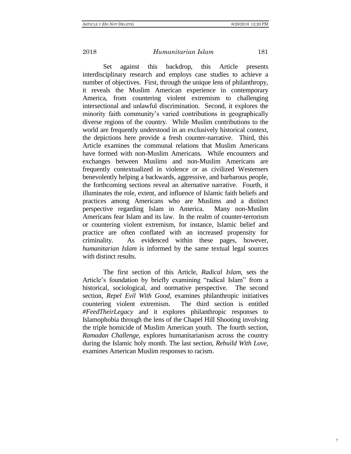# 2018 *Humanitarian Islam* 181

Set against this backdrop, this Article presents interdisciplinary research and employs case studies to achieve a number of objectives. First, through the unique lens of philanthropy, it reveals the Muslim American experience in contemporary America, from countering violent extremism to challenging intersectional and unlawful discrimination. Second, it explores the minority faith community's varied contributions in geographically diverse regions of the country. While Muslim contributions to the world are frequently understood in an exclusively historical context, the depictions here provide a fresh counter-narrative. Third, this Article examines the communal relations that Muslim Americans have formed with non-Muslim Americans. While encounters and exchanges between Muslims and non-Muslim Americans are frequently contextualized in violence or as civilized Westerners benevolently helping a backwards, aggressive, and barbarous people, the forthcoming sections reveal an alternative narrative. Fourth, it illuminates the role, extent, and influence of Islamic faith beliefs and practices among Americans who are Muslims and a distinct perspective regarding Islam in America. Many non-Muslim Americans fear Islam and its law. In the realm of counter-terrorism or countering violent extremism, for instance, Islamic belief and practice are often conflated with an increased propensity for criminality. As evidenced within these pages, however, *humanitarian Islam* is informed by the same textual legal sources with distinct results.

The first section of this Article, *Radical Islam,* sets the Article's foundation by briefly examining "radical Islam" from a historical, sociological, and normative perspective. The second section, *Repel Evil With Good*, examines philanthropic initiatives countering violent extremism. The third section is entitled *#FeedTheirLegacy* and it explores philanthropic responses to Islamophobia through the lens of the Chapel Hill Shooting involving the triple homicide of Muslim American youth. The fourth section, *Ramadan Challenge*, explores humanitarianism across the country during the Islamic holy month. The last section, *Rebuild With Love,* examines American Muslim responses to racism.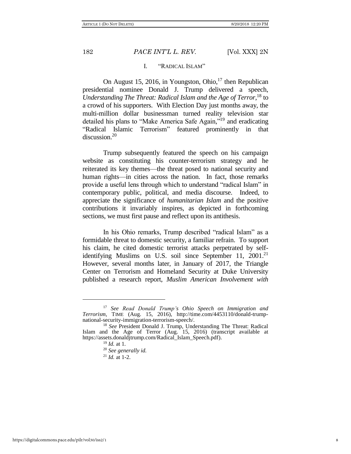# I. "RADICAL ISLAM"

On August 15, 2016, in Youngston, Ohio, $17$  then Republican presidential nominee Donald J. Trump delivered a speech, *Understanding The Threat: Radical Islam and the Age of Terror*, <sup>18</sup> to a crowd of his supporters. With Election Day just months away, the multi-million dollar businessman turned reality television star detailed his plans to "Make America Safe Again,"<sup>19</sup> and eradicating "Radical Islamic Terrorism" featured prominently in that discussion.<sup>20</sup>

Trump subsequently featured the speech on his campaign website as constituting his counter-terrorism strategy and he reiterated its key themes—the threat posed to national security and human rights—in cities across the nation. In fact, those remarks provide a useful lens through which to understand "radical Islam" in contemporary public, political, and media discourse. Indeed, to appreciate the significance of *humanitarian Islam* and the positive contributions it invariably inspires, as depicted in forthcoming sections, we must first pause and reflect upon its antithesis.

In his Ohio remarks, Trump described "radical Islam" as a formidable threat to domestic security, a familiar refrain. To support his claim, he cited domestic terrorist attacks perpetrated by selfidentifying Muslims on U.S. soil since September 11,  $2001<sup>21</sup>$ However, several months later, in January of 2017, the Triangle Center on Terrorism and Homeland Security at Duke University published a research report, *Muslim American Involvement with* 

<sup>17</sup> *See Read Donald Trump's Ohio Speech on Immigration and Terrorism*, TIME (Aug. 15, 2016), http://time.com/4453110/donald-trumpnational-security-immigration-terrorism-speech/.

<sup>18</sup> *See* President Donald J. Trump, Understanding The Threat: Radical Islam and the Age of Terror (Aug. 15, 2016) (transcript available at https://assets.donaldjtrump.com/Radical\_Islam\_Speech.pdf).

<sup>19</sup> *Id.* at 1.

<sup>20</sup> *See generally id.*

 $^{21}$  *Id.* at 1-2.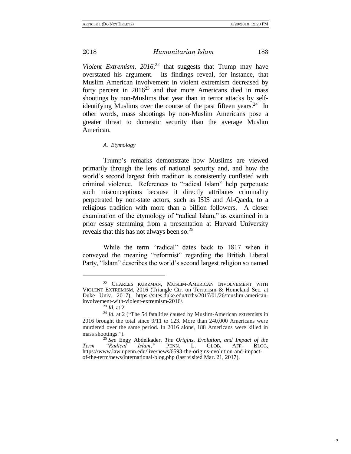2018 *Humanitarian Islam* 183

*Violent Extremism, 2016*, <sup>22</sup> that suggests that Trump may have overstated his argument. Its findings reveal, for instance, that Muslim American involvement in violent extremism decreased by forty percent in  $2016^{23}$  and that more Americans died in mass shootings by non-Muslims that year than in terror attacks by selfidentifying Muslims over the course of the past fifteen years. $24$  In other words, mass shootings by non-Muslim Americans pose a greater threat to domestic security than the average Muslim American.

*A. Etymology*

Trump's remarks demonstrate how Muslims are viewed primarily through the lens of national security and, and how the world's second largest faith tradition is consistently conflated with criminal violence. References to "radical Islam" help perpetuate such misconceptions because it directly attributes criminality perpetrated by non-state actors, such as ISIS and Al-Qaeda, to a religious tradition with more than a billion followers. A closer examination of the etymology of "radical Islam," as examined in a prior essay stemming from a presentation at Harvard University reveals that this has not always been so. $25$ 

While the term "radical" dates back to 1817 when it conveyed the meaning "reformist" regarding the British Liberal Party, "Islam" describes the world's second largest religion so named

<sup>22</sup> CHARLES KURZMAN, MUSLIM-AMERICAN INVOLVEMENT WITH VIOLENT EXTREMISM, 2016 (Triangle Ctr. on Terrorism & Homeland Sec. at Duke Univ. 2017), https://sites.duke.edu/tcths/2017/01/26/muslim-americaninvolvement-with-violent-extremism-2016/.

<sup>23</sup> *Id.* at 2.

<sup>&</sup>lt;sup>24</sup> *Id.* at 2 ("The 54 fatalities caused by Muslim-American extremists in 2016 brought the total since 9/11 to 123. More than 240,000 Americans were murdered over the same period. In 2016 alone, 188 Americans were killed in mass shootings.").

<sup>&</sup>lt;sup>25</sup> *See* Engy Abdelkader, *The Origins, Evolution, and Impact of the "Radical Islam,"* PENN. L. GLOB. AFF. BLOG, *Term "Radical Islam,"* PENN. L. GLOB. AFF. BLOG, https://www.law.upenn.edu/live/news/6593-the-origins-evolution-and-impactof-the-term/news/international-blog.php (last visited Mar. 21, 2017).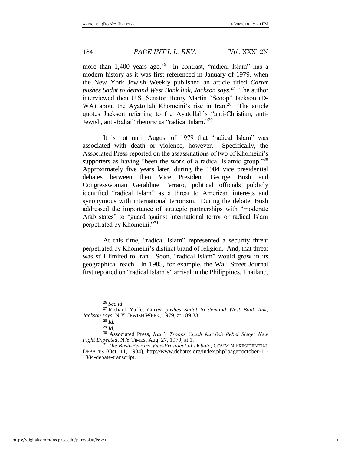more than 1,400 years ago.<sup>26</sup> In contrast, "radical Islam" has a modern history as it was first referenced in January of 1979, when the New York Jewish Weekly published an article titled *Carter pushes Sadat to demand West Bank link, Jackson says*. 27 The author interviewed then U.S. Senator Henry Martin "Scoop" Jackson (D-WA) about the Ayatollah Khomeini's rise in Iran.<sup>28</sup> The article quotes Jackson referring to the Ayatollah's "anti-Christian, anti-Jewish, anti-Bahai" rhetoric as "radical Islam."<sup>29</sup>

It is not until August of 1979 that "radical Islam" was associated with death or violence, however. Specifically, the Associated Press reported on the assassinations of two of Khomeini's supporters as having "been the work of a radical Islamic group."30 Approximately five years later, during the 1984 vice presidential debates between then Vice President George Bush and Congresswoman Geraldine Ferraro, political officials publicly identified "radical Islam" as a threat to American interests and synonymous with international terrorism. During the debate, Bush addressed the importance of strategic partnerships with "moderate Arab states" to "guard against international terror or radical Islam perpetrated by Khomeini."<sup>31</sup>

At this time, "radical Islam" represented a security threat perpetrated by Khomeini's distinct brand of religion. And, that threat was still limited to Iran. Soon, "radical Islam" would grow in its geographical reach. In 1985, for example, the Wall Street Journal first reported on "radical Islam's" arrival in the Philippines, Thailand,

<sup>26</sup> *See id*.

<sup>27</sup> Richard Yaffe, *Carter pushes Sadat to demand West Bank link, Jackson says,* N.Y. JEWISH WEEK, 1979, at 189.33.

 $^{28}$ *Id.* 

<sup>29</sup> *Id.*

<sup>30</sup> Associated Press, *Iran's Troops Crush Kurdish Rebel Siege; New Fight Expected*, N.Y TIMES, Aug. 27, 1979, at 1.

<sup>31</sup> *The Bush-Ferraro Vice-Presidential Debate*, COMM'N PRESIDENTIAL DEBATES (Oct. 11, 1984), http://www.debates.org/index.php?page=october-11- 1984-debate-transcript.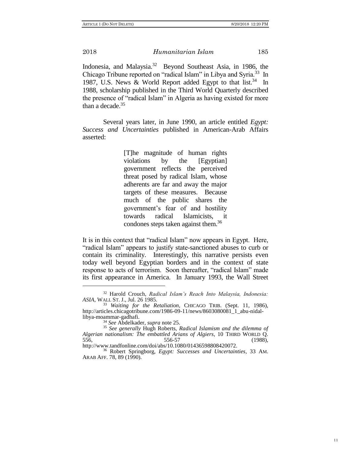2018 *Humanitarian Islam* 185

Indonesia, and Malaysia.<sup>32</sup> Beyond Southeast Asia, in 1986, the Chicago Tribune reported on "radical Islam" in Libya and Syria.<sup>33</sup> In 1987, U.S. News & World Report added Egypt to that list.<sup>34</sup> In 1988, scholarship published in the Third World Quarterly described the presence of "radical Islam" in Algeria as having existed for more than a decade. $35$ 

Several years later, in June 1990, an article entitled *Egypt: Success and Uncertainties* published in American-Arab Affairs asserted:

> [T]he magnitude of human rights violations by the [Egyptian] government reflects the perceived threat posed by radical Islam, whose adherents are far and away the major targets of these measures. Because much of the public shares the government's fear of and hostility towards radical Islamicists, it condones steps taken against them.<sup>36</sup>

It is in this context that "radical Islam" now appears in Egypt. Here, "radical Islam" appears to justify state-sanctioned abuses to curb or contain its criminality. Interestingly, this narrative persists even today well beyond Egyptian borders and in the context of state response to acts of terrorism. Soon thereafter, "radical Islam" made its first appearance in America. In January 1993, the Wall Street

<sup>32</sup> Harold Crouch, *Radical Islam's Reach Into Malaysia, Indonesia: ASIA*, WALL ST. J., Jul. 26 1985.

<sup>33</sup> *Waiting for the Retaliation*, CHICAGO TRIB. (Sept. 11, 1986), http://articles.chicagotribune.com/1986-09-11/news/8603080081\_1\_abu-nidallibya-moammar-gadhafi.

<sup>34</sup> *See* Abdelkader, *supra* note 25.

<sup>35</sup> *See generally* Hugh Roberts, *Radical Islamism and the dilemma of Algerian nationalism: The embattled Arians of Algiers*, 10 THIRD WORLD Q. 556, 556-57 (1988), http://www.tandfonline.com/doi/abs/10.1080/01436598808420072.

<sup>36</sup> Robert Springborg, *Egypt: Successes and Uncertainties*, 33 AM. ARAB AFF. 78, 89 (1990).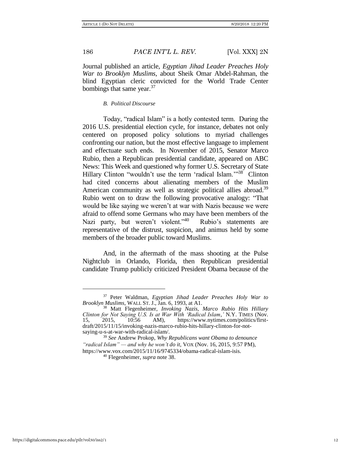# 186 *PACE INT'L L. REV.* [Vol. XXX] 2N

Journal published an article, *Egyptian Jihad Leader Preaches Holy War to Brooklyn Muslims,* about Sheik Omar Abdel-Rahman, the blind Egyptian cleric convicted for the World Trade Center bombings that same year.<sup>37</sup>

*B. Political Discourse*

Today, "radical Islam" is a hotly contested term. During the 2016 U.S. presidential election cycle, for instance, debates not only centered on proposed policy solutions to myriad challenges confronting our nation, but the most effective language to implement and effectuate such ends. In November of 2015, Senator Marco Rubio, then a Republican presidential candidate, appeared on ABC News: This Week and questioned why former U.S. Secretary of State Hillary Clinton "wouldn't use the term 'radical Islam."<sup>38</sup> Clinton had cited concerns about alienating members of the Muslim American community as well as strategic political allies abroad.<sup>39</sup> Rubio went on to draw the following provocative analogy: "That would be like saying we weren't at war with Nazis because we were afraid to offend some Germans who may have been members of the Nazi party, but weren't violent."<sup>40</sup> Rubio's statements are representative of the distrust, suspicion, and animus held by some members of the broader public toward Muslims.

And, in the aftermath of the mass shooting at the Pulse Nightclub in Orlando, Florida, then Republican presidential candidate Trump publicly criticized President Obama because of the

<sup>40</sup> Flegenheimer, *supra* note 38.

<sup>37</sup> Peter Waldman, *Egyptian Jihad Leader Preaches Holy War to Brooklyn Muslims*, WALL ST. J., Jan. 6, 1993, at A1.

<sup>38</sup> Matt Flegenheimer, *Invoking Nazis, Marco Rubio Hits Hillary Clinton for Not Saying U.S. Is at War With 'Radical Islam*,*'* N.Y. TIMES (Nov. 15, 2015, 10:56 AM), https://www.nytimes.com/politics/firstdraft/2015/11/15/invoking-nazis-marco-rubio-hits-hillary-clinton-for-notsaying-u-s-at-war-with-radical-islam/.

<sup>39</sup> *See* Andrew Prokop, *Why Republicans want Obama to denounce "radical Islam" — and why he won't do it*, VOX (Nov. 16, 2015, 9:57 PM), https://www.vox.com/2015/11/16/9745334/obama-radical-islam-isis.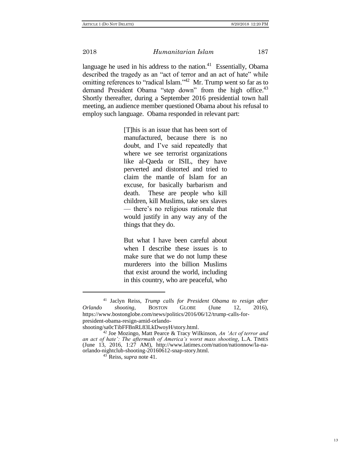2018 *Humanitarian Islam* 187

language he used in his address to the nation. $41$  Essentially, Obama described the tragedy as an "act of terror and an act of hate" while omitting references to "radical Islam."<sup>42</sup> Mr. Trump went so far as to demand President Obama "step down" from the high office.<sup>43</sup> Shortly thereafter, during a September 2016 presidential town hall meeting, an audience member questioned Obama about his refusal to employ such language. Obama responded in relevant part:

> [T]his is an issue that has been sort of manufactured, because there is no doubt, and I've said repeatedly that where we see terrorist organizations like al-Qaeda or ISIL, they have perverted and distorted and tried to claim the mantle of Islam for an excuse, for basically barbarism and death. These are people who kill children, kill Muslims, take sex slaves — there's no religious rationale that would justify in any way any of the things that they do.

> But what I have been careful about when I describe these issues is to make sure that we do not lump these murderers into the billion Muslims that exist around the world, including in this country, who are peaceful, who

<sup>41</sup> Jaclyn Reiss, *Trump calls for President Obama to resign after Orlando shooting*, BOSTON GLOBE (June 12, 2016), https://www.bostonglobe.com/news/politics/2016/06/12/trump-calls-forpresident-obama-resign-amid-orlando-

shooting/sa0cTibFFBnRL83LkDwoyH/story.html.

<sup>42</sup> Joe Mozingo, Matt Pearce & Tracy Wilkinson, *An 'Act of terror and an act of hate': The aftermath of America's worst mass shooting*, L.A. TIMES (June 13, 2016, 1:27 AM), http://www.latimes.com/nation/nationnow/la-naorlando-nightclub-shooting-20160612-snap-story.html.

<sup>43</sup> Reiss, *supra* note 41.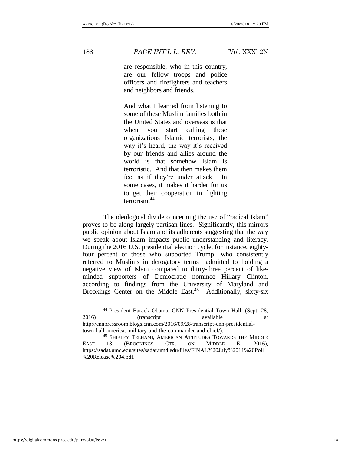are responsible, who in this country, are our fellow troops and police officers and firefighters and teachers and neighbors and friends.

And what I learned from listening to some of these Muslim families both in the United States and overseas is that when you start calling these organizations Islamic terrorists, the way it's heard, the way it's received by our friends and allies around the world is that somehow Islam is terroristic. And that then makes them feel as if they're under attack. some cases, it makes it harder for us to get their cooperation in fighting terrorism.<sup>44</sup>

The ideological divide concerning the use of "radical Islam" proves to be along largely partisan lines. Significantly, this mirrors public opinion about Islam and its adherents suggesting that the way we speak about Islam impacts public understanding and literacy. During the 2016 U.S. presidential election cycle, for instance, eightyfour percent of those who supported Trump—who consistently referred to Muslims in derogatory terms—admitted to holding a negative view of Islam compared to thirty-three percent of likeminded supporters of Democratic nominee Hillary Clinton, according to findings from the University of Maryland and Brookings Center on the Middle East.<sup>45</sup> Additionally, sixty-six

<sup>44</sup> President Barack Obama, CNN Presidential Town Hall, (Sept. 28, 2016) (transcript available at a http://cnnpressroom.blogs.cnn.com/2016/09/28/transcript-cnn-presidentialtown-hall-americas-military-and-the-commander-and-chief/).

<sup>45</sup> SHIBLEY TELHAMI, AMERICAN ATTITUDES TOWARDS THE MIDDLE EAST 13 (BROOKINGS CTR. ON MIDDLE E. 2016), https://sadat.umd.edu/sites/sadat.umd.edu/files/FINAL%20July%2011%20Poll %20Release%204.pdf.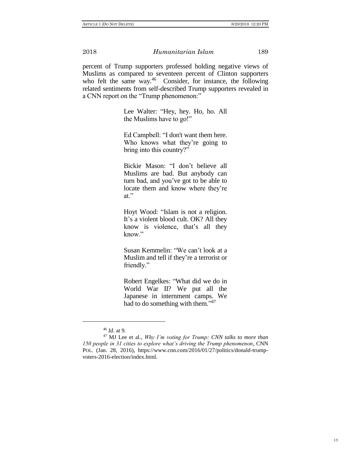2018 *Humanitarian Islam* 189

percent of Trump supporters professed holding negative views of Muslims as compared to seventeen percent of Clinton supporters who felt the same way.<sup>46</sup> Consider, for instance, the following related sentiments from self-described Trump supporters revealed in a CNN report on the "Trump phenomenon:"

> Lee Walter: "Hey, hey. Ho, ho. All the Muslims have to go!"

> Ed Campbell: "I don't want them here. Who knows what they're going to bring into this country?"

> Bickie Mason: "I don't believe all Muslims are bad. But anybody can turn bad, and you've got to be able to locate them and know where they're at."

> Hoyt Wood: "Islam is not a religion. It's a violent blood cult. OK? All they know is violence, that's all they know"

> Susan Kemmelin: "We can't look at a Muslim and tell if they're a terrorist or friendly."

> Robert Engelkes: "What did we do in World War II? We put all the Japanese in internment camps. We had to do something with them."<sup>47</sup>

<sup>46</sup> *Id.* at 9.

<sup>47</sup> MJ Lee et al., *Why I'm voting for Trump: CNN talks to more than 150 people in 31 cities to explore what's driving the Trump phenomenon*, CNN POL. (Jan. 28, 2016), https://www.cnn.com/2016/01/27/politics/donald-trumpvoters-2016-election/index.html.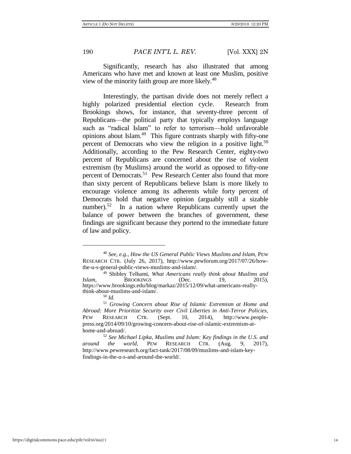Significantly, research has also illustrated that among Americans who have met and known at least one Muslim, positive view of the minority faith group are more likely.<sup>48</sup>

Interestingly, the partisan divide does not merely reflect a highly polarized presidential election cycle. Research from Brookings shows, for instance, that seventy-three percent of Republicans—the political party that typically employs language such as "radical Islam" to refer to terrorism—hold unfavorable opinions about Islam.<sup>49</sup> This figure contrasts sharply with fifty-one percent of Democrats who view the religion in a positive light.<sup>50</sup> Additionally, according to the Pew Research Center, eighty-two percent of Republicans are concerned about the rise of violent extremism (by Muslims) around the world as opposed to fifty-one percent of Democrats.<sup>51</sup> Pew Research Center also found that more than sixty percent of Republicans believe Islam is more likely to encourage violence among its adherents while forty percent of Democrats hold that negative opinion (arguably still a sizable number).<sup>52</sup> In a nation where Republicans currently upset the balance of power between the branches of government, these findings are significant because they portend to the immediate future of law and policy.

<sup>48</sup> *See, e.g.*, *How the US General Public Views Muslims and Islam*, PEW RESEARCH CTR. (July 26, 2017), http://www.pewforum.org/2017/07/26/howthe-u-s-general-public-views-muslims-and-islam/.

<sup>49</sup> Shibley Telhami, *What Americans really think about Muslims and Islam*, **BROOKINGS** (Dec. 19, 2015), https://www.brookings.edu/blog/markaz/2015/12/09/what-americans-reallythink-about-muslims-and-islam/.

<sup>50</sup> *Id.*

<sup>51</sup> *Growing Concern about Rise of Islamic Extremism at Home and Abroad: More Prioritize Security over Civil Liberties in Anti-Terror Policies*, PEW RESEARCH CTR. (Sept. 10, 2014), http://www.peoplepress.org/2014/09/10/growing-concern-about-rise-of-islamic-extremism-athome-and-abroad/.

<sup>52</sup> *See Michael Lipka, Muslims and Islam: Key findings in the U.S. and around the world,* PEW RESEARCH CTR. (Aug. 9, 2017), http://www.pewresearch.org/fact-tank/2017/08/09/muslims-and-islam-keyfindings-in-the-u-s-and-around-the-world/.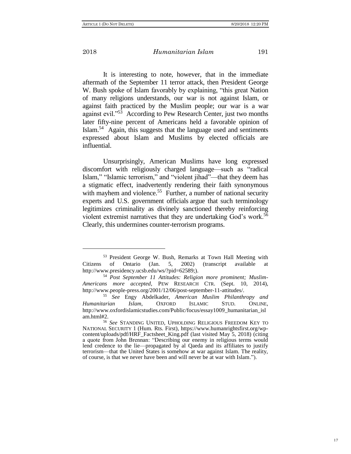2018 *Humanitarian Islam* 191

It is interesting to note, however, that in the immediate aftermath of the September 11 terror attack, then President George W. Bush spoke of Islam favorably by explaining, "this great Nation of many religions understands, our war is not against Islam, or against faith practiced by the Muslim people; our war is a war against evil."<sup>53</sup> According to Pew Research Center, just two months later fifty-nine percent of Americans held a favorable opinion of Islam.<sup>54</sup> Again, this suggests that the language used and sentiments expressed about Islam and Muslims by elected officials are influential.

Unsurprisingly, American Muslims have long expressed discomfort with religiously charged language—such as "radical Islam," "Islamic terrorism," and "violent jihad"—that they deem has a stigmatic effect, inadvertently rendering their faith synonymous with mayhem and violence.<sup>55</sup> Further, a number of national security experts and U.S. government officials argue that such terminology legitimizes criminality as divinely sanctioned thereby reinforcing violent extremist narratives that they are undertaking God's work.<sup>56</sup> Clearly, this undermines counter-terrorism programs.

<sup>53</sup> President George W. Bush, Remarks at Town Hall Meeting with Citizens of Ontario (Jan. 5, 2002) (transcript available at http://www.presidency.ucsb.edu/ws/?pid=62589;).

<sup>54</sup> *Post September 11 Attitudes: Religion more prominent; Muslim-Americans more accepted*, PEW RESEARCH CTR. (Sept. 10, 2014), http://www.people-press.org/2001/12/06/post-september-11-attitudes/.

<sup>55</sup> *See* Engy Abdelkader, *American Muslim Philanthropy and Humanitarian Islam*, OXFORD ISLAMIC STUD. ONLINE, http://www.oxfordislamicstudies.com/Public/focus/essay1009\_humanitarian\_isl am.html#2.

<sup>56</sup> *See* STANDING UNITED, UPHOLDING RELIGIOUS FREEDOM KEY TO NATIONAL SECURITY 1 (Hum. Rts. First), https://www.humanrightsfirst.org/wpcontent/uploads/pdf/HRF\_Factsheet\_King.pdf (last visited May 5, 2018) (citing a quote from John Brennan: "Describing our enemy in religious terms would lend credence to the lie—propagated by al Qaeda and its affiliates to justify terrorism—that the United States is somehow at war against Islam. The reality, of course, is that we never have been and will never be at war with Islam.").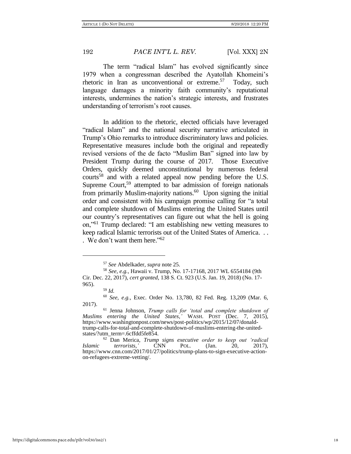The term "radical Islam" has evolved significantly since 1979 when a congressman described the Ayatollah Khomeini's rhetoric in Iran as unconventional or extreme.<sup>57</sup> Today, such language damages a minority faith community's reputational interests, undermines the nation's strategic interests, and frustrates understanding of terrorism's root causes.

In addition to the rhetoric, elected officials have leveraged "radical Islam" and the national security narrative articulated in Trump's Ohio remarks to introduce discriminatory laws and policies. Representative measures include both the original and repeatedly revised versions of the de facto "Muslim Ban" signed into law by President Trump during the course of 2017. Those Executive Orders, quickly deemed unconstitutional by numerous federal courts<sup>58</sup> and with a related appeal now pending before the U.S. Supreme Court,<sup>59</sup> attempted to bar admission of foreign nationals from primarily Muslim-majority nations.<sup>60</sup> Upon signing the initial order and consistent with his campaign promise calling for "a total and complete shutdown of Muslims entering the United States until our country's representatives can figure out what the hell is going on,"<sup>61</sup> Trump declared: "I am establishing new vetting measures to keep radical Islamic terrorists out of the United States of America. . . . We don't want them here." 62

<sup>57</sup> *See* Abdelkader, *supra* note 25.

<sup>58</sup> *See, e.g.,* Hawaii v. Trump, No. 17-17168, 2017 WL 6554184 (9th Cir. Dec. 22, 2017), *cert granted*, 138 S. Ct. 923 (U.S. Jan. 19, 2018) (No. 17- 965).

<sup>59</sup> *Id.*

<sup>60</sup> *See, e.g.,* Exec. Order No. 13,780, 82 Fed. Reg. 13,209 (Mar. 6, 2017).

<sup>61</sup> Jenna Johnson, *Trump calls for 'total and complete shutdown of Muslims entering the United States,'* WASH. POST (Dec. 7, 2015), https://www.washingtonpost.com/news/post-politics/wp/2015/12/07/donaldtrump-calls-for-total-and-complete-shutdown-of-muslims-entering-the-unitedstates/?utm\_term=.6cffdd5fe854.

<sup>62</sup> Dan Merica, *Trump signs executive order to keep out 'radical Islamic terrorists,'* CNN POL. (Jan. 20, 2017), https://www.cnn.com/2017/01/27/politics/trump-plans-to-sign-executive-actionon-refugees-extreme-vetting/.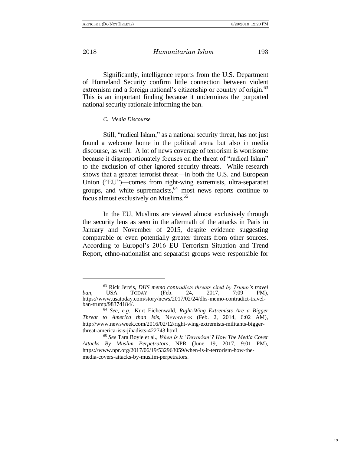2018 *Humanitarian Islam* 193

Significantly, intelligence reports from the U.S. Department of Homeland Security confirm little connection between violent extremism and a foreign national's citizenship or country of origin.<sup>63</sup> This is an important finding because it undermines the purported national security rationale informing the ban.

#### *C. Media Discourse*

Still, "radical Islam," as a national security threat, has not just found a welcome home in the political arena but also in media discourse, as well. A lot of news coverage of terrorism is worrisome because it disproportionately focuses on the threat of "radical Islam" to the exclusion of other ignored security threats. While research shows that a greater terrorist threat—in both the U.S. and European Union ("EU")—comes from right-wing extremists, ultra-separatist groups, and white supremacists,<sup>64</sup> most news reports continue to focus almost exclusively on Muslims.<sup>65</sup>

In the EU, Muslims are viewed almost exclusively through the security lens as seen in the aftermath of the attacks in Paris in January and November of 2015, despite evidence suggesting comparable or even potentially greater threats from other sources. According to Europol's 2016 EU Terrorism Situation and Trend Report, ethno-nationalist and separatist groups were responsible for

<sup>63</sup> Rick Jervis, *DHS memo contradicts threats cited by Trump's travel ban*, USA TODAY (Feb. 24, 2017, 7:09 PM), [https://www.usatoday.com/story/news/2017/02/24/dhs-memo-contradict-travel](https://www.usatoday.com/story/news/2017/02/24/dhs-memo-contradict-travel-ban-trump/98374184/)[ban-trump/98374184/.](https://www.usatoday.com/story/news/2017/02/24/dhs-memo-contradict-travel-ban-trump/98374184/)

<sup>64</sup> *See, e.g.,* Kurt Eichenwald, *Right-Wing Extremists Are a Bigger Threat to America than Isis*, NEWSWEEK (Feb. 2, 2014, 6:02 AM), http://www.newsweek.com/2016/02/12/right-wing-extremists-militants-biggerthreat-america-isis-jihadists-422743.html.

<sup>65</sup> *See* Tara Boyle et al., *When Is It 'Terrorism'? How The Media Cover Attacks By Muslim Perpetrators*, NPR (June 19, 2017, 9:01 PM), https://www.npr.org/2017/06/19/532963059/when-is-it-terrorism-how-themedia-covers-attacks-by-muslim-perpetrators.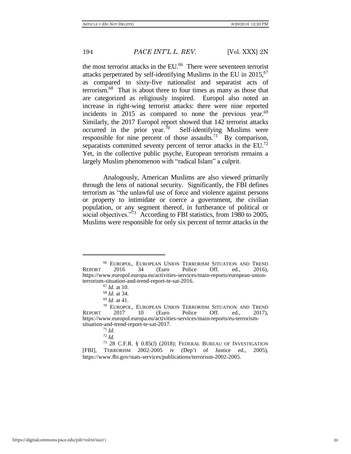the most terrorist attacks in the EU.<sup>66</sup> There were seventeen terrorist attacks perpetrated by self-identifying Muslims in the EU in  $2015$ ,  $67$ as compared to sixty-five nationalist and separatist acts of terrorism.<sup>68</sup> That is about three to four times as many as those that are categorized as religiously inspired. Europol also noted an increase in right-wing terrorist attacks: there were nine reported incidents in 2015 as compared to none the previous year.<sup>69</sup> Similarly, the 2017 Europol report showed that 142 terrorist attacks occurred in the prior year.<sup>70</sup> Self-identifying Muslims were responsible for nine percent of those assaults.<sup>71</sup> By comparison, separatists committed seventy percent of terror attacks in the  $EU$ .<sup>72</sup> Yet, in the collective public psyche, European terrorism remains a largely Muslim phenomenon with "radical Islam" a culprit.

Analogously, American Muslims are also viewed primarily through the lens of national security. Significantly, the FBI defines terrorism as "the unlawful use of force and violence against persons or property to intimidate or coerce a government, the civilian population, or any segment thereof, in furtherance of political or social objectives."<sup>73</sup> According to FBI statistics, from 1980 to 2005, Muslims were responsible for only six percent of terror attacks in the

<sup>&</sup>lt;sup>66</sup> EUROPOL, EUROPEAN UNION TERRORISM SITUATION AND TREND<br>2016 24 (Euro Police Off. ed., 2016). REPORT 2016 34 (Euro Police Off. ed., 2016), https://www.europol.europa.eu/activities-services/main-reports/european-unionterrorism-situation-and-trend-report-te-sat-2016.

<sup>67</sup> *Id.* at 10.

<sup>68</sup> *Id.* at 34.

<sup>69</sup> *Id.* at 41.

<sup>&</sup>lt;sup>70</sup> EUROPOL, EUROPEAN UNION TERRORISM SITUATION AND TREND 2017  $10$  (Euro Police Off. ed., 2017), REPORT 2017 10 (Euro Police Off. ed., 2017), [https://www.europol.europa.eu/activities-services/main-reports/eu-terrorism](https://www.europol.europa.eu/activities-services/main-reports/eu-terrorism-situation-and-trend-report-te-sat-2017)[situation-and-trend-report-te-sat-2017.](https://www.europol.europa.eu/activities-services/main-reports/eu-terrorism-situation-and-trend-report-te-sat-2017)

 $71$  *Id.* 

<sup>72</sup> *Id.*

<sup>73</sup> 28 C.F.R. § 0.85(*l*) (2018); FEDERAL BUREAU OF INVESTIGATION [FBI], TERRORISM 2002-2005 iv (Dep't of Justice ed., 2005), https://www.fbi.gov/stats-services/publications/terrorism-2002-2005.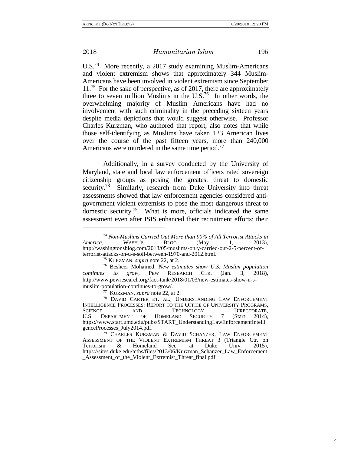# 2018 *Humanitarian Islam* 195

U.S.<sup>74</sup> More recently, a 2017 study examining Muslim-Americans and violent extremism shows that approximately 344 Muslim-Americans have been involved in violent extremism since September 11.<sup>75</sup> For the sake of perspective, as of 2017, there are approximately three to seven million Muslims in the U.S.<sup>76</sup> In other words, the overwhelming majority of Muslim Americans have had no involvement with such criminality in the preceding sixteen years despite media depictions that would suggest otherwise. Professor Charles Kurzman, who authored that report, also notes that while those self-identifying as Muslims have taken 123 American lives over the course of the past fifteen years, more than 240,000 Americans were murdered in the same time period.<sup>77</sup>

Additionally, in a survey conducted by the University of Maryland, state and local law enforcement officers rated sovereign citizenship groups as posing the greatest threat to domestic security.<sup>78</sup> Similarly, research from Duke University into threat assessments showed that law enforcement agencies considered antigovernment violent extremists to pose the most dangerous threat to domestic security.<sup>79</sup> What is more, officials indicated the same assessment even after ISIS enhanced their recruitment efforts: their

<sup>&</sup>lt;sup>74</sup> *Non-Muslims Carried Out More than 90% of All Terrorist Attacks in America*, WASH.'S BLOG (May 1, 2013), *America*, WASH.'S BLOG (May 1, 2013), http://washingtonsblog.com/2013/05/muslims-only-carried-out-2-5-percent-ofterrorist-attacks-on-u-s-soil-between-1970-and-2012.html.

<sup>75</sup> KURZMAN, *supra* note 22, at 2.

<sup>76</sup> Besheer Mohamed, *New estimates show U.S. Muslim population continues to grow,* PEW RESEARCH CTR. (Jan. 3, 2018), http://www.pewresearch.org/fact-tank/2018/01/03/new-estimates-show-u-smuslim-population-continues-to-grow/.

<sup>77</sup> KURZMAN, *supra* note 22, at 2.

<sup>78</sup> DAVID CARTER ET. AL., UNDERSTANDING LAW ENFORCEMENT INTELLIGENCE PROCESSES: REPORT TO THE OFFICE OF UNIVERSITY PROGRAMS, SCIENCE AND TECHNOLOGY DIRECTORATE,<br>U.S. DEPARTMENT OF HOMELAND SECURITY 7 (Start 2014). U.S. DEPARTMENT OF HOMELAND SECURITY 7 (Start 2014), https://www.start.umd.edu/pubs/START\_UnderstandingLawEnforcementIntelli genceProcesses\_July2014.pdf.

<sup>79</sup> CHARLES KURZMAN & DAVID SCHANZER, LAW ENFORCEMENT ASSESSMENT OF THE VIOLENT EXTREMISM THREAT 3 (Triangle Ctr. on Terrorism & Homeland Sec. at Duke Univ. 2015). & Homeland Sec. at Duke Univ.  $2015$ ), https://sites.duke.edu/tcths/files/2013/06/Kurzman\_Schanzer\_Law\_Enforcement \_Assessment\_of\_the\_Violent\_Extremist\_Threat\_final.pdf.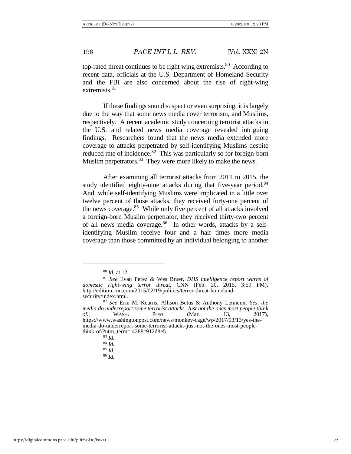top-rated threat continues to be right wing extremists. $80$  According to recent data, officials at the U.S. Department of Homeland Security and the FBI are also concerned about the rise of right-wing extremists. $81$ 

If these findings sound suspect or even surprising, it is largely due to the way that some news media cover terrorism, and Muslims, respectively. A recent academic study concerning terrorist attacks in the U.S. and related news media coverage revealed intriguing findings. Researchers found that the news media extended more coverage to attacks perpetrated by self-identifying Muslims despite reduced rate of incidence. $82$  This was particularly so for foreign-born Muslim perpetrators.<sup>83</sup> They were more likely to make the news.

After examining all terrorist attacks from 2011 to 2015, the study identified eighty-nine attacks during that five-year period.<sup>84</sup> And, while self-identifying Muslims were implicated in a little over twelve percent of those attacks, they received forty-one percent of the news coverage.<sup>85</sup> While only five percent of all attacks involved a foreign-born Muslim perpetrator, they received thirty-two percent of all news media coverage.<sup>86</sup> In other words, attacks by a selfidentifying Muslim receive four and a half times more media coverage than those committed by an individual belonging to another

<sup>80</sup> *Id.* at 12.

<sup>81</sup> *See* Evan Perez & Wes Bruer, *DHS intelligence report warns of domestic right-wing terror threat*, CNN (Feb. 20, 2015, 3:59 PM), http://edition.cnn.com/2015/02/19/politics/terror-threat-homelandsecurity/index.html.

<sup>82</sup> *See* Erin M. Kearns, Allison Betus & Anthony Lemieux, *Yes, the media do underreport some terrorist attacks. Just not the ones most people think of.*, WASH. POST (Mar. 13, 2017), https://www.washingtonpost.com/news/monkey-cage/wp/2017/03/13/yes-themedia-do-underreport-some-terrorist-attacks-just-not-the-ones-most-peoplethink-of/?utm\_term=.4288c912d8e5.

<sup>83</sup> *Id.*

<sup>84</sup> *Id.*

<sup>85</sup> *Id.*

<sup>86</sup> *Id.*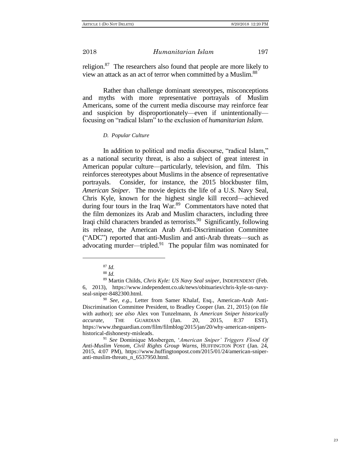2018 *Humanitarian Islam* 197

religion. $87$  The researchers also found that people are more likely to view an attack as an act of terror when committed by a Muslim.<sup>88</sup>

Rather than challenge dominant stereotypes, misconceptions and myths with more representative portrayals of Muslim Americans, some of the current media discourse may reinforce fear and suspicion by disproportionately—even if unintentionally focusing on "radical Islam" to the exclusion of *humanitarian Islam*.

## *D. Popular Culture*

In addition to political and media discourse, "radical Islam," as a national security threat, is also a subject of great interest in American popular culture—particularly, television, and film. This reinforces stereotypes about Muslims in the absence of representative portrayals. Consider, for instance, the 2015 blockbuster film, *American Sniper*. The movie depicts the life of a U.S. Navy Seal, Chris Kyle, known for the highest single kill record—achieved during four tours in the Iraq War.<sup>89</sup> Commentators have noted that the film demonizes its Arab and Muslim characters, including three Iraqi child characters branded as terrorists.<sup>90</sup> Significantly, following its release, the American Arab Anti-Discrimination Committee ("ADC") reported that anti-Muslim and anti-Arab threats—such as advocating murder—tripled. $91$  The popular film was nominated for

<sup>87</sup> *Id.*

<sup>88</sup> *Id.*

<sup>89</sup> Martin Childs, *Chris Kyle: US Navy Seal sniper*, INDEPENDENT (Feb. 6, 2013), https://www.independent.co.uk/news/obituaries/chris-kyle-us-navyseal-sniper-8482300.html.

<sup>90</sup> *See, e.g.,* Letter from Samer Khalaf, Esq., American-Arab Anti-Discrimination Committee President, to Bradley Cooper (Jan. 21, 2015) (on file with author); *see also* Alex von Tunzelmann, *Is American Sniper historically accurate,* THE GUARDIAN (Jan. 20, 2015, 8:37 EST), https://www.theguardian.com/film/filmblog/2015/jan/20/why-american-snipershistorical-dishonesty-misleads.

<sup>91</sup> *See* Dominique Mosbergen, '*American Sniper' Triggers Flood Of Anti-Muslim Venom*, *Civil Rights Group Warns*, HUFFINGTON POST (Jan. 24, 2015, 4:07 PM), https://www.huffingtonpost.com/2015/01/24/american-sniperanti-muslim-threats\_n\_6537950.html.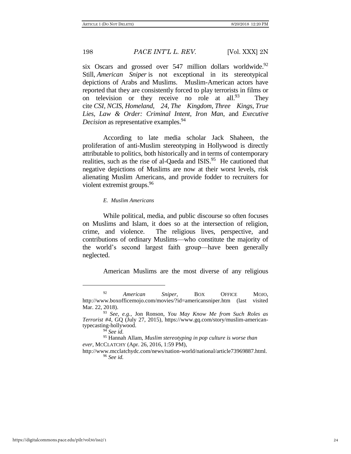six Oscars and grossed over 547 million dollars worldwide.<sup>92</sup> Still, *American Sniper* is not exceptional in its stereotypical depictions of Arabs and Muslims. Muslim-American actors have reported that they are consistently forced to play terrorists in films or on television or they receive no role at all. $93$  They cite *CSI*, *NCIS*, *Homeland*, *24, The Kingdom*, *Three Kings*, *True Lies, Law & Order: Criminal Intent, Iron Man*, and *Executive Decision* as representative examples.<sup>94</sup>

According to late media scholar Jack Shaheen, the proliferation of anti-Muslim stereotyping in Hollywood is directly attributable to politics, both historically and in terms of contemporary realities, such as the rise of al-Qaeda and ISIS.<sup>95</sup> He cautioned that negative depictions of Muslims are now at their worst levels, risk alienating Muslim Americans, and provide fodder to recruiters for violent extremist groups.<sup>96</sup>

### *E. Muslim Americans*

While political, media, and public discourse so often focuses on Muslims and Islam, it does so at the intersection of religion, crime, and violence. The religious lives, perspective, and contributions of ordinary Muslims—who constitute the majority of the world's second largest faith group—have been generally neglected.

American Muslims are the most diverse of any religious

<sup>92</sup> *American Sniper,* BOX OFFICE MOJO, http://www.boxofficemojo.com/movies/?id=americansniper.htm (last visited Mar. 22, 2018).

<sup>93</sup> *See, e.g.,* Jon Ronson, *You May Know Me from Such Roles as Terrorist #4*, GQ (July 27, 2015), https://www.gq.com/story/muslim-americantypecasting-hollywood.

<sup>94</sup> *See id.*

<sup>95</sup> Hannah Allam, *Muslim stereotyping in pop culture is worse than ever*, MCCLATCHY (Apr. 26, 2016, 1:59 PM),

http://www.mcclatchydc.com/news/nation-world/national/article73969887.html. <sup>96</sup> *See id.*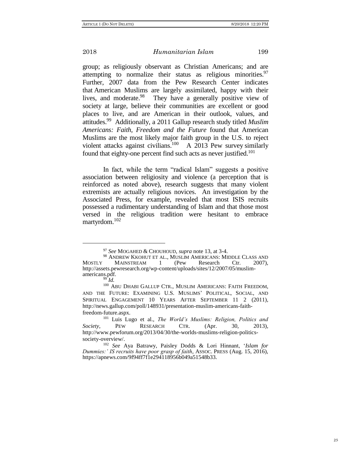2018 *Humanitarian Islam* 199

group; as religiously observant as Christian Americans; and are attempting to normalize their status as religious minorities. $97$ Further, 2007 data from the Pew Research Center indicates that American Muslims are largely assimilated, happy with their lives, and moderate.<sup>98</sup> They have a generally positive view of society at large, believe their communities are excellent or good places to live, and are American in their outlook, values, and attitudes.<sup>99</sup> Additionally, a 2011 Gallup research study titled *Muslim Americans: Faith, Freedom and the Future* found that American Muslims are the most likely major faith group in the U.S. to reject violent attacks against civilians.<sup>100</sup> A 2013 Pew survey similarly found that eighty-one percent find such acts as never justified.<sup>101</sup>

In fact, while the term "radical Islam" suggests a positive association between religiosity and violence (a perception that is reinforced as noted above), research suggests that many violent extremists are actually religious novices. An investigation by the Associated Press, for example, revealed that most ISIS recruits possessed a rudimentary understanding of Islam and that those most versed in the religious tradition were hesitant to embrace martyrdom.<sup>102</sup>

<sup>97</sup> *See* MOGAHED & CHOUHOUD, *supra* note 13, at 3-4.

<sup>98</sup> ANDREW KKOHUT ET AL., MUSLIM AMERICANS: MIDDLE CLASS AND MOSTLY MAINSTREAM 1 (Pew Research Ctr. 2007), http://assets.pewresearch.org/wp-content/uploads/sites/12/2007/05/muslimamericans.pdf.

 $^{99}$ *Id.* 

<sup>100</sup> ABU DHABI GALLUP CTR., MUSLIM AMERICANS: FAITH FREEDOM, AND THE FUTURE: EXAMINING U.S. MUSLIMS' POLITICAL, SOCIAL, AND SPIRITUAL ENGAGEMENT 10 YEARS AFTER SEPTEMBER 11 2 (2011), http://news.gallup.com/poll/148931/presentation-muslim-americans-faithfreedom-future.aspx.

<sup>101</sup> Luis Lugo et al., *The World's Muslims: Religion, Politics and Society*, PEW RESEARCH CTR. (Apr. 30, 2013), http://www.pewforum.org/2013/04/30/the-worlds-muslims-religion-politicssociety-overview/.

<sup>102</sup> *See* Aya Batrawy, Paisley Dodds & Lori Hinnant, '*Islam for Dummies:' IS recruits have poor grasp of faith*, ASSOC. PRESS (Aug. 15, 2016), https://apnews.com/9f94ff7f1e294118956b049a51548b33.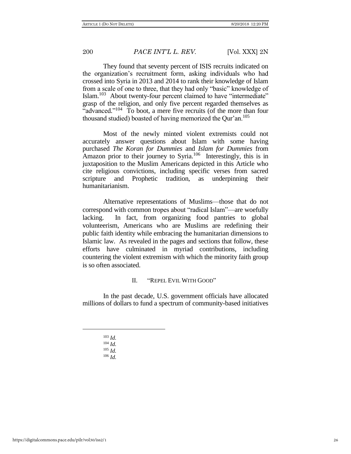They found that seventy percent of ISIS recruits indicated on the organization's recruitment form, asking individuals who had crossed into Syria in 2013 and 2014 to rank their knowledge of Islam from a scale of one to three, that they had only "basic" knowledge of Islam.<sup>103</sup> About twenty-four percent claimed to have "intermediate" grasp of the religion, and only five percent regarded themselves as "advanced."<sup>104</sup> To boot, a mere five recruits (of the more than four thousand studied) boasted of having memorized the Qur'an.<sup>105</sup>

Most of the newly minted violent extremists could not accurately answer questions about Islam with some having purchased *The Koran for Dummies* and *Islam for Dummies* from Amazon prior to their journey to Syria.<sup>106</sup> Interestingly, this is in juxtaposition to the Muslim Americans depicted in this Article who cite religious convictions, including specific verses from sacred scripture and Prophetic tradition, as underpinning their humanitarianism.

Alternative representations of Muslims—those that do not correspond with common tropes about "radical Islam"—are woefully lacking. In fact, from organizing food pantries to global volunteerism, Americans who are Muslims are redefining their public faith identity while embracing the humanitarian dimensions to Islamic law. As revealed in the pages and sections that follow, these efforts have culminated in myriad contributions, including countering the violent extremism with which the minority faith group is so often associated.

# II. "REPEL EVIL WITH GOOD"

In the past decade, U.S. government officials have allocated millions of dollars to fund a spectrum of community-based initiatives

<sup>103</sup> *Id.*

<sup>104</sup> *Id.*

<sup>105</sup> *Id.*

<sup>106</sup> *Id.*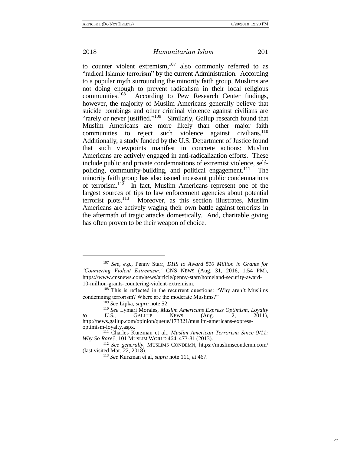# 2018 *Humanitarian Islam* 201

to counter violent extremism,  $107$  also commonly referred to as "radical Islamic terrorism" by the current Administration. According to a popular myth surrounding the minority faith group, Muslims are not doing enough to prevent radicalism in their local religious communities.<sup>108</sup> According to Pew Research Center findings, According to Pew Research Center findings, however, the majority of Muslim Americans generally believe that suicide bombings and other criminal violence against civilians are "rarely or never justified."<sup>109</sup> Similarly, Gallup research found that Muslim Americans are more likely than other major faith communities to reject such violence against civilians.<sup>110</sup> Additionally, a study funded by the U.S. Department of Justice found that such viewpoints manifest in concrete actions: Muslim Americans are actively engaged in anti-radicalization efforts. These include public and private condemnations of extremist violence, selfpolicing, community-building, and political engagement.<sup>111</sup> The minority faith group has also issued incessant public condemnations of terrorism.<sup>112</sup> In fact, Muslim Americans represent one of the largest sources of tips to law enforcement agencies about potential terrorist plots.<sup>113</sup> Moreover, as this section illustrates, Muslim Americans are actively waging their own battle against terrorists in the aftermath of tragic attacks domestically. And, charitable giving has often proven to be their weapon of choice.

<sup>107</sup> *See, e.g.,* Penny Starr, *DHS to Award \$10 Million in Grants for 'Countering Violent Extremism*,*'* CNS NEWS (Aug. 31, 2016, 1:54 PM), https://www.cnsnews.com/news/article/penny-starr/homeland-security-award-10-million-grants-countering-violent-extremism.

<sup>&</sup>lt;sup>108</sup> This is reflected in the recurrent questions: "Why aren't Muslims condemning terrorism? Where are the moderate Muslims?"

<sup>109</sup> *See* Lipka, *supra* note 52.

<sup>110</sup> *See* Lymari Morales, *Muslim Americans Express Optimism, Loyalty to U.S.*, GALLUP NEWS (Aug. 2, 2011), http://news.gallup.com/opinion/queue/173321/muslim-americans-expressoptimism-loyalty.aspx.

<sup>111</sup> Charles Kurzman et al., *Muslim American Terrorism Since 9/11: Why So Rare?,* 101 MUSLIM WORLD 464, 473-81 (2013).

<sup>112</sup> *See generally*, MUSLIMS CONDEMN,<https://muslimscondemn.com/> (last visited Mar.  $22$ , 2018).

<sup>113</sup> *See* Kurzman et al, *supra* note 111, at 467.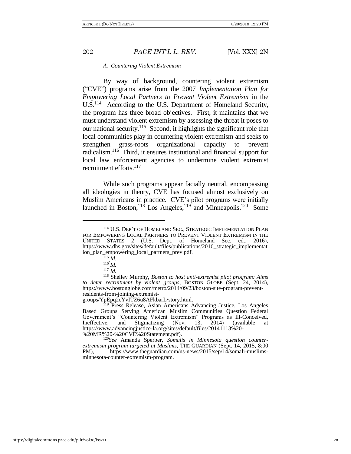#### *A. Countering Violent Extremism*

By way of background, countering violent extremism ("CVE") programs arise from the 2007 *Implementation Plan for Empowering Local Partners to Prevent Violent Extremism* in the U.S.<sup>114</sup> According to the U.S. Department of Homeland Security, the program has three broad objectives. First, it maintains that we must understand violent extremism by assessing the threat it poses to our national security.<sup>115</sup> Second, it highlights the significant role that local communities play in countering violent extremism and seeks to strengthen grass-roots organizational capacity to prevent radicalism.<sup>116</sup> Third, it ensures institutional and financial support for local law enforcement agencies to undermine violent extremist recruitment efforts.<sup>117</sup>

While such programs appear facially neutral, encompassing all ideologies in theory, CVE has focused almost exclusively on Muslim Americans in practice. CVE's pilot programs were initially launched in Boston,  $118$  Los Angeles,  $119$  and Minneapolis.  $120$  Some

<sup>114</sup> U.S. DEP'T OF HOMELAND SEC., STRATEGIC IMPLEMENTATION PLAN FOR EMPOWERING LOCAL PARTNERS TO PREVENT VIOLENT EXTREMISM IN THE UNITED STATES 2 (U.S. Dept. of Homeland Sec. ed., 2016), https://www.dhs.gov/sites/default/files/publications/2016\_strategic\_implementat ion\_plan\_empowering\_local\_partners\_prev.pdf.

<sup>115</sup> *Id.*

<sup>116</sup> *Id.*

<sup>117</sup> *Id.*

<sup>118</sup> Shelley Murphy, *Boston to host anti-extremist pilot program: Aims to deter recruitment by violent groups*, BOSTON GLOBE (Sept. 24, 2014), https://www.bostonglobe.com/metro/2014/09/23/boston-site-program-preventresidents-from-joining-extremist-

groups/YpEpq2cYvITZ6u8AFkbarL/story.html.

<sup>119</sup> Press Release, Asian Americans Advancing Justice, Los Angeles Based Groups Serving American Muslim Communities Question Federal Government's "Countering Violent Extremism" Programs as Ill-Conceived, Ineffective, and Stigmatizing (Nov. 13, 2014) (available at Ineffective, and Stigmatizing (Nov. 13, 2014) (available at https://www.advancingjustice-la.org/sites/default/files/20141113%20- %20MR%20-%20CVE%20Statement.pdf).

<sup>120</sup>*See* Amanda Sperber, *Somalis in Minnesota question counterextremism program targeted at Muslims*, THE GUARDIAN (Sept. 14, 2015, 8:00 PM), https://www.theguardian.com/us-news/2015/sep/14/somali-muslimsminnesota-counter-extremism-program.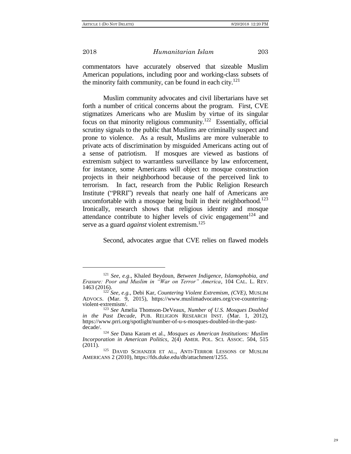2018 *Humanitarian Islam* 203

commentators have accurately observed that sizeable Muslim American populations, including poor and working-class subsets of the minority faith community, can be found in each city.<sup>121</sup>

Muslim community advocates and civil libertarians have set forth a number of critical concerns about the program. First, CVE stigmatizes Americans who are Muslim by virtue of its singular focus on that minority religious community.<sup>122</sup> Essentially, official scrutiny signals to the public that Muslims are criminally suspect and prone to violence. As a result, Muslims are more vulnerable to private acts of discrimination by misguided Americans acting out of a sense of patriotism. If mosques are viewed as bastions of extremism subject to warrantless surveillance by law enforcement, for instance, some Americans will object to mosque construction projects in their neighborhood because of the perceived link to terrorism. In fact, research from the Public Religion Research Institute ("PRRI") reveals that nearly one half of Americans are uncomfortable with a mosque being built in their neighborhood.<sup>123</sup> Ironically, research shows that religious identity and mosque attendance contribute to higher levels of civic engagement<sup>124</sup> and serve as a guard *against* violent extremism.<sup>125</sup>

Second, advocates argue that CVE relies on flawed models

<sup>121</sup> *See, e.g*., Khaled Beydoun, *Between Indigence, Islamophobia, and Erasure: Poor and Muslim in "War on Terror" America*, 104 CAL. L. REV. 1463 (2016).

<sup>122</sup> *See, e.g.*, Debi Kar, *Countering Violent Extremism*, *(CVE)*, MUSLIM ADVOCS. (Mar. 9, 2015), https://www.muslimadvocates.org/cve-counteringviolent-extremism/.

<sup>123</sup> *See* Amelia Thomson-DeVeaux, *Number of U.S. Mosques Doubled in the Past Decade*, PUB. RELIGION RESEARCH INST. (Mar. 1, 2012), https://www.prri.org/spotlight/number-of-u-s-mosques-doubled-in-the-pastdecade/.

<sup>124</sup> *See* Dana Karam et al., *Mosques as American Institutions: Muslim Incorporation in American Politics*, 2(4) AMER. POL. SCI. ASSOC. 504, 515 (2011).

<sup>125</sup> DAVID SCHANZER ET AL., ANTI-TERROR LESSONS OF MUSLIM AMERICANS 2 (2010), https://fds.duke.edu/db/attachment/1255.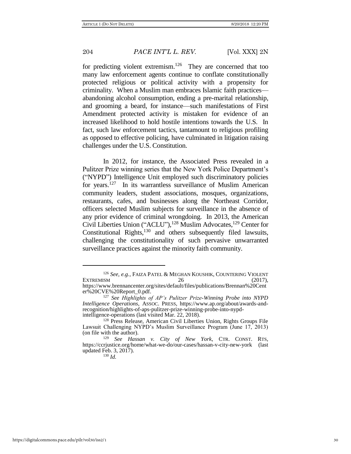for predicting violent extremism.<sup>126</sup> They are concerned that too many law enforcement agents continue to conflate constitutionally protected religious or political activity with a propensity for criminality. When a Muslim man embraces Islamic faith practices abandoning alcohol consumption, ending a pre-marital relationship, and grooming a beard, for instance—such manifestations of First Amendment protected activity is mistaken for evidence of an increased likelihood to hold hostile intentions towards the U.S. In fact, such law enforcement tactics, tantamount to religious profiling as opposed to effective policing, have culminated in litigation raising challenges under the U.S. Constitution.

In 2012, for instance, the Associated Press revealed in a Pulitzer Prize winning series that the New York Police Department's ("NYPD") Intelligence Unit employed such discriminatory policies for years.<sup>127</sup> In its warrantless surveillance of Muslim American community leaders, student associations, mosques, organizations, restaurants, cafes, and businesses along the Northeast Corridor, officers selected Muslim subjects for surveillance in the absence of any prior evidence of criminal wrongdoing. In 2013, the American Civil Liberties Union ("ACLU"),<sup>128</sup> Muslim Advocates,<sup>129</sup> Center for Constitutional Rights,<sup>130</sup> and others subsequently filed lawsuits, challenging the constitutionality of such pervasive unwarranted surveillance practices against the minority faith community.

<sup>130</sup> *Id.*

<sup>&</sup>lt;sup>126</sup> *See, e.g.*, FAIZA PATEL & MEGHAN KOUSHIK, COUNTERING VIOLENT<br>ISM 26 (2017). **EXTREMISM** [https://www.brennancenter.org/sites/default/files/publications/Brennan%20Cent](https://www.brennancenter.org/sites/default/files/publications/Brennan%20Center%20CVE%20Report_0.pdf) [er%20CVE%20Report\\_0.pdf.](https://www.brennancenter.org/sites/default/files/publications/Brennan%20Center%20CVE%20Report_0.pdf)

<sup>127</sup> *See Highlights of AP's Pulitzer Prize-Winning Probe into NYPD Intelligence Operations*, ASSOC. PRESS, [https://www.ap.org/about/awards-and](https://www.ap.org/about/awards-and-recognition/highlights-of-aps-pulitzer-prize-winning-probe-into-nypd-intelligence-operations)[recognition/highlights-of-aps-pulitzer-prize-winning-probe-into-nypd](https://www.ap.org/about/awards-and-recognition/highlights-of-aps-pulitzer-prize-winning-probe-into-nypd-intelligence-operations)[intelligence-operations](https://www.ap.org/about/awards-and-recognition/highlights-of-aps-pulitzer-prize-winning-probe-into-nypd-intelligence-operations) (last visited Mar. 22, 2018).

<sup>&</sup>lt;sup>128</sup> Press Release, American Civil Liberties Union, Rights Groups File Lawsuit Challenging NYPD's Muslim Surveillance Program (June 17, 2013) (on file with the author).

<sup>129</sup> *See Hassan v. City of New York*, CTR. CONST. RTS, https://ccrjustice.org/home/what-we-do/our-cases/hassan-v-city-new-york (last updated Feb. 3, 2017).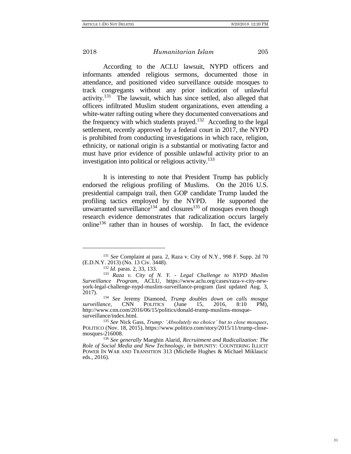2018 *Humanitarian Islam* 205

According to the ACLU lawsuit, NYPD officers and informants attended religious sermons, documented those in attendance, and positioned video surveillance outside mosques to track congregants without any prior indication of unlawful activity.<sup>131</sup> The lawsuit, which has since settled, also alleged that officers infiltrated Muslim student organizations, even attending a white-water rafting outing where they documented conversations and the frequency with which students prayed.<sup>132</sup> According to the legal settlement, recently approved by a federal court in 2017, the NYPD is prohibited from conducting investigations in which race, religion, ethnicity, or national origin is a substantial or motivating factor and must have prior evidence of possible unlawful activity prior to an investigation into political or religious activity.<sup>133</sup>

It is interesting to note that President Trump has publicly endorsed the religious profiling of Muslims. On the 2016 U.S. presidential campaign trail, then GOP candidate Trump lauded the profiling tactics employed by the NYPD. He supported the unwarranted surveillance<sup>134</sup> and closures<sup>135</sup> of mosques even though research evidence demonstrates that radicalization occurs largely online<sup>136</sup> rather than in houses of worship. In fact, the evidence

<sup>131</sup> *See* Complaint at para. 2, Raza v. City of N.Y., 998 F. Supp. 2d 70 (E.D.N.Y. 2013) (No. 13 Civ. 3448).

<sup>132</sup> *Id.* paras. 2, 33, 133.

<sup>133</sup> *Raza v. City of N. Y. - Legal Challenge to NYPD Muslim Surveillance Program*, ACLU, https://www.aclu.org/cases/raza-v-city-newyork-legal-challenge-nypd-muslim-surveillance-program (last updated Aug. 3,  $2017$ ).

<sup>134</sup> *See* Jeremy Diamond, *Trump doubles down on calls mosque surveillance*, CNN POLITICS (June 15, 2016, 8:10 PM), http://www.cnn.com/2016/06/15/politics/donald-trump-muslims-mosquesurveillance/index.html.

<sup>135</sup> *See* Nick Gass, *Trump: 'Absolutely no choice' but to close mosques*, POLITICO (Nov. 18, 2015), https://www.politico.com/story/2015/11/trump-closemosques-216008.

<sup>136</sup> *See generally* Maeghin Alarid, *Recruitment and Radicalization: The Role of Social Media and New Technology, in* IMPUNITY: COUNTERING ILLICIT POWER IN WAR AND TRANSITION 313 (Michelle Hughes & Michael Miklaucic eds., 2016).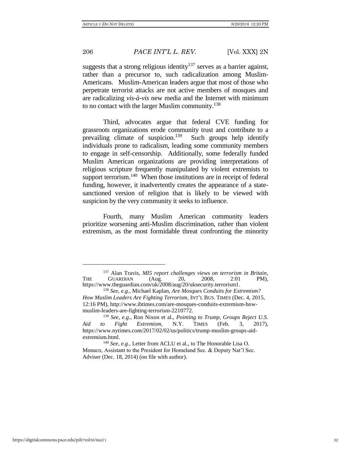suggests that a strong religious identity<sup>137</sup> serves as a barrier against, rather than a precursor to, such radicalization among Muslim-Americans. Muslim-American leaders argue that most of those who perpetrate terrorist attacks are not active members of mosques and are radicalizing *vis-à-vis* new media and the Internet with minimum to no contact with the larger Muslim community. $138$ 

Third, advocates argue that federal CVE funding for grassroots organizations erode community trust and contribute to a prevailing climate of suspicion.<sup>139</sup> Such groups help identify individuals prone to radicalism, leading some community members to engage in self-censorship. Additionally, some federally funded Muslim American organizations are providing interpretations of religious scripture frequently manipulated by violent extremists to support terrorism. $140$  When those institutions are in receipt of federal funding, however, it inadvertently creates the appearance of a statesanctioned version of religion that is likely to be viewed with suspicion by the very community it seeks to influence.

Fourth, many Muslim American community leaders prioritize worsening anti-Muslim discrimination, rather than violent extremism, as the most formidable threat confronting the minority

<sup>137</sup> Alan Travis, *MI5 report challenges views on terrorism in Britain*, THE GUARDIAN (Aug. 20, 2008, 2:01 PM), https://www.theguardian.com/uk/2008/aug/20/uksecurity.terrorism1.

<sup>138</sup> *See, e.g.*, Michael Kaplan, *Are Mosques Conduits for Extremism? How Muslim Leaders Are Fighting Terrorism*, INT'L BUS. TIMES (Dec. 4, 2015, 12:16 PM), http://www.ibtimes.com/are-mosques-conduits-extremism-howmuslim-leaders-are-fighting-terrorism-2210772.

<sup>139</sup> *See, e.g.*, Ron Nixon et al., *Pointing to Trump, Groups Reject U.S. Aid to Fight Extremism,* N.Y. TIMES (Feb. 3, 2017), https://www.nytimes.com/2017/02/02/us/politics/trump-muslim-groups-aidextremism.html.

<sup>140</sup> *See, e.g.*, Letter from ACLU et al., to The Honorable Lisa O. Monaco, Assistant to the President for Homeland Sec. & Deputy Nat'l Sec. Adviser (Dec. 18, 2014) (on file with author).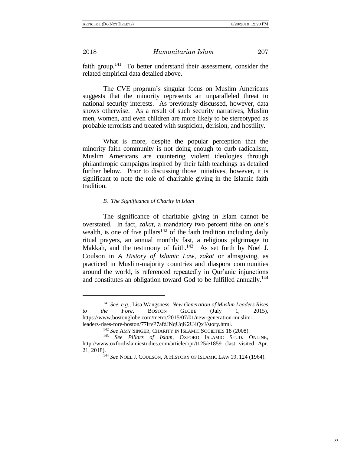2018 *Humanitarian Islam* 207

faith group.<sup>141</sup> To better understand their assessment, consider the related empirical data detailed above.

The CVE program's singular focus on Muslim Americans suggests that the minority represents an unparalleled threat to national security interests. As previously discussed, however, data shows otherwise. As a result of such security narratives, Muslim men, women, and even children are more likely to be stereotyped as probable terrorists and treated with suspicion, derision, and hostility.

What is more, despite the popular perception that the minority faith community is not doing enough to curb radicalism, Muslim Americans are countering violent ideologies through philanthropic campaigns inspired by their faith teachings as detailed further below. Prior to discussing those initiatives, however, it is significant to note the role of charitable giving in the Islamic faith tradition.

### *B. The Significance of Charity in Islam*

The significance of charitable giving in Islam cannot be overstated. In fact, *zakat,* a mandatory two percent tithe on one's wealth, is one of five pillars<sup>142</sup> of the faith tradition including daily ritual prayers, an annual monthly fast, a religious pilgrimage to Makkah, and the testimony of faith.<sup>143</sup> As set forth by Noel J. Coulson in *A History of Islamic Law*, *zakat* or almsgiving, as practiced in Muslim-majority countries and diaspora communities around the world, is referenced repeatedly in Qur'anic injunctions and constitutes an obligation toward God to be fulfilled annually.<sup>144</sup>

<sup>141</sup> *See, e.g.,* Lisa Wangsness, *New Generation of Muslim Leaders Rises to the Fore*, BOSTON GLOBE (July 1, 2015), https://www.bostonglobe.com/metro/2015/07/01/new-generation-muslimleaders-rises-fore-boston/77lrvP7afdJNqUqK2U4QxJ/story.html.

<sup>&</sup>lt;sup>142</sup> *See* AMY SINGER, CHARITY IN ISLAMIC SOCIETIES 18 (2008).<br><sup>143</sup> *See Pillars of Islam* OXEORD ISLAMIC STUD (

See Pillars of Islam, OXFORD ISLAMIC STUD. ONLINE, http://www.oxfordislamicstudies.com/article/opr/t125/e1859 (last visited Apr. 21, 2018).

<sup>144</sup> *See* NOEL J. COULSON, A HISTORY OF ISLAMIC LAW 19, 124 (1964).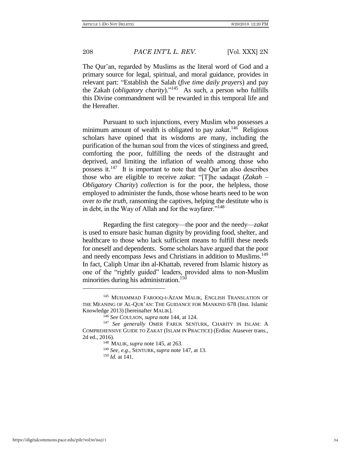The Qur'an, regarded by Muslims as the literal word of God and a primary source for legal, spiritual, and moral guidance, provides in relevant part: "Establish the Salah (*five time daily prayers*) and pay the Zakah (*obligatory charity*)." 145 As such, a person who fulfills this Divine commandment will be rewarded in this temporal life and the Hereafter.

Pursuant to such injunctions, every Muslim who possesses a minimum amount of wealth is obligated to pay *zakat*. <sup>146</sup> Religious scholars have opined that its wisdoms are many, including the purification of the human soul from the vices of stinginess and greed, comforting the poor, fulfilling the needs of the distraught and deprived, and limiting the inflation of wealth among those who possess it.<sup>147</sup> It is important to note that the Qur'an also describes those who are eligible to receive *zakat*: "[T]he sadaqat (*Zakah – Obligatory Charity*) *collection* is for the poor, the helpless, those employed to administer the funds, those whose hearts need to be won over *to the truth*, ransoming the captives, helping the destitute who is in debt, in the Way of Allah and for the wayfarer."<sup>148</sup>

Regarding the first category—the poor and the needy—*zakat* is used to ensure basic human dignity by providing food, shelter, and healthcare to those who lack sufficient means to fulfill these needs for oneself and dependents. Some scholars have argued that the poor and needy encompass Jews and Christians in addition to Muslims.<sup>149</sup> In fact, Caliph Umar ibn al-Khattab, revered from Islamic history as one of the "rightly guided" leaders, provided alms to non-Muslim minorities during his administration.<sup>150</sup>

<sup>145</sup> MUHAMMAD FAROOQ-I-AZAM MALIK, ENGLISH TRANSLATION OF THE MEANING OF AL-QUR'AN: THE GUIDANCE FOR MANKIND 678 (Inst. Islamic Knowledge 2013) [hereinafter MALIK].

<sup>146</sup> *See* COULSON, *supra* note 144, at 124.

<sup>147</sup> *See generally* OMER FARUK SENTURK, CHARITY IN ISLAM: A COMPREHENSIVE GUIDE TO ZAKAT (ISLAM IN PRACTICE) (Erdinc Atasever trans., 2d ed., 2016).

<sup>148</sup> MALIK, *supra* note 145, at 263.

<sup>149</sup> *See, e.g*., SENTURK, *supra* note 147, at 13.

<sup>150</sup> *Id.* at 141.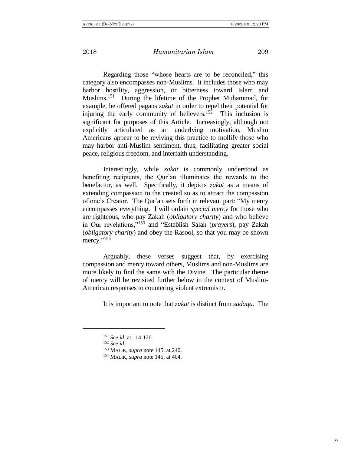2018 *Humanitarian Islam* 209

Regarding those "whose hearts are to be reconciled," this category also encompasses non-Muslims. It includes those who may harbor hostility, aggression, or bitterness toward Islam and Muslims.<sup>151</sup> During the lifetime of the Prophet Muhammad, for example, he offered pagans *zakat* in order to repel their potential for injuring the early community of believers.<sup>152</sup> This inclusion is significant for purposes of this Article. Increasingly, although not explicitly articulated as an underlying motivation, Muslim Americans appear to be reviving this practice to mollify those who may harbor anti-Muslim sentiment, thus, facilitating greater social peace, religious freedom, and interfaith understanding.

Interestingly, while *zakat* is commonly understood as benefiting recipients, the Qur'an illuminates the rewards to the benefactor, as well. Specifically, it depicts *zakat* as a means of extending compassion to the created so as to attract the compassion of one's Creator. The Qur'an sets forth in relevant part: "My mercy encompasses everything. I will ordain *special mercy* for those who are righteous, who pay Zakah (*obligatory charity*) and who believe in Our revelations,"<sup>153</sup> and "Establish Salah (*prayers*), pay Zakah (*obligatory charity*) and obey the Rasool, so that you may be shown mercy." 154

Arguably, these verses suggest that, by exercising compassion and mercy toward others, Muslims and non-Muslims are more likely to find the same with the Divine. The particular theme of mercy will be revisited further below in the context of Muslim-American responses to countering violent extremism.

It is important to note that *zakat* is distinct from *sadaqa*. The

<sup>151</sup> *See id.* at 114-120.

<sup>152</sup> *See id.*

<sup>153</sup> MALIK, *supra* note 145, at 240.

<sup>154</sup> MALIK, *supra* note 145, at 404.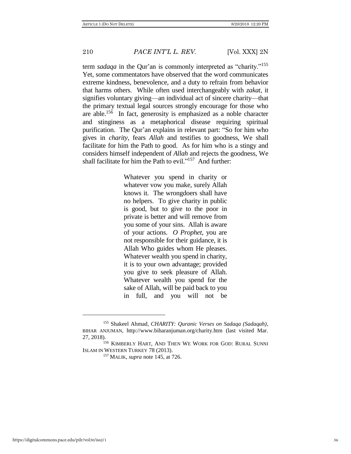term *sadaqa* in the Qur'an is commonly interpreted as "charity."<sup>155</sup> Yet, some commentators have observed that the word communicates extreme kindness, benevolence, and a duty to refrain from behavior that harms others. While often used interchangeably with *zakat*, it signifies voluntary giving—an individual act of sincere charity—that the primary textual legal sources strongly encourage for those who are able.<sup>156</sup> In fact, generosity is emphasized as a noble character and stinginess as a metaphorical disease requiring spiritual purification. The Qur'an explains in relevant part: "So for him who gives in *charity*, fears *Allah* and testifies to goodness, We shall facilitate for him the Path to good. As for him who is a stingy and considers himself independent of *Allah* and rejects the goodness, We shall facilitate for him the Path to evil."<sup>157</sup> And further:

> Whatever you spend in charity or whatever vow you make, surely Allah knows it. The wrongdoers shall have no helpers. To give charity in public is good, but to give to the poor in private is better and will remove from you some of your sins. Allah is aware of your actions. *O Prophet*, you are not responsible for their guidance, it is Allah Who guides whom He pleases. Whatever wealth you spend in charity, it is to your own advantage; provided you give to seek pleasure of Allah. Whatever wealth you spend for the sake of Allah, will be paid back to you in full, and you will not be

<sup>155</sup> Shakeel Ahmad, *CHARITY: Quranic Verses on Sadaqa (Sadaqah)*, BIHAR ANJUMAN, <http://www.biharanjuman.org/charity.htm> (last visited Mar. 27, 2018).

<sup>&</sup>lt;sup>156</sup> KIMBERLY HART, AND THEN WE WORK FOR GOD: RURAL SUNNI ISLAM IN WESTERN TURKEY 78 (2013).

<sup>157</sup> MALIK, *supra* note 145, at 726.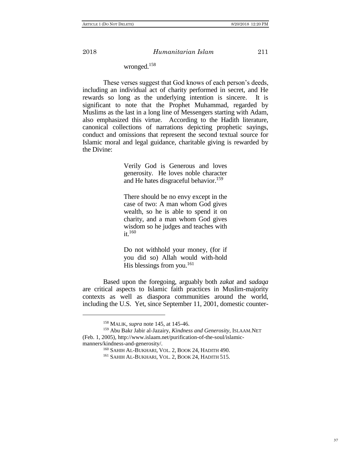$\overline{a}$ 

# wronged.<sup>158</sup>

These verses suggest that God knows of each person's deeds, including an individual act of charity performed in secret, and He rewards so long as the underlying intention is sincere. It is significant to note that the Prophet Muhammad, regarded by Muslims as the last in a long line of Messengers starting with Adam, also emphasized this virtue. According to the Hadith literature, canonical collections of narrations depicting prophetic sayings, conduct and omissions that represent the second textual source for Islamic moral and legal guidance, charitable giving is rewarded by the Divine:

> Verily God is Generous and loves generosity. He loves noble character and He hates disgraceful behavior.<sup>159</sup>

> There should be no envy except in the case of two: A man whom God gives wealth, so he is able to spend it on charity, and a man whom God gives wisdom so he judges and teaches with  $it.<sup>160</sup>$

> Do not withhold your money, (for if you did so) Allah would with-hold His blessings from you.<sup>161</sup>

Based upon the foregoing, arguably both *zakat* and *sadaqa* are critical aspects to Islamic faith practices in Muslim-majority contexts as well as diaspora communities around the world, including the U.S. Yet, since September 11, 2001, domestic counter-

<sup>158</sup> MALIK, *supra* note 145, at 145-46.

<sup>159</sup> Abu Bakr Jabir al-Jazairy, *Kindness and Generosity*, ISLAAM.NET (Feb. 1, 2005), http://www.islaam.net/purification-of-the-soul/islamicmanners/kindness-and-generosity/.

<sup>160</sup> SAHIH AL-BUKHARI, VOL. 2, BOOK 24, HADITH 490.

<sup>161</sup> SAHIH AL-BUKHARI, VOL. 2, BOOK 24, HADITH 515.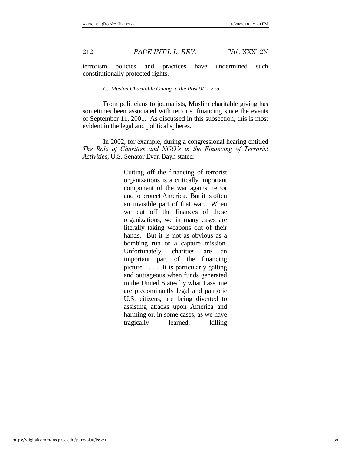terrorism policies and practices have undermined such constitutionally protected rights.

#### *C. Muslim Charitable Giving in the Post 9/11 Era*

From politicians to journalists, Muslim charitable giving has sometimes been associated with terrorist financing since the events of September 11, 2001. As discussed in this subsection, this is most evident in the legal and political spheres.

In 2002, for example, during a congressional hearing entitled *The Role of Charities and NGO's in the Financing of Terrorist Activities*, U.S. Senator Evan Bayh stated:

> Cutting off the financing of terrorist organizations is a critically important component of the war against terror and to protect America. But it is often an invisible part of that war. When we cut off the finances of these organizations, we in many cases are literally taking weapons out of their hands. But it is not as obvious as a bombing run or a capture mission. Unfortunately, charities are an important part of the financing picture. . . . It is particularly galling and outrageous when funds generated in the United States by what I assume are predominantly legal and patriotic U.S. citizens, are being diverted to assisting attacks upon America and harming or, in some cases, as we have tragically learned, killing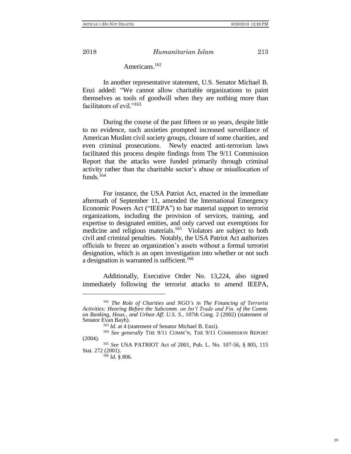Americans.<sup>162</sup>

In another representative statement, U.S. Senator Michael B. Enzi added: "We cannot allow charitable organizations to paint themselves as tools of goodwill when they are nothing more than facilitators of evil."<sup>163</sup>

During the course of the past fifteen or so years, despite little to no evidence, such anxieties prompted increased surveillance of American Muslim civil society groups, closure of some charities, and even criminal prosecutions. Newly enacted anti-terrorism laws facilitated this process despite findings from The 9/11 Commission Report that the attacks were funded primarily through criminal activity rather than the charitable sector's abuse or misallocation of funds. $164$ 

For instance, the USA Patriot Act, enacted in the immediate aftermath of September 11, amended the International Emergency Economic Powers Act ("IEEPA") to bar material support to terrorist organizations, including the provision of services, training, and expertise to designated entities, and only carved out exemptions for medicine and religious materials.<sup>165</sup> Violators are subject to both civil and criminal penalties. Notably, the USA Patriot Act authorizes officials to freeze an organization's assets without a formal terrorist designation, which is an open investigation into whether or not such a designation is warranted is sufficient.<sup>166</sup>

Additionally, Executive Order No. 13,224, also signed immediately following the terrorist attacks to amend IEEPA,

<sup>162</sup> *The Role of Charities and NGO's in The Financing of Terrorist Activities: Hearing Before the Subcomm. on Int'l Trade and Fin. of the Comm. on Banking, Hous., and Urban Aff. U.S. S.*, 107th Cong. 2 (2002) (statement of Senator Evan Bayh).

<sup>&</sup>lt;sup>163</sup> *Id.* at 4 (statement of Senator Michael B. Enzi).

<sup>164</sup> *See generally* THE 9/11 COMM'N, THE 9/11 COMMISSION REPORT (2004).

<sup>165</sup> *See* USA PATRIOT Act of 2001, Pub. L. No. 107-56, § 805, 115 Stat. 272 (2001).

<sup>166</sup> *Id.* § 806.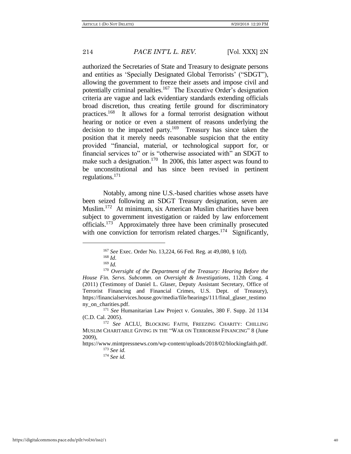authorized the Secretaries of State and Treasury to designate persons and entities as 'Specially Designated Global Terrorists' ("SDGT"), allowing the government to freeze their assets and impose civil and potentially criminal penalties.<sup>167</sup> The Executive Order's designation criteria are vague and lack evidentiary standards extending officials broad discretion, thus creating fertile ground for discriminatory practices.<sup>168</sup> It allows for a formal terrorist designation without hearing or notice or even a statement of reasons underlying the decision to the impacted party.<sup>169</sup> Treasury has since taken the position that it merely needs reasonable suspicion that the entity provided "financial, material, or technological support for, or financial services to" or is "otherwise associated with" an SDGT to make such a designation.<sup>170</sup> In 2006, this latter aspect was found to be unconstitutional and has since been revised in pertinent regulations.<sup>171</sup>

Notably, among nine U.S.-based charities whose assets have been seized following an SDGT Treasury designation, seven are Muslim.<sup>172</sup> At minimum, six American Muslim charities have been subject to government investigation or raided by law enforcement officials.<sup>173</sup> Approximately three have been criminally prosecuted with one conviction for terrorism related charges.<sup>174</sup> Significantly,

<sup>167</sup> *See* Exec. Order No. 13,224, 66 Fed. Reg. at 49,080, § 1(d).

<sup>168</sup> *Id*.

<sup>169</sup> *Id.*

<sup>170</sup> *Oversight of the Department of the Treasury: Hearing Before the House Fin. Servs. Subcomm. on Oversight & Investigations*, 112th Cong. 4 (2011) (Testimony of Daniel L. Glaser, Deputy Assistant Secretary, Office of Terrorist Financing and Financial Crimes, U.S. Dept. of Treasury), https://financialservices.house.gov/media/file/hearings/111/final\_glaser\_testimo ny\_on\_charities.pdf.

<sup>171</sup> *See* Humanitarian Law Project v. Gonzales, 380 F. Supp. 2d 1134 (C.D. Cal. 2005).

<sup>172</sup> *See* ACLU, BLOCKING FAITH, FREEZING CHARITY: CHILLING MUSLIM CHARITABLE GIVING IN THE "WAR ON TERRORISM FINANCING" 8 (June 2009),

https://www.mintpressnews.com/wp-content/uploads/2018/02/blockingfaith.pdf. <sup>173</sup> *See id.*

<sup>174</sup> *See id.*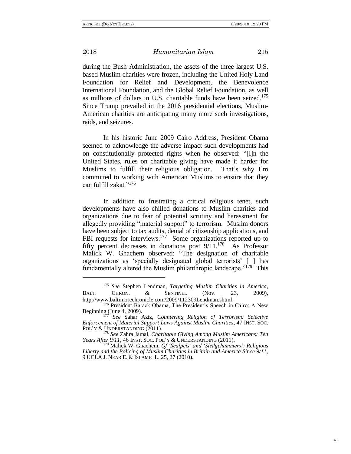2018 *Humanitarian Islam* 215

during the Bush Administration, the assets of the three largest U.S. based Muslim charities were frozen, including the United Holy Land Foundation for Relief and Development, the Benevolence International Foundation, and the Global Relief Foundation, as well as millions of dollars in U.S. charitable funds have been seized.<sup>175</sup> Since Trump prevailed in the 2016 presidential elections, Muslim-American charities are anticipating many more such investigations, raids, and seizures.

In his historic June 2009 Cairo Address, President Obama seemed to acknowledge the adverse impact such developments had on constitutionally protected rights when he observed: "[I]n the United States, rules on charitable giving have made it harder for Muslims to fulfill their religious obligation. That's why I'm committed to working with American Muslims to ensure that they can fulfill zakat."<sup>176</sup>

In addition to frustrating a critical religious tenet, such developments have also chilled donations to Muslim charities and organizations due to fear of potential scrutiny and harassment for allegedly providing "material support" to terrorism. Muslim donors have been subject to tax audits, denial of citizenship applications, and FBI requests for interviews.<sup>177</sup> Some organizations reported up to fifty percent decreases in donations post 9/11.<sup>178</sup> As Professor Malick W. Ghachem observed: "The designation of charitable organizations as 'specially designated global terrorists' [ ] has fundamentally altered the Muslim philanthropic landscape."<sup>179</sup> This

<sup>175</sup> *See* Stephen Lendman, *Targeting Muslim Charities in America*, BALT. CHRON. & SENTINEL (Nov. 23, 2009), http://www.baltimorechronicle.com/2009/112309Lendman.shtml.

<sup>176</sup> President Barack Obama, The President's Speech in Cairo: A New Beginning (June 4, 2009).

<sup>177</sup> *See* Sahar Aziz, *Countering Religion of Terrorism: Selective Enforcement of Material Support Laws Against Muslim Charities*, 47 INST. SOC. POL'Y & UNDERSTANDING (2011).

<sup>178</sup> *See* Zahra Jamal, *Charitable Giving Among Muslim Americans: Ten Years After 9/11*, 46 INST. SOC. POL'Y & UNDERSTANDING (2011).

<sup>179</sup> Malick W. Ghachem, *Of 'Scalpels' and 'Sledgehammers': Religious Liberty and the Policing of Muslim Charities in Britain and America Since 9/11*, 9 UCLA J. NEAR E. & ISLAMIC L. 25, 27 (2010).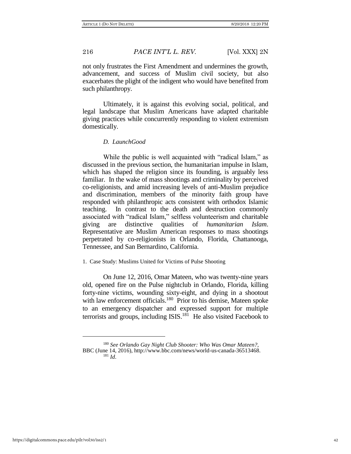not only frustrates the First Amendment and undermines the growth, advancement, and success of Muslim civil society, but also exacerbates the plight of the indigent who would have benefited from such philanthropy.

Ultimately, it is against this evolving social, political, and legal landscape that Muslim Americans have adapted charitable giving practices while concurrently responding to violent extremism domestically.

## *D. LaunchGood*

While the public is well acquainted with "radical Islam," as discussed in the previous section, the humanitarian impulse in Islam, which has shaped the religion since its founding, is arguably less familiar. In the wake of mass shootings and criminality by perceived co-religionists, and amid increasing levels of anti-Muslim prejudice and discrimination, members of the minority faith group have responded with philanthropic acts consistent with orthodox Islamic teaching. In contrast to the death and destruction commonly associated with "radical Islam," selfless volunteerism and charitable giving are distinctive qualities of *humanitarian Islam*. Representative are Muslim American responses to mass shootings perpetrated by co-religionists in Orlando, Florida, Chattanooga, Tennessee, and San Bernardino, California.

#### 1. Case Study: Muslims United for Victims of Pulse Shooting

On June 12, 2016, Omar Mateen, who was twenty-nine years old, opened fire on the Pulse nightclub in Orlando, Florida, killing forty-nine victims, wounding sixty-eight, and dying in a shootout with law enforcement officials.<sup>180</sup> Prior to his demise, Mateen spoke to an emergency dispatcher and expressed support for multiple terrorists and groups, including  $ISS<sup>181</sup>$  He also visited Facebook to

<sup>180</sup> *See Orlando Gay Night Club Shooter: Who Was Omar Mateen?,* BBC (June 14, 2016), http://www.bbc.com/news/world-us-canada-36513468. <sup>181</sup> *Id*.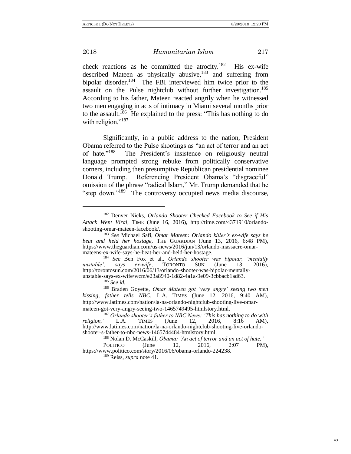2018 *Humanitarian Islam* 217

check reactions as he committed the atrocity.<sup>182</sup> His ex-wife described Mateen as physically abusive,<sup>183</sup> and suffering from bipolar disorder.<sup>184</sup> The FBI interviewed him twice prior to the assault on the Pulse nightclub without further investigation.<sup>185</sup> According to his father, Mateen reacted angrily when he witnessed two men engaging in acts of intimacy in Miami several months prior to the assault.<sup>186</sup> He explained to the press: "This has nothing to do with religion."<sup>187</sup>

Significantly, in a public address to the nation, President Obama referred to the Pulse shootings as "an act of terror and an act of hate."<sup>188</sup> The President's insistence on religiously neutral language prompted strong rebuke from politically conservative corners, including then presumptive Republican presidential nominee Donald Trump. Referencing President Obama's "disgraceful" omission of the phrase "radical Islam," Mr. Trump demanded that he "step down."<sup>189</sup> The controversy occupied news media discourse,

<sup>184</sup> *See* Ben Fox et al.*, Orlando shooter was bipolar, 'mentally*  **TORONTO** SUN (June 13, 2016), http://torontosun.com/2016/06/13/orlando-shooter-was-bipolar-mentallyunstable-says-ex-wife/wcm/e23a8940-1d82-4a1a-9e09-3cbbacb1ad63.

<sup>185</sup> *See id.*

<sup>186</sup> Braden Goyette, *Omar Mateen got 'very angry' seeing two men kissing, father tells NBC*, L.A. TIMES (June 12, 2016, 9:40 AM), http://www.latimes.com/nation/la-na-orlando-nightclub-shooting-live-omarmateen-got-very-angry-seeing-two-1465749495-htmlstory.html.

<sup>188</sup> Nolan D. McCaskill, *Obama: 'An act of terror and an act of hate,'* POLITICO (June 12, 2016, 2:07 PM), https://www.politico.com/story/2016/06/obama-orlando-224238.

<sup>189</sup> Reiss, *supra* note 41.

<sup>182</sup> Denver Nicks, *Orlando Shooter Checked Facebook to See if His Attack Went Viral*, TIME (June 16, 2016), http://time.com/4371910/orlandoshooting-omar-mateen-facebook/.

<sup>183</sup> *See* Michael Safi, *Omar Mateen: Orlando killer's ex-wife says he beat and held her hostage*, THE GUARDIAN (June 13, 2016, 6:48 PM), https://www.theguardian.com/us-news/2016/jun/13/orlando-massacre-omarmateens-ex-wife-says-he-beat-her-and-held-her-hostage.

<sup>&</sup>lt;sup>187</sup> *Orlando shooter's father to NBC News: 'This has nothing to do with religion,'* L.A. TIMES (June 12, 2016, 8:16 AM), *religion,'* L.A. TIMES (June 12, 2016, 8:16 AM), http://www.latimes.com/nation/la-na-orlando-nightclub-shooting-live-orlandoshooter-s-father-to-nbc-news-1465744484-htmlstory.html.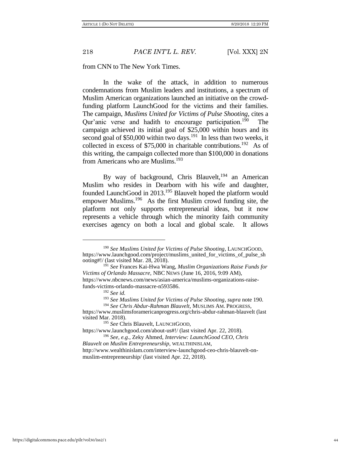from CNN to The New York Times.

In the wake of the attack, in addition to numerous condemnations from Muslim leaders and institutions, a spectrum of Muslim American organizations launched an initiative on the crowdfunding platform LaunchGood for the victims and their families. The campaign, *Muslims United for Victims of Pulse Shooting*, cites a Qur'anic verse and hadith to encourage participation.<sup>190</sup> The campaign achieved its initial goal of \$25,000 within hours and its second goal of \$50,000 within two days.<sup>191</sup> In less than two weeks, it collected in excess of \$75,000 in charitable contributions.<sup>192</sup> As of this writing, the campaign collected more than \$100,000 in donations from Americans who are Muslims.<sup>193</sup>

By way of background, Chris Blauvelt,<sup>194</sup> an American Muslim who resides in Dearborn with his wife and daughter, founded LaunchGood in 2013.<sup>195</sup> Blauvelt hoped the platform would empower Muslims.<sup>196</sup> As the first Muslim crowd funding site, the platform not only supports entrepreneurial ideas, but it now represents a vehicle through which the minority faith community exercises agency on both a local and global scale. It allows

<sup>190</sup> *See Muslims United for Victims of Pulse Shooting*, LAUNCHGOOD, https://www.launchgood.com/project/muslims\_united\_for\_victims\_of\_pulse\_sh ooting#!/ (last visited Mar. 28, 2018).

<sup>191</sup> *See* Frances Kai-Hwa Wang, *Muslim Organizations Raise Funds for Victims of Orlando Massacre*, NBC NEWS (June 16, 2016, 9:09 AM), https://www.nbcnews.com/news/asian-america/muslims-organizations-raisefunds-victims-orlando-massacre-n593586.

<sup>192</sup> *See id.*

<sup>193</sup> *See Muslims United for Victims of Pulse Shooting, supra* note 190.

<sup>194</sup> *See Chris Abdur-Rahman Blauvelt*, MUSLIMS AM. PROGRESS,

https://www.muslimsforamericanprogress.org/chris-abdur-rahman-blauvelt (last visited Mar. 2018).

<sup>&</sup>lt;sup>195</sup> See Chris Blauvelt, LAUNCHGOOD,

https://www.launchgood.com/about-us#!/ (last visited Apr. 22, 2018). <sup>196</sup> *See, e.g*., Zeky Ahmed, *Interview: LaunchGood CEO, Chris* 

*Blauvelt on Muslim Entrepreneurship*, WEALTHINISLAM, http://www.wealthinislam.com/interview-launchgood-ceo-chris-blauvelt-on-

muslim-entrepreneurship/ (last visited Apr. 22, 2018).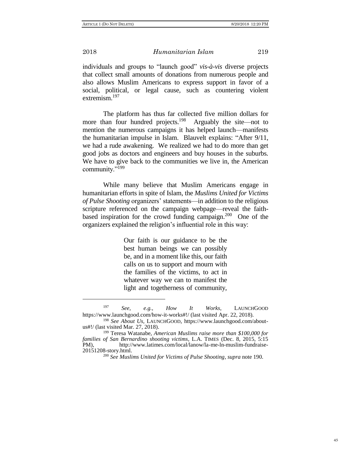2018 *Humanitarian Islam* 219

individuals and groups to "launch good" *vis-à-vis* diverse projects that collect small amounts of donations from numerous people and also allows Muslim Americans to express support in favor of a social, political, or legal cause, such as countering violent extremism.<sup>197</sup>

The platform has thus far collected five million dollars for more than four hundred projects.<sup>198</sup> Arguably the site—not to mention the numerous campaigns it has helped launch—manifests the humanitarian impulse in Islam. Blauvelt explains: "After 9/11, we had a rude awakening. We realized we had to do more than get good jobs as doctors and engineers and buy houses in the suburbs. We have to give back to the communities we live in, the American community."<sup>199</sup>

While many believe that Muslim Americans engage in humanitarian efforts in spite of Islam, the *Muslims United for Victims of Pulse Shooting* organizers' statements—in addition to the religious scripture referenced on the campaign webpage—reveal the faithbased inspiration for the crowd funding campaign.<sup>200</sup> One of the organizers explained the religion's influential role in this way:

> Our faith is our guidance to be the best human beings we can possibly be, and in a moment like this, our faith calls on us to support and mourn with the families of the victims, to act in whatever way we can to manifest the light and togetherness of community,

<sup>197</sup> *See, e.g., How It Works*, LAUNCHGOOD https://www.launchgood.com/how-it-works#!/ (last visited Apr. 22, 2018).

<sup>198</sup> *See About Us,* LAUNCHGOOD, [https://www.launchgood.com/about](https://www.launchgood.com/about-us#!/)[us#!/](https://www.launchgood.com/about-us#!/) (last visited Mar. 27, 2018).

<sup>199</sup> Teresa Watanabe, *American Muslims raise more than \$100,000 for families of San Bernardino shooting victims*, L.A. TIMES (Dec. 8, 2015, 5:15 PM), http://www.latimes.com/local/lanow/la-me-ln-muslim-fundraise-20151208-story.html.

<sup>200</sup> *See Muslims United for Victims of Pulse Shooting, supra* note 190.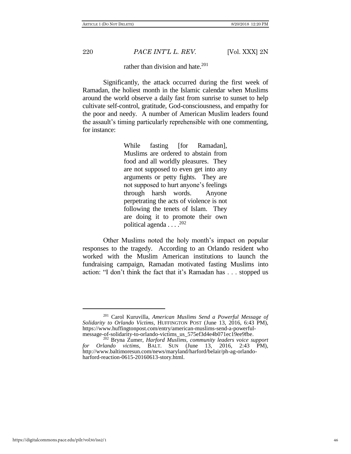rather than division and hate. 201

Significantly, the attack occurred during the first week of Ramadan, the holiest month in the Islamic calendar when Muslims around the world observe a daily fast from sunrise to sunset to help cultivate self-control, gratitude, God-consciousness, and empathy for the poor and needy. A number of American Muslim leaders found the assault's timing particularly reprehensible with one commenting, for instance:

> While fasting [for Ramadan], Muslims are ordered to abstain from food and all worldly pleasures. They are not supposed to even get into any arguments or petty fights. They are not supposed to hurt anyone's feelings through harsh words. Anyone perpetrating the acts of violence is not following the tenets of Islam. They are doing it to promote their own political agenda  $\ldots$ .<sup>202</sup>

Other Muslims noted the holy month's impact on popular responses to the tragedy. According to an Orlando resident who worked with the Muslim American institutions to launch the fundraising campaign, Ramadan motivated fasting Muslims into action: "I don't think the fact that it's Ramadan has . . . stopped us

<sup>201</sup> Carol Kuruvilla, *American Muslims Send a Powerful Message of Solidarity to Orlando Victims*, HUFFINGTON POST (June 13, 2016, 6:43 PM), https://www.huffingtonpost.com/entry/american-muslims-send-a-powerfulmessage-of-solidarity-to-orlando-victims\_us\_575ef3d4e4b071ec19ee9fbe.

<sup>202</sup> Bryna Zumer, *Harford Muslims, community leaders voice support for Orlando victims*, BALT. SUN (June 13, 2016, 2:43 PM), http://www.baltimoresun.com/news/maryland/harford/belair/ph-ag-orlandoharford-reaction-0615-20160613-story.html.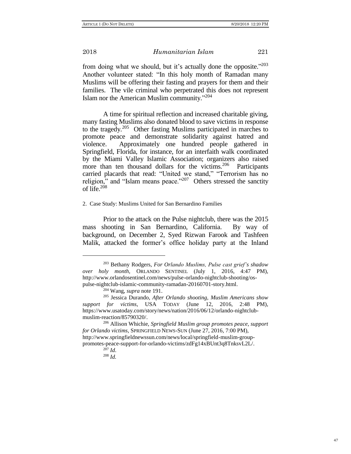from doing what we should, but it's actually done the opposite."<sup>203</sup> Another volunteer stated: "In this holy month of Ramadan many Muslims will be offering their fasting and prayers for them and their families. The vile criminal who perpetrated this does not represent Islam nor the American Muslim community." 204

A time for spiritual reflection and increased charitable giving, many fasting Muslims also donated blood to save victims in response to the tragedy.<sup>205</sup> Other fasting Muslims participated in marches to promote peace and demonstrate solidarity against hatred and violence. Approximately one hundred people gathered in Springfield, Florida, for instance, for an interfaith walk coordinated by the Miami Valley Islamic Association; organizers also raised more than ten thousand dollars for the victims.<sup>206</sup> Participants carried placards that read: "United we stand," "Terrorism has no religion," and "Islam means peace."<sup>207</sup> Others stressed the sanctity of life. $208$ 

#### 2. Case Study: Muslims United for San Bernardino Families

Prior to the attack on the Pulse nightclub, there was the 2015 mass shooting in San Bernardino, California. By way of background, on December 2, Syed Rizwan Farook and Tashfeen Malik, attacked the former's office holiday party at the Inland

<sup>203</sup> Bethany Rodgers, *For Orlando Muslims, Pulse cast grief's shadow over holy month*, ORLANDO SENTINEL (July 1, 2016, 4:47 PM), http://www.orlandosentinel.com/news/pulse-orlando-nightclub-shooting/ospulse-nightclub-islamic-community-ramadan-20160701-story.html.

<sup>204</sup> Wang, *supra* note 191.

<sup>205</sup> Jessica Durando, *After Orlando shooting, Muslim Americans show support for victims*, USA TODAY (June 12, 2016, 2:48 PM), https://www.usatoday.com/story/news/nation/2016/06/12/orlando-nightclubmuslim-reaction/85790320/.

<sup>206</sup> Allison Whichie, *Springfield Muslim group promotes peace, support for Orlando victims*, SPRINGFIELD NEWS-SUN (June 27, 2016, 7:00 PM), http://www.springfieldnewssun.com/news/local/springfield-muslim-grouppromotes-peace-support-for-orlando-victims/zdFg14xBUnt3q8TnksvL2L/.

 $^{207}$  *Id.* 

<sup>208</sup> *Id.*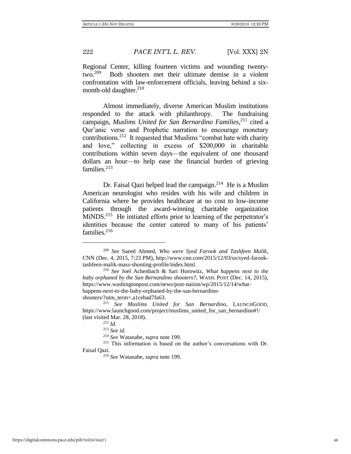Regional Center, killing fourteen victims and wounding twentytwo. $209$  Both shooters met their ultimate demise in a violent confrontation with law-enforcement officials, leaving behind a sixmonth-old daughter.<sup>210</sup>

Almost immediately, diverse American Muslim institutions responded to the attack with philanthropy. The fundraising campaign, *Muslims United for San Bernardino Families*, <sup>211</sup> cited a Qur'anic verse and Prophetic narration to encourage monetary contributions.<sup>212</sup> It requested that Muslims "combat hate with charity and love," collecting in excess of \$200,000 in charitable contributions within seven days—the equivalent of one thousand dollars an hour—to help ease the financial burden of grieving families. $213$ 

Dr. Faisal Qazi helped lead the campaign.<sup>214</sup> He is a Muslim American neurologist who resides with his wife and children in California where he provides healthcare at no cost to low-income patients through the award-winning charitable organization MiNDS.<sup>215</sup> He initiated efforts prior to learning of the perpetrator's identities because the center catered to many of his patients' families.<sup>216</sup>

<sup>209</sup> *See* Saeed Ahmed, *Who were Syed Farook and Tashfeen Malik*, CNN (Dec. 4, 2015, 7:23 PM), http://www.cnn.com/2015/12/03/us/syed-farooktashfeen-malik-mass-shooting-profile/index.html.

<sup>210</sup> *See* Joel Achenbach & Sari Horowitz, *What happens next to the baby orphaned by the San Bernandino shooters?,* WASH. POST (Dec. 14, 2015), https://www.washingtonpost.com/news/post-nation/wp/2015/12/14/whathappens-next-to-the-baby-orphaned-by-the-san-bernardinoshooters/?utm\_term=.a1cebad7fa63.

<sup>211</sup> *See Muslims United for San Bernardino*, LAUNCHGOOD, https://www.launchgood.com/project/muslims\_united\_for\_san\_bernardino#!/ (last visited Mar. 28, 2018).

<sup>212</sup> *Id.*

<sup>213</sup> *See id.*

<sup>214</sup> *See* Watanabe*, supra* note 199.

<sup>&</sup>lt;sup>215</sup> This information is based on the author's conversations with Dr. Faisal Qazi.

<sup>216</sup> *See* Watanabe*, supra* note 199.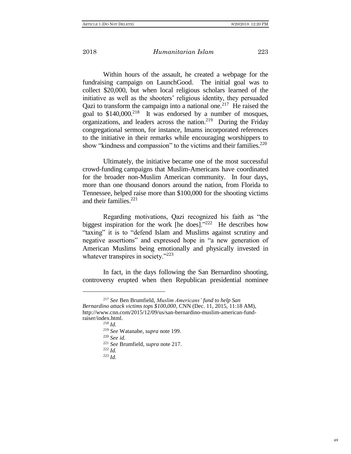Within hours of the assault, he created a webpage for the fundraising campaign on LaunchGood. The initial goal was to collect \$20,000, but when local religious scholars learned of the initiative as well as the shooters' religious identity, they persuaded Qazi to transform the campaign into a national one.<sup>217</sup> He raised the goal to  $$140,000.<sup>218</sup>$  It was endorsed by a number of mosques, organizations, and leaders across the nation.<sup>219</sup> During the Friday congregational sermon, for instance, Imams incorporated references to the initiative in their remarks while encouraging worshippers to show "kindness and compassion" to the victims and their families.<sup>220</sup>

Ultimately, the initiative became one of the most successful crowd-funding campaigns that Muslim-Americans have coordinated for the broader non-Muslim American community. In four days, more than one thousand donors around the nation, from Florida to Tennessee, helped raise more than \$100,000 for the shooting victims and their families.<sup>221</sup>

Regarding motivations, Qazi recognized his faith as "the biggest inspiration for the work [he does]." $222$  He describes how "taxing" it is to "defend Islam and Muslims against scrutiny and negative assertions" and expressed hope in "a new generation of American Muslims being emotionally and physically invested in whatever transpires in society."<sup>223</sup>

In fact, in the days following the San Bernardino shooting, controversy erupted when then Republican presidential nominee

<sup>217</sup> *See* Ben Brumfield, *Muslim Americans' fund to help San Bernardino attack victims tops \$100,000*, CNN (Dec. 11, 2015, 11:18 AM), http://www.cnn.com/2015/12/09/us/san-bernardino-muslim-american-fundraiser/index.html.

<sup>218</sup> *Id.*

<sup>219</sup> *See* Watanabe*, supra* note 199.

<sup>220</sup> *See id.*

<sup>221</sup> *See* Brumfield, *supra* note 217.

<sup>222</sup> *Id.*

<sup>223</sup> *Id.*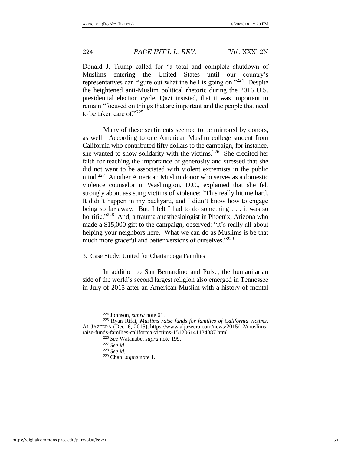Donald J. Trump called for "a total and complete shutdown of Muslims entering the United States until our country's representatives can figure out what the hell is going on."<sup>224</sup> Despite the heightened anti-Muslim political rhetoric during the 2016 U.S. presidential election cycle, Qazi insisted, that it was important to remain "focused on things that are important and the people that need to be taken care of."<sup>225</sup>

Many of these sentiments seemed to be mirrored by donors, as well. According to one American Muslim college student from California who contributed fifty dollars to the campaign, for instance, she wanted to show solidarity with the victims.<sup>226</sup> She credited her faith for teaching the importance of generosity and stressed that she did not want to be associated with violent extremists in the public mind.<sup>227</sup> Another American Muslim donor who serves as a domestic violence counselor in Washington, D.C., explained that she felt strongly about assisting victims of violence: "This really hit me hard. It didn't happen in my backyard, and I didn't know how to engage being so far away. But, I felt I had to do something . . . it was so horrific."<sup>228</sup> And, a trauma anesthesiologist in Phoenix, Arizona who made a \$15,000 gift to the campaign, observed: "It's really all about helping your neighbors here. What we can do as Muslims is be that much more graceful and better versions of ourselves."<sup>229</sup>

## 3. Case Study: United for Chattanooga Families

In addition to San Bernardino and Pulse, the humanitarian side of the world's second largest religion also emerged in Tennessee in July of 2015 after an American Muslim with a history of mental

<sup>224</sup> Johnson*, supra* note 61.

<sup>225</sup> Ryan Rifai, *Muslims raise funds for families of California victims*, AL JAZEERA (Dec. 6, 2015), https://www.aljazeera.com/news/2015/12/muslimsraise-funds-families-california-victims-151206141134887.html.

<sup>226</sup> *See* Watanabe*, supra* note 199.

<sup>227</sup> *See id*.

<sup>228</sup> *See id.*

<sup>229</sup> Chan*, supra* note 1.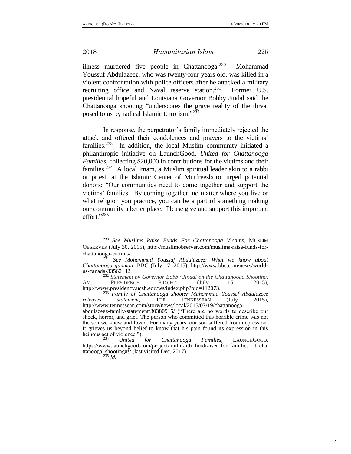2018 *Humanitarian Islam* 225

illness murdered five people in Chattanooga. $230$  Mohammad Youssuf Abdulazeez, who was twenty-four years old, was killed in a violent confrontation with police officers after he attacked a military recruiting office and Naval reserve station.<sup>231</sup> Former U.S. presidential hopeful and Louisiana Governor Bobby Jindal said the Chattanooga shooting "underscores the grave reality of the threat posed to us by radical Islamic terrorism."<sup>232</sup>

In response, the perpetrator's family immediately rejected the attack and offered their condolences and prayers to the victims' families.<sup>233</sup> In addition, the local Muslim community initiated a philanthropic initiative on LaunchGood, *United for Chattanooga Families*, collecting \$20,000 in contributions for the victims and their families.<sup>234</sup> A local Imam, a Muslim spiritual leader akin to a rabbi or priest, at the Islamic Center of Murfreesboro, urged potential donors: "Our communities need to come together and support the victims' families. By coming together, no matter where you live or what religion you practice, you can be a part of something making our community a better place. Please give and support this important effort."<sup>235</sup>

<sup>230</sup> *See Muslims Raise Funds For Chattanooga Victims,* MUSLIM OBSERVER (July 30, 2015), http://muslimobserver.com/muslims-raise-funds-forchattanooga-victims/.

<sup>231</sup> *See Mohammad Youssuf Abdulazeez: What we know about Chattanooga gunman*, BBC (July 17, 2015), http://www.bbc.com/news/worldus-canada-33562142.

<sup>&</sup>lt;sup>232</sup> *Statement by Governor Bobby Jindal on the Chattanooga Shooting*, PRESIDENCY PROJECT (July 16, 2015), AM. PRESIDENCY PROJECT (July 16, 2015), http://www.presidency.ucsb.edu/ws/index.php?pid=112073.

**Family of Chattanooga shooter Muhammad Youssef Abdulazeez** *statement*, THE **TENNESSEAN** (July 2015), *releases statement*, THE TENNESSEAN http://www.tennessean.com/story/news/local/2015/07/19/chattanoogaabdulazeez-family-statement/30380915/ ("There are no words to describe our shock, horror, and grief. The person who committed this horrible crime was not the son we knew and loved. For many years, our son suffered from depression. It grieves us beyond belief to know that his pain found its expression in this

heinous act of violence.").<br> $\frac{^{234}}{United}$ for *Chattanooga Families*, LAUNCHGOOD, https://www.launchgood.com/project/multifaith\_fundraiser\_for\_families\_of\_cha ttanooga\_shooting#!/ (last visited Dec. 2017).

<sup>235</sup> *Id.*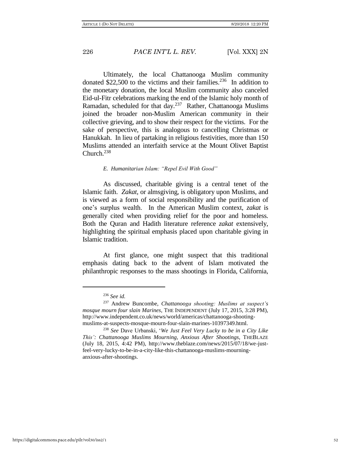Ultimately, the local Chattanooga Muslim community donated  $$22,500$  to the victims and their families.<sup>236</sup> In addition to the monetary donation, the local Muslim community also canceled Eid-ul-Fitr celebrations marking the end of the Islamic holy month of Ramadan, scheduled for that day.<sup>237</sup> Rather, Chattanooga Muslims joined the broader non-Muslim American community in their collective grieving, and to show their respect for the victims. For the sake of perspective, this is analogous to cancelling Christmas or Hanukkah. In lieu of partaking in religious festivities, more than 150 Muslims attended an interfaith service at the Mount Olivet Baptist Church. $238$ 

#### *E. Humanitarian Islam: "Repel Evil With Good"*

As discussed, charitable giving is a central tenet of the Islamic faith. *Zakat*, or almsgiving, is obligatory upon Muslims, and is viewed as a form of social responsibility and the purification of one's surplus wealth. In the American Muslim context, *zakat* is generally cited when providing relief for the poor and homeless. Both the Quran and Hadith literature reference *zakat* extensively, highlighting the spiritual emphasis placed upon charitable giving in Islamic tradition.

At first glance, one might suspect that this traditional emphasis dating back to the advent of Islam motivated the philanthropic responses to the mass shootings in Florida, California,

<sup>236</sup> *See id.*

<sup>237</sup> Andrew Buncombe, *Chattanooga shooting: Muslims at suspect's mosque mourn four slain Marines*, THE INDEPENDENT (July 17, 2015, 3:28 PM), http://www.independent.co.uk/news/world/americas/chattanooga-shootingmuslims-at-suspects-mosque-mourn-four-slain-marines-10397349.html.

<sup>238</sup> *See* Dave Urbanski, '*We Just Feel Very Lucky to be in a City Like This': Chattanooga Muslims Mourning, Anxious After Shootings*, THEBLAZE (July 18, 2015, 4:42 PM), http://www.theblaze.com/news/2015/07/18/we-justfeel-very-lucky-to-be-in-a-city-like-this-chattanooga-muslims-mourninganxious-after-shootings.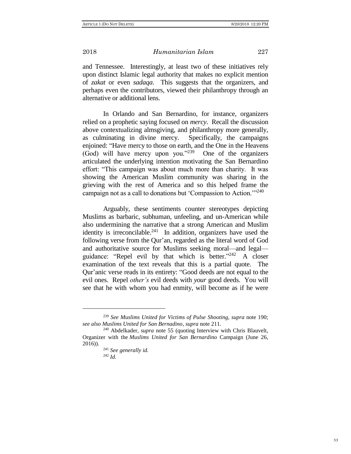and Tennessee. Interestingly, at least two of these initiatives rely upon distinct Islamic legal authority that makes no explicit mention of *zakat* or even *sadaqa*. This suggests that the organizers, and perhaps even the contributors, viewed their philanthropy through an alternative or additional lens.

In Orlando and San Bernardino, for instance, organizers relied on a prophetic saying focused on *mercy*. Recall the discussion above contextualizing almsgiving, and philanthropy more generally, as culminating in divine mercy. Specifically, the campaigns enjoined: "Have mercy to those on earth, and the One in the Heavens (God) will have mercy upon you." $239$  One of the organizers articulated the underlying intention motivating the San Bernardino effort: "This campaign was about much more than charity. It was showing the American Muslim community was sharing in the grieving with the rest of America and so this helped frame the campaign not as a call to donations but 'Compassion to Action."<sup>240</sup>

Arguably, these sentiments counter stereotypes depicting Muslims as barbaric, subhuman, unfeeling, and un-American while also undermining the narrative that a strong American and Muslim identity is irreconcilable.<sup>241</sup> In addition, organizers have used the following verse from the Qur'an, regarded as the literal word of God and authoritative source for Muslims seeking moral—and legal guidance: "Repel evil by that which is better."<sup>242</sup> A closer examination of the text reveals that this is a partial quote. The Qur'anic verse reads in its entirety: "Good deeds are not equal to the evil ones. Repel *other's* evil deeds with *your* good deeds. You will see that he with whom you had enmity, will become as if he were

<sup>239</sup> *See Muslims United for Victims of Pulse Shooting, supra* note 190; *see also Muslims United for San Bernadino*, *supra* note 211.

<sup>&</sup>lt;sup>240</sup> Abdelkader, *supra* note 55 (quoting Interview with Chris Blauvelt, Organizer with the *Muslims United for San Bernardino* Campaign (June 26, 2016)).

<sup>241</sup> *See generally id.*

<sup>242</sup> *Id.*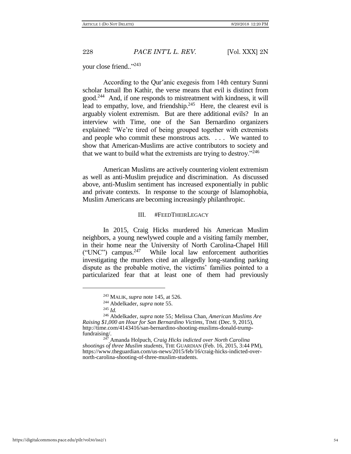your close friend.."<sup>243</sup>

According to the Qur'anic exegesis from 14th century Sunni scholar Ismail Ibn Kathir, the verse means that evil is distinct from good.<sup>244</sup> And, if one responds to mistreatment with kindness, it will lead to empathy, love, and friendship. $245$  Here, the clearest evil is arguably violent extremism. But are there additional evils? In an interview with Time, one of the San Bernardino organizers explained: "We're tired of being grouped together with extremists and people who commit these monstrous acts. . . . We wanted to show that American-Muslims are active contributors to society and that we want to build what the extremists are trying to destroy."<sup>246</sup>

American Muslims are actively countering violent extremism as well as anti-Muslim prejudice and discrimination. As discussed above, anti-Muslim sentiment has increased exponentially in public and private contexts. In response to the scourge of Islamophobia, Muslim Americans are becoming increasingly philanthropic.

## III. #FEEDTHEIRLEGACY

In 2015, Craig Hicks murdered his American Muslim neighbors, a young newlywed couple and a visiting family member, in their home near the University of North Carolina-Chapel Hill ("UNC") campus.<sup>247</sup> While local law enforcement authorities investigating the murders cited an allegedly long-standing parking dispute as the probable motive, the victims' families pointed to a particularized fear that at least one of them had previously

<sup>243</sup> MALIK, *supra* note 145, at 526.

<sup>244</sup> Abdelkader, *supra* note 55.

<sup>245</sup> *Id.*

<sup>246</sup> Abdelkader, *supra* note 55*;* Melissa Chan, *American Muslims Are Raising \$1,000 an Hour for San Bernardino Victims*, TIME (Dec. 9, 2015), http://time.com/4143416/san-bernardino-shooting-muslims-donald-trumpfundraising/.

<sup>247</sup> Amanda Holpuch, *Craig Hicks indicted over North Carolina shootings of three Muslim students*, THE GUARDIAN (Feb. 16, 2015, 3:44 PM), https://www.theguardian.com/us-news/2015/feb/16/craig-hicks-indicted-overnorth-carolina-shooting-of-three-muslim-students.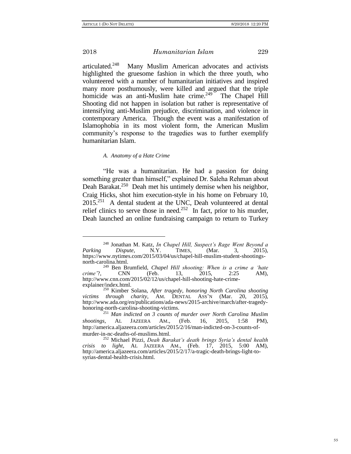$\overline{a}$ 

2018 *Humanitarian Islam* 229

articulated.<sup>248</sup> Many Muslim American advocates and activists highlighted the gruesome fashion in which the three youth, who volunteered with a number of humanitarian initiatives and inspired many more posthumously, were killed and argued that the triple homicide was an anti-Muslim hate crime. $249$  The Chapel Hill Shooting did not happen in isolation but rather is representative of intensifying anti-Muslim prejudice, discrimination, and violence in contemporary America. Though the event was a manifestation of Islamophobia in its most violent form, the American Muslim community's response to the tragedies was to further exemplify

### *A. Anatomy of a Hate Crime*

"He was a humanitarian. He had a passion for doing something greater than himself," explained Dr. Saleha Rehman about Deah Barakat.<sup>250</sup> Deah met his untimely demise when his neighbor, Craig Hicks, shot him execution-style in his home on February 10, 2015.<sup>251</sup> A dental student at the UNC, Deah volunteered at dental relief clinics to serve those in need.<sup>252</sup> In fact, prior to his murder, Deah launched an online fundraising campaign to return to Turkey

<sup>248</sup> Jonathan M. Katz, *In Chapel Hill, Suspect's Rage Went Beyond a Parking Dispute*, N.Y. TIMES, (Mar. 3, 2015), https://www.nytimes.com/2015/03/04/us/chapel-hill-muslim-student-shootingsnorth-carolina.html.

<sup>249</sup> Ben Brumfield, *Chapel Hill shooting: When is a crime a 'hate crime'*?, CNN (Feb. 13, 2015, 2:25 AM), http://www.cnn.com/2015/02/12/us/chapel-hill-shooting-hate-crimeexplainer/index.html.

<sup>250</sup> Kimber Solana, *After tragedy, honoring North Carolina shooting victims through charity*, AM. DENTAL ASS'N (Mar. 20, 2015), http://www.ada.org/en/publications/ada-news/2015-archive/march/after-tragedyhonoring-north-carolina-shooting-victims.

<sup>251</sup> *Man indicted on 3 counts of murder over North Carolina Muslim shootings*, AL JAZEERA AM., (Feb. 16, 2015, 1:58 PM), http://america.aljazeera.com/articles/2015/2/16/man-indicted-on-3-counts-ofmurder-in-nc-deaths-of-muslims.html.

<sup>252</sup> Michael Pizzi, *Deah Barakat's death brings Syria's dental health crisis to light*, AL JAZEERA AM., (Feb. 17, 2015, 5:00 AM), http://america.aljazeera.com/articles/2015/2/17/a-tragic-death-brings-light-tosyrias-dental-health-crisis.html.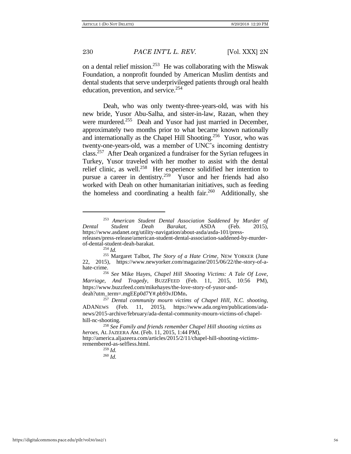on a dental relief mission.<sup>253</sup> He was collaborating with the Miswak Foundation, a nonprofit founded by American Muslim dentists and dental students that serve underprivileged patients through oral health education, prevention, and service.<sup>254</sup>

Deah, who was only twenty-three-years-old, was with his new bride, Yusor Abu-Salha, and sister-in-law, Razan, when they were murdered.<sup>255</sup> Deah and Yusor had just married in December, approximately two months prior to what became known nationally and internationally as the Chapel Hill Shooting.<sup>256</sup> Yusor, who was twenty-one-years-old, was a member of UNC's incoming dentistry class.<sup>257</sup> After Deah organized a fundraiser for the Syrian refugees in Turkey, Yusor traveled with her mother to assist with the dental relief clinic, as well.<sup>258</sup> Her experience solidified her intention to pursue a career in dentistry.<sup>259</sup> Yusor and her friends had also worked with Deah on other humanitarian initiatives, such as feeding the homeless and coordinating a health  $fair<sup>260</sup>$  Additionally, she

<sup>253</sup> *American Student Dental Association Saddened by Murder of Dental Student Deah Barakat,* ASDA (Feb. 2015), https://www.asdanet.org/utility-navigation/about-asda/asda-101/press-

releases/press-release/american-student-dental-association-saddened-by-murderof-dental-student-deah-barakat.

<sup>254</sup> *Id.*

<sup>255</sup> Margaret Talbot, *The Story of a Hate Crime*, NEW YORKER (June 22, 2015), https://www.newyorker.com/magazine/2015/06/22/the-story-of-ahate-crime.

<sup>256</sup> *See* Mike Hayes, *Chapel Hill Shooting Victims: A Tale Of Love, Marriage, And Tragedy*, BUZZFEED (Feb. 11, 2015, 10:56 PM), https://www.buzzfeed.com/mikehayes/the-love-story-of-yusor-anddeah?utm\_term=.mgEEp0d7Y#.pb93vJDMn**.**

<sup>257</sup> *Dental community mourn victims of Chapel Hill, N.C. shooting,* ADANEWS (Feb. 11, 2015), https://www.ada.org/en/publications/adanews/2015-archive/february/ada-dental-community-mourn-victims-of-chapelhill-nc-shooting.

<sup>258</sup> *See Family and friends remember Chapel Hill shooting victims as heroes*, AL JAZEERA AM. (Feb. 11, 2015, 1:44 PM),

http://america.aljazeera.com/articles/2015/2/11/chapel-hill-shooting-victimsremembered-as-selfless.html.

<sup>259</sup> *Id.*

<sup>260</sup> *Id.*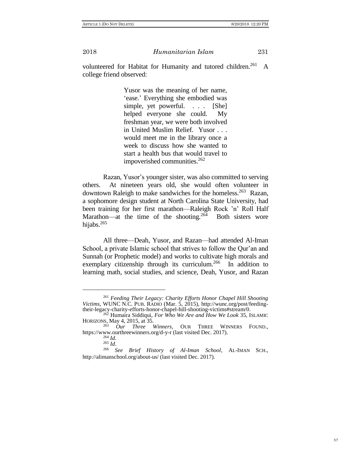volunteered for Habitat for Humanity and tutored children.<sup>261</sup> A college friend observed:

> Yusor was the meaning of her name, 'ease.' Everything she embodied was simple, yet powerful. . . . [She] helped everyone she could. My freshman year, we were both involved in United Muslim Relief. Yusor . . . would meet me in the library once a week to discuss how she wanted to start a health bus that would travel to impoverished communities.<sup>262</sup>

Razan, Yusor's younger sister, was also committed to serving others. At nineteen years old, she would often volunteer in downtown Raleigh to make sandwiches for the homeless.<sup>263</sup> Razan, a sophomore design student at North Carolina State University, had been training for her first marathon—Raleigh Rock 'n' Roll Half Marathon—at the time of the shooting.<sup>264</sup> Both sisters wore hijabs. 265

All three—Deah, Yusor, and Razan—had attended Al-Iman School, a private Islamic school that strives to follow the Qur'an and Sunnah (or Prophetic model) and works to cultivate high morals and exemplary citizenship through its curriculum.<sup>266</sup> In addition to learning math, social studies, and science, Deah, Yusor, and Razan

<sup>261</sup> *Feeding Their Legacy: Charity Efforts Honor Chapel Hill Shooting Victims*, WUNC N.C. PUB. RADIO (Mar. 5, 2015), http://wunc.org/post/feedingtheir-legacy-charity-efforts-honor-chapel-hill-shooting-victims#stream/0.

<sup>262</sup> Humaira Siddiqui, *For Who We Are and How We Look* 35, ISLAMIC HORIZONS, May 4, 2015, at 35.

<sup>263</sup> *Our Three Winners*, OUR THREE WINNERS FOUND., https://www.ourthreewinners.org/d-y-r (last visited Dec. 2017). <sup>264</sup> *Id*.

<sup>265</sup> *Id*.

<sup>266</sup> *See Brief History of Al-Iman School*, AL-IMAN SCH., http://alimanschool.org/about-us/ (last visited Dec. 2017).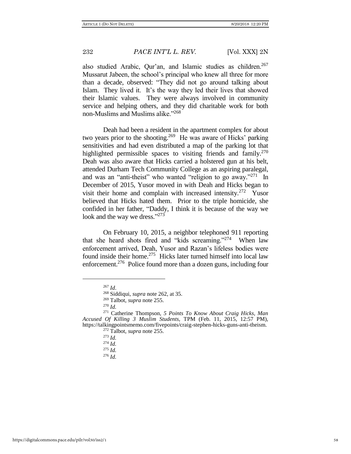also studied Arabic, Qur'an, and Islamic studies as children.<sup>267</sup> Mussarut Jabeen, the school's principal who knew all three for more than a decade, observed: "They did not go around talking about Islam. They lived it. It's the way they led their lives that showed their Islamic values. They were always involved in community service and helping others, and they did charitable work for both non-Muslims and Muslims alike."<sup>268</sup>

Deah had been a resident in the apartment complex for about two years prior to the shooting.<sup>269</sup> He was aware of Hicks' parking sensitivities and had even distributed a map of the parking lot that highlighted permissible spaces to visiting friends and family.<sup>270</sup> Deah was also aware that Hicks carried a holstered gun at his belt, attended Durham Tech Community College as an aspiring paralegal, and was an "anti-theist" who wanted "religion to go away."<sup>271</sup> In December of 2015, Yusor moved in with Deah and Hicks began to visit their home and complain with increased intensity.<sup>272</sup> Yusor believed that Hicks hated them. Prior to the triple homicide, she confided in her father, "Daddy, I think it is because of the way we look and the way we dress."<sup>273</sup>

On February 10, 2015, a neighbor telephoned 911 reporting that she heard shots fired and "kids screaming."<sup>274</sup> When law enforcement arrived, Deah, Yusor and Razan's lifeless bodies were found inside their home.<sup>275</sup> Hicks later turned himself into local law enforcement.<sup>276</sup> Police found more than a dozen guns, including four

<sup>267</sup> *Id*.

<sup>268</sup> Siddiqui, *supra* note 262, at 35.

<sup>269</sup> Talbot, *supra* note 255.

<sup>270</sup> *Id.*

<sup>271</sup> Catherine Thompson, *5 Points To Know About Craig Hicks, Man Accused Of Killing 3 Muslim Students,* TPM (Feb. 11, 2015, 12:57 PM), https://talkingpointsmemo.com/fivepoints/craig-stephen-hicks-guns-anti-theism.

<sup>272</sup> Talbot, *supra* note 255.

<sup>273</sup> *Id.*

<sup>274</sup> *Id.*

<sup>275</sup> *Id.*

<sup>276</sup> *Id.*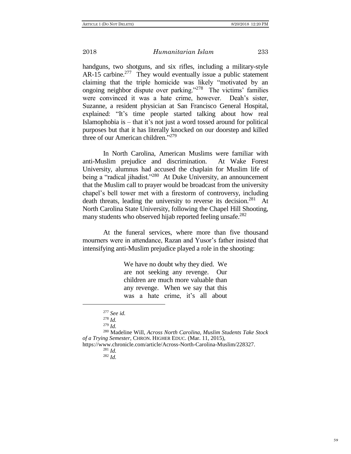handguns, two shotguns, and six rifles, including a military-style AR-15 carbine.<sup>277</sup> They would eventually issue a public statement claiming that the triple homicide was likely "motivated by an ongoing neighbor dispute over parking."<sup>278</sup> The victims' families were convinced it was a hate crime, however. Deah's sister, Suzanne, a resident physician at San Francisco General Hospital, explained: "It's time people started talking about how real Islamophobia is – that it's not just a word tossed around for political purposes but that it has literally knocked on our doorstep and killed three of our American children." 279

In North Carolina, American Muslims were familiar with anti-Muslim prejudice and discrimination. At Wake Forest University, alumnus had accused the chaplain for Muslim life of being a "radical jihadist."<sup>280</sup> At Duke University, an announcement that the Muslim call to prayer would be broadcast from the university chapel's bell tower met with a firestorm of controversy, including death threats, leading the university to reverse its decision.<sup>281</sup> At North Carolina State University, following the Chapel Hill Shooting, many students who observed hijab reported feeling unsafe.<sup>282</sup>

At the funeral services, where more than five thousand mourners were in attendance, Razan and Yusor's father insisted that intensifying anti-Muslim prejudice played a role in the shooting:

> We have no doubt why they died. We are not seeking any revenge. Our children are much more valuable than any revenge. When we say that this was a hate crime, it's all about

<sup>277</sup> *See id.*

<sup>278</sup> *Id.*

<sup>279</sup> *Id.*

<sup>280</sup> Madeline Will, *Across North Carolina, Muslim Students Take Stock of a Trying Semester*, CHRON. HIGHER EDUC. (Mar. 11, 2015),

https://www.chronicle.com/article/Across-North-Carolina-Muslim/228327. <sup>281</sup> *Id.*

<sup>282</sup> *Id.*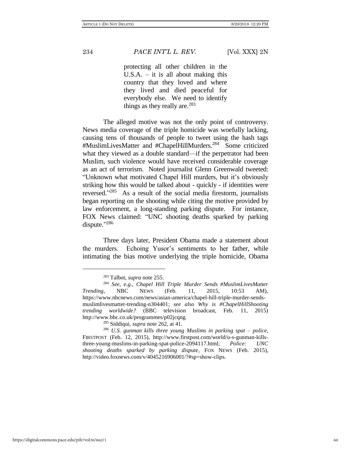## 234 *PACE INT'L L. REV.* [Vol. XXX] 2N

protecting all other children in the  $U.S.A. - it is all about making this$ country that they loved and where they lived and died peaceful for everybody else. We need to identify things as they really are.<sup>283</sup>

The alleged motive was not the only point of controversy. News media coverage of the triple homicide was woefully lacking, causing tens of thousands of people to tweet using the hash tags #MuslimLivesMatter and #ChapelHillMurders.<sup>284</sup> Some criticized what they viewed as a double standard—if the perpetrator had been Muslim, such violence would have received considerable coverage as an act of terrorism. Noted journalist Glenn Greenwald tweeted: "Unknown what motivated Chapel Hill murders, but it's obviously striking how this would be talked about - quickly - if identities were reversed."<sup>285</sup> As a result of the social media firestorm, journalists began reporting on the shooting while citing the motive provided by law enforcement, a long-standing parking dispute. For instance, FOX News claimed: "UNC shooting deaths sparked by parking dispute." 286

Three days later, President Obama made a statement about the murders. Echoing Yusor's sentiments to her father, while intimating the bias motive underlying the triple homicide, Obama

<sup>283</sup> Talbot, *supra* note 255.

<sup>284</sup> *See, e.g., Chapel Hill Triple Murder Sends #MuslimLivesMatter Trending*, NBC NEWS (Feb. 11, 2015, 10:53 AM), https://www.nbcnews.com/news/asian-america/chapel-hill-triple-murder-sendsmuslimlivesmatter-trending-n304401; *see also Why is #ChapelHillShooting trending worldwide?* (BBC television broadcast, Feb. 11, 2015) http://www.bbc.co.uk/programmes/p02jcqng.

<sup>285</sup> Siddiqui, *supra* note 262, at 41.

<sup>286</sup> *U.S. gunman kills three young Muslims in parking spat – police*, FIRSTPOST (Feb. 12, 2015), http://www.firstpost.com/world/u-s-gunman-killsthree-young-muslims-in-parking-spat-police-2094117.html; *Police: UNC shooting deaths sparked by parking dispute*, FOX NEWS (Feb. 2015), http://video.foxnews.com/v/4045216906001/?#sp=show-clips.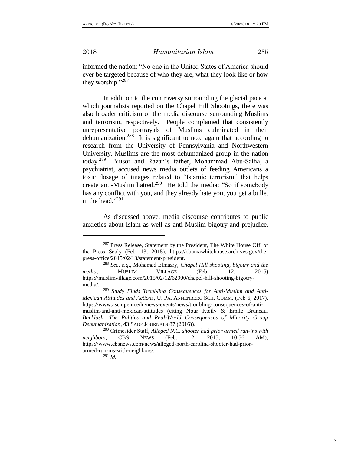2018 *Humanitarian Islam* 235

informed the nation: "No one in the United States of America should ever be targeted because of who they are, what they look like or how they worship."<sup>287</sup>

In addition to the controversy surrounding the glacial pace at which journalists reported on the Chapel Hill Shootings, there was also broader criticism of the media discourse surrounding Muslims and terrorism, respectively. People complained that consistently unrepresentative portrayals of Muslims culminated in their dehumanization.<sup>288</sup> It is significant to note again that according to research from the University of Pennsylvania and Northwestern University, Muslims are the most dehumanized group in the nation today.<sup>289</sup> Yusor and Razan's father, Mohammad Abu-Salha, a psychiatrist, accused news media outlets of feeding Americans a toxic dosage of images related to "Islamic terrorism" that helps create anti-Muslim hatred.<sup>290</sup> He told the media: "So if somebody has any conflict with you, and they already hate you, you get a bullet in the head." 291

As discussed above, media discourse contributes to public anxieties about Islam as well as anti-Muslim bigotry and prejudice.

<sup>&</sup>lt;sup>287</sup> Press Release, Statement by the President, The White House Off. of the Press Sec'y (Feb. 13, 2015), https://obamawhitehouse.archives.gov/thepress-office/2015/02/13/statement-president.

<sup>288</sup> *See, e.g*., Mohamad Elmasry, *Chapel Hill shooting, bigotry and the media*, MUSLIM VILLAGE (Feb. 12, 2015) https://muslimvillage.com/2015/02/12/62900/chapel-hill-shooting-bigotrymedia/.

<sup>289</sup> *Study Finds Troubling Consequences for Anti-Muslim and Anti-Mexican Attitudes and Actions*, U. PA. ANNENBERG SCH. COMM. (Feb 6, 2017), https://www.asc.upenn.edu/news-events/news/troubling-consequences-of-antimuslim-and-anti-mexican-attitudes (citing Nour Kteily & Emile Bruneau, *Backlash: The Politics and Real-World Consequences of Minority Group Dehumanization*, 43 SAGE JOURNALS 87 (2016)).

<sup>290</sup> Crimesider Staff, *Alleged N.C. shooter had prior armed run-ins with neighbors*, CBS NEWS (Feb. 12, 2015, 10:56 AM), https://www.cbsnews.com/news/alleged-north-carolina-shooter-had-priorarmed-run-ins-with-neighbors/.

<sup>291</sup> *Id.*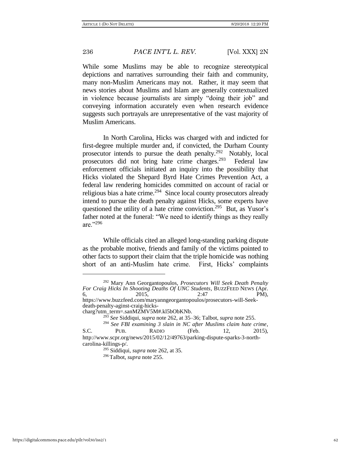# 236 *PACE INT'L L. REV.* [Vol. XXX] 2N

While some Muslims may be able to recognize stereotypical depictions and narratives surrounding their faith and community, many non-Muslim Americans may not. Rather, it may seem that news stories about Muslims and Islam are generally contextualized in violence because journalists are simply "doing their job" and conveying information accurately even when research evidence suggests such portrayals are unrepresentative of the vast majority of Muslim Americans.

In North Carolina, Hicks was charged with and indicted for first-degree multiple murder and, if convicted, the Durham County prosecutor intends to pursue the death penalty.<sup>292</sup> Notably, local prosecutors did not bring hate crime charges.<sup>293</sup> Federal law enforcement officials initiated an inquiry into the possibility that Hicks violated the Shepard Byrd Hate Crimes Prevention Act, a federal law rendering homicides committed on account of racial or religious bias a hate crime.<sup>294</sup> Since local county prosecutors already intend to pursue the death penalty against Hicks, some experts have questioned the utility of a hate crime conviction.<sup>295</sup> But, as Yusor's father noted at the funeral: "We need to identify things as they really are."<sup>296</sup>

While officials cited an alleged long-standing parking dispute as the probable motive, friends and family of the victims pointed to other facts to support their claim that the triple homicide was nothing short of an anti-Muslim hate crime. First, Hicks' complaints

<sup>292</sup> Mary Ann Georgantopoulos, *Prosecutors Will Seek Death Penalty For Craig Hicks In Shooting Deaths Of UNC Students*, BUZZFEED NEWS (Apr. 6, 2015, 2:47 PM), 6, 2015, 2:47 PM), https://www.buzzfeed.com/maryanngeorgantopoulos/prosecutors-will-Seekdeath-penalty-aginst-craig-hickscharg?utm\_term=.sanMZMV5M#.kl5bObKNb.

<sup>293</sup> *See* Siddiqui, *supra* note 262, at 35–36; Talbot, *supra* note 255.

<sup>294</sup> *See FBI examining 3 slain in NC after Muslims claim hate crime*, S.C. PUB. RADIO (Feb. 12, 2015), http://www.scpr.org/news/2015/02/12/49763/parking-dispute-sparks-3-northcarolina-killings-p/.

<sup>295</sup> Siddiqui, *supra* note 262, at 35.

<sup>296</sup> Talbot, *supra* note 255.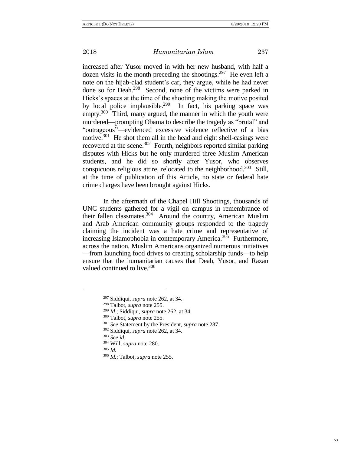increased after Yusor moved in with her new husband, with half a dozen visits in the month preceding the shootings.<sup>297</sup> He even left a note on the hijab-clad student's car, they argue, while he had never done so for Deah.<sup>298</sup> Second, none of the victims were parked in Hicks's spaces at the time of the shooting making the motive posited by local police implausible.<sup>299</sup> In fact, his parking space was empty. $300$  Third, many argued, the manner in which the youth were murdered—prompting Obama to describe the tragedy as "brutal" and "outrageous"—evidenced excessive violence reflective of a bias motive.<sup>301</sup> He shot them all in the head and eight shell-casings were recovered at the scene.<sup>302</sup> Fourth, neighbors reported similar parking disputes with Hicks but he only murdered three Muslim American students, and he did so shortly after Yusor, who observes conspicuous religious attire, relocated to the neighborhood.<sup>303</sup> Still, at the time of publication of this Article, no state or federal hate crime charges have been brought against Hicks.

In the aftermath of the Chapel Hill Shootings, thousands of UNC students gathered for a vigil on campus in remembrance of their fallen classmates.<sup>304</sup> Around the country, American Muslim and Arab American community groups responded to the tragedy claiming the incident was a hate crime and representative of increasing Islamophobia in contemporary America.<sup>305</sup> Furthermore, across the nation, Muslim Americans organized numerous initiatives —from launching food drives to creating scholarship funds—to help ensure that the humanitarian causes that Deah, Yusor, and Razan valued continued to live.<sup>306</sup>

<sup>297</sup> Siddiqui, *supra* note 262, at 34.

<sup>298</sup> Talbot, *supra* note 255.

<sup>299</sup> *Id*.; Siddiqui, *supra* note 262, at 34.

<sup>300</sup> Talbot, *supra* note 255.

<sup>301</sup> *See* Statement by the President, *supra* note 287.

<sup>302</sup> Siddiqui, *supra* note 262, at 34.

<sup>303</sup> *See id*.

<sup>304</sup> Will, *supra* note 280.

<sup>305</sup> *Id.*

<sup>306</sup> *Id.*; Talbot, *supra* note 255.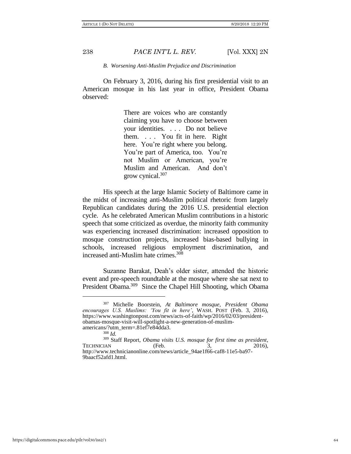*B. Worsening Anti-Muslim Prejudice and Discrimination*

On February 3, 2016, during his first presidential visit to an American mosque in his last year in office, President Obama observed:

> There are voices who are constantly claiming you have to choose between your identities. . . . Do not believe them. . . . You fit in here. Right here. You're right where you belong. You're part of America, too. You're not Muslim or American, you're Muslim and American. And don't grow cynical.<sup>307</sup>

His speech at the large Islamic Society of Baltimore came in the midst of increasing anti-Muslim political rhetoric from largely Republican candidates during the 2016 U.S. presidential election cycle. As he celebrated American Muslim contributions in a historic speech that some criticized as overdue, the minority faith community was experiencing increased discrimination: increased opposition to mosque construction projects, increased bias-based bullying in schools, increased religious employment discrimination, and increased anti-Muslim hate crimes.<sup>308</sup>

Suzanne Barakat, Deah's older sister, attended the historic event and pre-speech roundtable at the mosque where she sat next to President Obama.<sup>309</sup> Since the Chapel Hill Shooting, which Obama

<sup>307</sup> Michelle Boorstein, *At Baltimore mosque, President Obama encourages U.S. Muslims: 'You fit in here'*, WASH. POST (Feb. 3, 2016), https://www.washingtonpost.com/news/acts-of-faith/wp/2016/02/03/presidentobamas-mosque-visit-will-spotlight-a-new-generation-of-muslimamericans/?utm\_term=.81ef7e84dda3.

<sup>308</sup> *Id.*

<sup>&</sup>lt;sup>309</sup> Staff Report, *Obama visits U.S. mosque for first time as president*,<br>1AN (Feb. 3, 2016). TECHNICIAN (Feb. 3, 2016), http://www.technicianonline.com/news/article\_94ae1f66-caf8-11e5-ba97- 9baacf52afd1.html.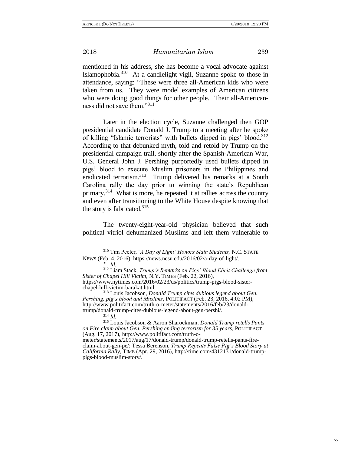mentioned in his address, she has become a vocal advocate against Islamophobia.<sup>310</sup> At a candlelight vigil, Suzanne spoke to those in attendance, saying: "These were three all-American kids who were taken from us. They were model examples of American citizens who were doing good things for other people. Their all-Americanness did not save them<sup>"311</sup>"

Later in the election cycle, Suzanne challenged then GOP presidential candidate Donald J. Trump to a meeting after he spoke of killing "Islamic terrorists" with bullets dipped in pigs' blood.<sup>312</sup> According to that debunked myth, told and retold by Trump on the presidential campaign trail, shortly after the Spanish-American War, U.S. General John J. Pershing purportedly used bullets dipped in pigs' blood to execute Muslim prisoners in the Philippines and eradicated terrorism.<sup>313</sup> Trump delivered his remarks at a South Carolina rally the day prior to winning the state's Republican primary.<sup>314</sup> What is more, he repeated it at rallies across the country and even after transitioning to the White House despite knowing that the story is fabricated. $315$ 

The twenty-eight-year-old physician believed that such political vitriol dehumanized Muslims and left them vulnerable to

<sup>310</sup> Tim Peeler, '*A Day of Light' Honors Slain Students,* N.C. STATE NEWS (Feb. 4, 2016), https://news.ncsu.edu/2016/02/a-day-of-light/.

<sup>311</sup> *Id.*

<sup>312</sup> Liam Stack, *Trump's Remarks on Pigs' Blood Elicit Challenge from Sister of Chapel Hill Victim*, N.Y. TIMES (Feb. 22, 2016),

https://www.nytimes.com/2016/02/23/us/politics/trump-pigs-blood-sisterchapel-hill-victim-barakat.html.

<sup>313</sup> Louis Jacobson, *Donald Trump cites dubious legend about Gen. Pershing, pig's blood and Muslims*, POLITIFACT (Feb. 23, 2016, 4:02 PM), http://www.politifact.com/truth-o-meter/statements/2016/feb/23/donaldtrump/donald-trump-cites-dubious-legend-about-gen-pershi/.

 $314$  *Id.* 

<sup>315</sup> Louis Jacobson & Aaron Sharockman, *Donald Trump retells Pants on Fire claim about Gen. Pershing ending terrorism for 35 years*, POLITIFACT (Aug. 17, 2017), http://www.politifact.com/truth-o-

meter/statements/2017/aug/17/donald-trump/donald-trump-retells-pants-fireclaim-about-gen-pe/; Tessa Berenson, *Trump Repeats False Pig's Blood Story at California Rally*, TIME (Apr. 29, 2016), http://time.com/4312131/donald-trumppigs-blood-muslim-story/.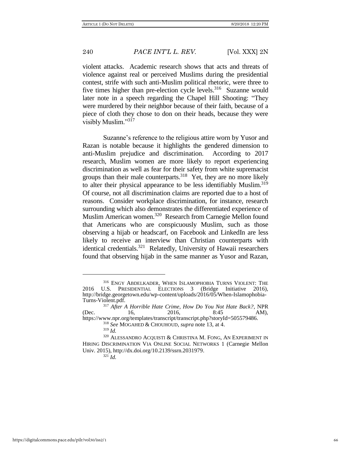violent attacks. Academic research shows that acts and threats of violence against real or perceived Muslims during the presidential contest, strife with such anti-Muslim political rhetoric, were three to five times higher than pre-election cycle levels.<sup>316</sup> Suzanne would later note in a speech regarding the Chapel Hill Shooting: "They were murdered by their neighbor because of their faith, because of a piece of cloth they chose to don on their heads, because they were visibly Muslim."<sup>317</sup>

Suzanne's reference to the religious attire worn by Yusor and Razan is notable because it highlights the gendered dimension to anti-Muslim prejudice and discrimination. According to 2017 research, Muslim women are more likely to report experiencing discrimination as well as fear for their safety from white supremacist groups than their male counterparts.<sup>318</sup> Yet, they are no more likely to alter their physical appearance to be less identifiably Muslim.<sup>319</sup> Of course, not all discrimination claims are reported due to a host of reasons. Consider workplace discrimination, for instance, research surrounding which also demonstrates the differentiated experience of Muslim American women.<sup>320</sup> Research from Carnegie Mellon found that Americans who are conspicuously Muslim, such as those observing a hijab or headscarf, on Facebook and LinkedIn are less likely to receive an interview than Christian counterparts with identical credentials.<sup>321</sup> Relatedly, University of Hawaii researchers found that observing hijab in the same manner as Yusor and Razan,

<sup>318</sup> *See* MOGAHED & CHOUHOUD, *supra* note 13, at 4.

<sup>316</sup> ENGY ABDELKADER, WHEN ISLAMOPHOBIA TURNS VIOLENT: THE 2016 U.S. PRESIDENTIAL ELECTIONS 3 (Bridge Initiative 2016), http://bridge.georgetown.edu/wp-content/uploads/2016/05/When-Islamophobia-Turns-Violent.pdf.

<sup>317</sup> *After A Horrible Hate Crime, How Do You Not Hate Back?,* NPR (Dec. 16, 2016, 8:45 AM), https://www.npr.org/templates/transcript/transcript.php?storyId=505579486.

<sup>319</sup> *Id.*

<sup>320</sup> ALESSANDRO ACQUISTI & CHRISTINA M. FONG, AN EXPERIMENT IN HIRING DISCRIMINATION VIA ONLINE SOCIAL NETWORKS 1 (Carnegie Mellon Univ. 2015), http://dx.doi.org/10.2139/ssrn.2031979.

<sup>321</sup> *Id.*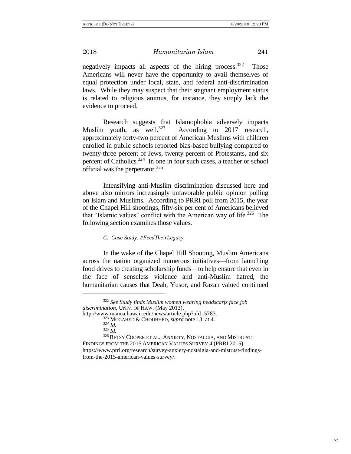negatively impacts all aspects of the hiring process.  $322$  Those Americans will never have the opportunity to avail themselves of equal protection under local, state, and federal anti-discrimination laws. While they may suspect that their stagnant employment status is related to religious animus, for instance, they simply lack the evidence to proceed.

Research suggests that Islamophobia adversely impacts Muslim youth, as well. $323$  According to 2017 research, approximately forty-two percent of American Muslims with children enrolled in public schools reported bias-based bullying compared to twenty-three percent of Jews, twenty percent of Protestants, and six percent of Catholics.<sup>324</sup> In one in four such cases, a teacher or school official was the perpetrator.<sup>325</sup>

Intensifying anti-Muslim discrimination discussed here and above also mirrors increasingly unfavorable public opinion polling on Islam and Muslims. According to PRRI poll from 2015, the year of the Chapel Hill shootings, fifty-six per cent of Americans believed that "Islamic values" conflict with the American way of life.<sup>326</sup> The following section examines those values.

#### *C. Case Study: #FeedTheirLegacy*

In the wake of the Chapel Hill Shooting, Muslim Americans across the nation organized numerous initiatives—from launching food drives to creating scholarship funds—to help ensure that even in the face of senseless violence and anti-Muslim hatred, the humanitarian causes that Deah, Yusor, and Razan valued continued

<sup>323</sup> MOGAHED & CHOUHHED, *supra* note 13, at 4.

<sup>322</sup> *See Study finds Muslim women wearing headscarfs face job discrimination*, UNIV. OF HAW. (May 2013), http://www.manoa.hawaii.edu/news/article.php?aId=5783.

*<sup>324</sup> Id.*

<sup>325</sup> *Id.*

<sup>326</sup> BETSY COOPER ET AL., ANXIETY, NOSTALGIA, AND MISTRUST: FINDINGS FROM THE 2015 AMERICAN VALUES SURVEY 4 (PRRI 2015), https://www.prri.org/research/survey-anxiety-nostalgia-and-mistrust-findingsfrom-the-2015-american-values-survey/.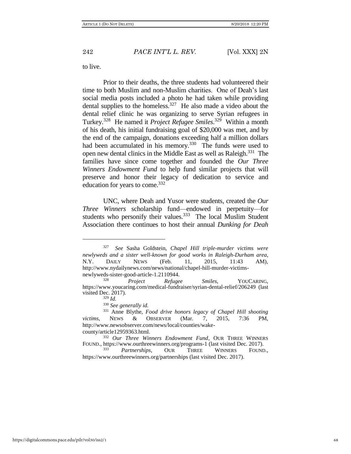to live.

Prior to their deaths, the three students had volunteered their time to both Muslim and non-Muslim charities. One of Deah's last social media posts included a photo he had taken while providing dental supplies to the homeless.<sup>327</sup> He also made a video about the dental relief clinic he was organizing to serve Syrian refugees in Turkey.<sup>328</sup> He named it *Project Refugee Smiles*. 329 Within a month of his death, his initial fundraising goal of \$20,000 was met, and by the end of the campaign, donations exceeding half a million dollars had been accumulated in his memory.<sup>330</sup> The funds were used to open new dental clinics in the Middle East as well as Raleigh.<sup>331</sup> The families have since come together and founded the *Our Three Winners Endowment Fund* to help fund similar projects that will preserve and honor their legacy of dedication to service and education for years to come.<sup>332</sup>

UNC, where Deah and Yusor were students, created the *Our Three Winners* scholarship fund—endowed in perpetuity—for students who personify their values.<sup>333</sup> The local Muslim Student Association there continues to host their annual *Dunking for Deah*

<sup>327</sup> *See* Sasha Goldstein, *Chapel Hill triple-murder victims were newlyweds and a sister well-known for good works in Raleigh-Durham area*, N.Y. DAILY NEWS (Feb. 11, 2015, 11:43 AM), http://www.nydailynews.com/news/national/chapel-hill-murder-victimsnewlyweds-sister-good-article-1.2110944.<br>  $R_{\text{res}}$ 

<sup>328</sup> *Project Refugee Smiles*, YOUCARING, https://www.youcaring.com/medical-fundraiser/syrian-dental-relief/206249 (last visited Dec. 2017).

<sup>329</sup> *Id.*

<sup>330</sup> *See generally id.*

<sup>331</sup> Anne Blythe, *Food drive honors legacy of Chapel Hill shooting victims*, NEWS & OBSERVER (Mar. 7, 2015, 7:36 PM, http://www.newsobserver.com/news/local/counties/wakecounty/article12959363.html.

<sup>332</sup> *Our Three Winners Endowment Fund*, OUR THREE WINNERS FOUND., https://www.ourthreewinners.org/programs-1 (last visited Dec. 2017).<br>
Rastnerships OUP TURE WINNERS FOUND

Partnerships, OUR THREE WINNERS FOUND., https://www.ourthreewinners.org/partnerships (last visited Dec. 2017).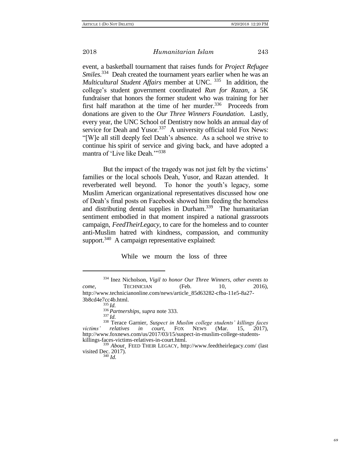event, a basketball tournament that raises funds for *Project Refugee*  Smiles.<sup>334</sup> Deah created the tournament years earlier when he was an *Multicultural Student Affairs* member at UNC. <sup>335</sup> In addition, the college's student government coordinated *Run for Razan*, a 5K fundraiser that honors the former student who was training for her first half marathon at the time of her murder.<sup>336</sup> Proceeds from donations are given to the *Our Three Winners Foundation*. Lastly, every year, the UNC School of Dentistry now holds an annual day of service for Deah and Yusor.<sup>337</sup> A university official told Fox News: "[W]e all still deeply feel Deah's absence. As a school we strive to continue his spirit of service and giving back, and have adopted a mantra of 'Live like Deah."<sup>338</sup>

But the impact of the tragedy was not just felt by the victims' families or the local schools Deah, Yusor, and Razan attended. It reverberated well beyond. To honor the youth's legacy, some Muslim American organizational representatives discussed how one of Deah's final posts on Facebook showed him feeding the homeless and distributing dental supplies in Durham.<sup>339</sup> The humanitarian sentiment embodied in that moment inspired a national grassroots campaign, *FeedTheirLegacy*, to care for the homeless and to counter anti-Muslim hatred with kindness, compassion, and community support. $340$  A campaign representative explained:

While we mourn the loss of three

<sup>334</sup> Inez Nicholson, *Vigil to honor Our Three Winners, other events to come*, **TECHNICIAN** (Feb. 10, 2016), http://www.technicianonline.com/news/article\_85d63282-cfba-11e5-8a27- 3b8cd4e7cc4b.html.

<sup>335</sup> *Id.*

<sup>336</sup> *Partnerships, supra* note 333*.*

<sup>337</sup> *Id.*

<sup>&</sup>lt;sup>338</sup> Terace Garnier, *Suspect in Muslim college students' killings faces relatives in court*, FOX NEWS (Mar. 15, 2017), *victims' relatives in court*, FOX NEWS (Mar. 15, 2017), http://www.foxnews.com/us/2017/03/15/suspect-in-muslim-college-studentskillings-faces-victims-relatives-in-court.html.

<sup>339</sup> *About¸* FEED THEIR LEGACY, http://www.feedtheirlegacy.com/ (last visited Dec. 2017).

<sup>340</sup> *Id.*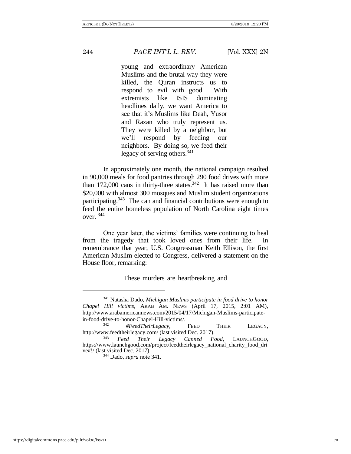young and extraordinary American Muslims and the brutal way they were killed, the Quran instructs us to respond to evil with good. With extremists like ISIS dominating headlines daily, we want America to see that it's Muslims like Deah, Yusor and Razan who truly represent us. They were killed by a neighbor, but we'll respond by feeding our neighbors. By doing so, we feed their legacy of serving others. $341$ 

In approximately one month, the national campaign resulted in 90,000 meals for food pantries through 290 food drives with more than  $172,000$  cans in thirty-three states.<sup>342</sup> It has raised more than \$20,000 with almost 300 mosques and Muslim student organizations participating.<sup>343</sup> The can and financial contributions were enough to feed the entire homeless population of North Carolina eight times over. <sup>344</sup>

One year later, the victims' families were continuing to heal from the tragedy that took loved ones from their life. remembrance that year, U.S. Congressman Keith Ellison, the first American Muslim elected to Congress, delivered a statement on the House floor, remarking:

### These murders are heartbreaking and

<sup>344</sup> Dado, *supra* note 341.

<sup>341</sup> Natasha Dado, *Michigan Muslims participate in food drive to honor Chapel Hill victims*, ARAB AM. NEWS (April 17, 2015, 2:01 AM), http://www.arabamericannews.com/2015/04/17/Michigan-Muslims-participatein-food-drive-to-honor-Chapel-Hill-victims/.

<sup>342</sup> *#FeedTheirLegacy*, FEED THEIR LEGACY, http://www.feedtheirlegacy.com/ (last visited Dec. 2017).

<sup>343</sup> *Feed Their Legacy Canned Food*, LAUNCHGOOD, https://www.launchgood.com/project/feedtheirlegacy\_national\_charity\_food\_dri ve#!/ (last visited Dec. 2017).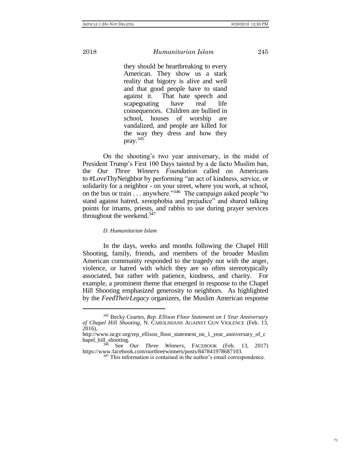# 2018 *Humanitarian Islam* 245

they should be heartbreaking to every American. They show us a stark reality that bigotry is alive and well and that good people have to stand against it. That hate speech and scapegoating have real life consequences. Children are bullied in school, houses of worship are vandalized, and people are killed for the way they dress and how they pray.<sup>345</sup>

On the shooting's two year anniversary, in the midst of President Trump's First 100 Days tainted by a de facto Muslim ban, the *Our Three Winners Foundation* called on Americans to #LoveThyNeighbor by performing "an act of kindness, service, or solidarity for a neighbor - on your street, where you work, at school, on the bus or train . . . anywhere."<sup>346</sup> The campaign asked people "to stand against hatred, xenophobia and prejudice" and shared talking points for imams, priests, and rabbis to use during prayer services throughout the weekend. $347$ 

## *D. Humanitarian Islam*

In the days, weeks and months following the Chapel Hill Shooting, family, friends, and members of the broader Muslim American community responded to the tragedy not with the anger, violence, or hatred with which they are so often stereotypically associated, but rather with patience, kindness, and charity. For example, a prominent theme that emerged in response to the Chapel Hill Shooting emphasized generosity to neighbors. As highlighted by the *FeedTheirLegacy* organizers, the Muslim American response

<sup>345</sup> Becky Ceartes, *Rep. Ellison Floor Statement on 1 Year Anniversary of Chapel Hill Shooting*, N. CAROLINIANS AGAINST GUN VIOLENCE (Feb. 13, 2016),

http://www.ncgv.org/rep\_ellison\_floor\_statement\_on\_1\_year\_anniversary\_of\_c hapel\_hill\_shooting.

<sup>346</sup> See *Our Three Winners*, FACEBOOK (Feb. 13, 2017) https://www.facebook.com/ourthreewinners/posts/847841978687103.

<sup>347</sup> This information is contained in the author's email correspondence.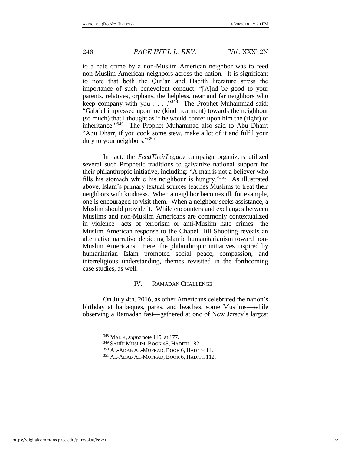to a hate crime by a non-Muslim American neighbor was to feed non-Muslim American neighbors across the nation. It is significant to note that both the Qur'an and Hadith literature stress the importance of such benevolent conduct: "[A]nd be good to your parents, relatives, orphans, the helpless, near and far neighbors who keep company with you  $\ldots$   $\frac{1}{348}$  The Prophet Muhammad said: "Gabriel impressed upon me (kind treatment) towards the neighbour (so much) that I thought as if he would confer upon him the (right) of inheritance."<sup>349</sup> The Prophet Muhammad also said to Abu Dharr: "Abu Dharr, if you cook some stew, make a lot of it and fulfil your duty to your neighbors."350

In fact, the *FeedTheirLegacy* campaign organizers utilized several such Prophetic traditions to galvanize national support for their philanthropic initiative, including: "A man is not a believer who fills his stomach while his neighbour is hungry."<sup>351</sup> As illustrated above, Islam's primary textual sources teaches Muslims to treat their neighbors with kindness. When a neighbor becomes ill, for example, one is encouraged to visit them. When a neighbor seeks assistance, a Muslim should provide it. While encounters and exchanges between Muslims and non-Muslim Americans are commonly contextualized in violence—acts of terrorism or anti-Muslim hate crimes—the Muslim American response to the Chapel Hill Shooting reveals an alternative narrative depicting Islamic humanitarianism toward non-Muslim Americans. Here, the philanthropic initiatives inspired by humanitarian Islam promoted social peace, compassion, and interreligious understanding, themes revisited in the forthcoming case studies, as well.

# IV. RAMADAN CHALLENGE

On July 4th, 2016, as other Americans celebrated the nation's birthday at barbeques, parks, and beaches, some Muslims—while observing a Ramadan fast—gathered at one of New Jersey's largest

<sup>348</sup> MALIK,*supra* note 145, at 177.

<sup>&</sup>lt;sup>349</sup> SAHĪH MUSLIM, BOOK 45, HADITH 182.

<sup>350</sup> AL-ADAB AL-MUFRAD, BOOK 6, HADITH 14.

<sup>351</sup> AL-ADAB AL-MUFRAD, BOOK 6, HADITH 112.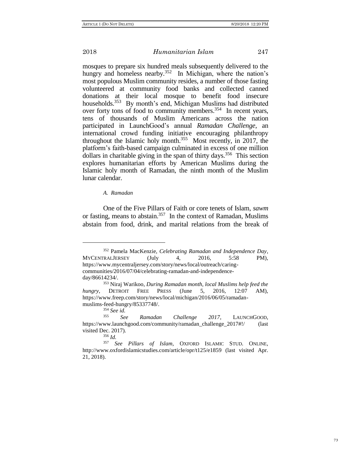mosques to prepare six hundred meals subsequently delivered to the hungry and homeless nearby.<sup>352</sup> In Michigan, where the nation's most populous Muslim community resides, a number of those fasting volunteered at community food banks and collected canned donations at their local mosque to benefit food insecure households.<sup>353</sup> By month's end, Michigan Muslims had distributed over forty tons of food to community members.<sup>354</sup> In recent years, tens of thousands of Muslim Americans across the nation participated in LaunchGood's annual *Ramadan Challenge*, an international crowd funding initiative encouraging philanthropy throughout the Islamic holy month.<sup>355</sup> Most recently, in 2017, the platform's faith-based campaign culminated in excess of one million dollars in charitable giving in the span of thirty days.<sup>356</sup> This section explores humanitarian efforts by American Muslims during the Islamic holy month of Ramadan, the ninth month of the Muslim lunar calendar.

# *A. Ramadan*

One of the Five Pillars of Faith or core tenets of Islam, *sawm* or fasting, means to abstain.<sup>357</sup> In the context of Ramadan, Muslims abstain from food, drink, and marital relations from the break of

<sup>352</sup> Pamela MacKenzie, *Celebrating Ramadan and Independence Day*, MYCENTRALJERSEY (July 4, 2016, 5:58 PM), https://www.mycentraljersey.com/story/news/local/outreach/caringcommunities/2016/07/04/celebrating-ramadan-and-independenceday/86614234/.

<sup>353</sup> Niraj Warikoo, *During Ramadan month, local Muslims help feed the hungry*, DETROIT FREE PRESS (June 5, 2016, 12:07 AM), https://www.freep.com/story/news/local/michigan/2016/06/05/ramadanmuslims-feed-hungry/85337748/.

<sup>354</sup> *See id.*

<sup>355</sup> *See Ramadan Challenge 2017*, LAUNCHGOOD, https://www.launchgood.com/community/ramadan\_challenge\_2017#!/ (last visited Dec. 2017).

 $\frac{356}{357}$  *Id.* 

<sup>357</sup> *See Pillars of Islam*, OXFORD ISLAMIC STUD. ONLINE, http://www.oxfordislamicstudies.com/article/opr/t125/e1859 (last visited Apr. 21, 2018).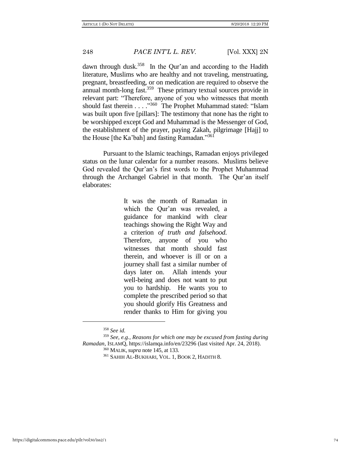dawn through dusk.<sup>358</sup> In the Qur'an and according to the Hadith literature, Muslims who are healthy and not traveling, menstruating, pregnant, breastfeeding, or on medication are required to observe the annual month-long fast.<sup>359</sup> These primary textual sources provide in relevant part: "Therefore, anyone of you who witnesses that month should fast therein . . . . "<sup>360</sup> The Prophet Muhammad stated: "Islam was built upon five [pillars]: The testimony that none has the right to be worshipped except God and Muhammad is the Messenger of God, the establishment of the prayer, paying Zakah, pilgrimage [Hajj] to the House [the Ka'bah] and fasting Ramadan."<sup>361</sup>

Pursuant to the Islamic teachings, Ramadan enjoys privileged status on the lunar calendar for a number reasons. Muslims believe God revealed the Qur'an's first words to the Prophet Muhammad through the Archangel Gabriel in that month. The Qur'an itself elaborates:

> It was the month of Ramadan in which the Qur'an was revealed, a guidance for mankind with clear teachings showing the Right Way and a criterion *of truth and falsehood.* Therefore, anyone of you who witnesses that month should fast therein, and whoever is ill or on a journey shall fast a similar number of days later on. Allah intends your well-being and does not want to put you to hardship. He wants you to complete the prescribed period so that you should glorify His Greatness and render thanks to Him for giving you

<sup>358</sup> *See id.*

<sup>359</sup> *See, e.g., Reasons for which one may be excused from fasting during Ramadan*, ISLAMQ, https://islamqa.info/en/23296 (last visited Apr. 24, 2018).

<sup>360</sup> MALIK,*supra* note 145, at 133.

<sup>361</sup> SAHIH AL-BUKHARI, VOL. 1, BOOK 2, HADITH 8.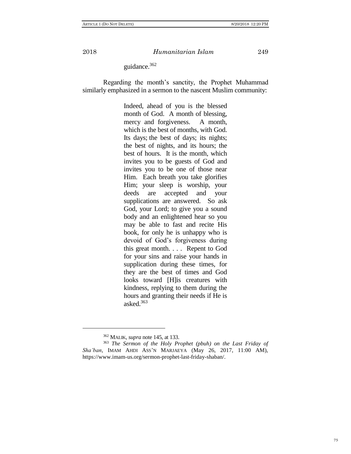guidance.<sup>362</sup>

Regarding the month's sanctity, the Prophet Muhammad similarly emphasized in a sermon to the nascent Muslim community:

> Indeed, ahead of you is the blessed month of God. A month of blessing, mercy and forgiveness. A month, which is the best of months, with God. Its days; the best of days; its nights; the best of nights, and its hours; the best of hours. It is the month, which invites you to be guests of God and invites you to be one of those near Him. Each breath you take glorifies Him; your sleep is worship, your deeds are accepted and your supplications are answered. So ask God, your Lord; to give you a sound body and an enlightened hear so you may be able to fast and recite His book, for only he is unhappy who is devoid of God's forgiveness during this great month. . . . Repent to God for your sins and raise your hands in supplication during these times, for they are the best of times and God looks toward [H]is creatures with kindness, replying to them during the hours and granting their needs if He is asked.<sup>363</sup>

<sup>362</sup> MALIK, *supra* note 145, at 133.

<sup>363</sup> *The Sermon of the Holy Prophet (pbuh) on the Last Friday of Sha'ban*, IMAM AHDI ASS'N MARJAEYA (May 26, 2017, 11:00 AM), https://www.imam-us.org/sermon-prophet-last-friday-shaban/.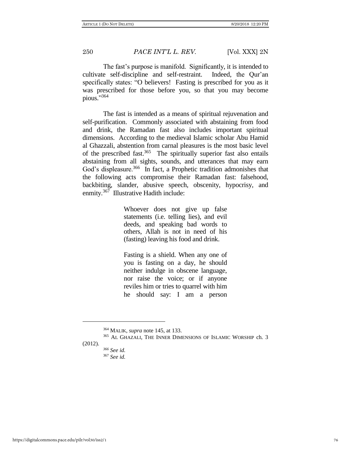The fast's purpose is manifold. Significantly, it is intended to cultivate self-discipline and self-restraint. Indeed, the Qur'an specifically states: "O believers! Fasting is prescribed for you as it was prescribed for those before you, so that you may become pious." 364

The fast is intended as a means of spiritual rejuvenation and self-purification. Commonly associated with abstaining from food and drink, the Ramadan fast also includes important spiritual dimensions. According to the medieval Islamic scholar Abu Hamid al Ghazzali, abstention from carnal pleasures is the most basic level of the prescribed fast.<sup>365</sup> The spiritually superior fast also entails abstaining from all sights, sounds, and utterances that may earn God's displeasure.<sup>366</sup> In fact, a Prophetic tradition admonishes that the following acts compromise their Ramadan fast: falsehood, backbiting, slander, abusive speech, obscenity, hypocrisy, and enmity.<sup>367</sup> Illustrative Hadith include:

> Whoever does not give up false statements (i.e. telling lies), and evil deeds, and speaking bad words to others, Allah is not in need of his (fasting) leaving his food and drink.

> Fasting is a shield. When any one of you is fasting on a day, he should neither indulge in obscene language, nor raise the voice; or if anyone reviles him or tries to quarrel with him he should say: I am a person

(2012).

<sup>364</sup> MALIK, *supra* note 145, at 133.

<sup>365</sup> AL GHAZALI, THE INNER DIMENSIONS OF ISLAMIC WORSHIP ch. 3

*<sup>366</sup> See id.*

<sup>367</sup> *See id.*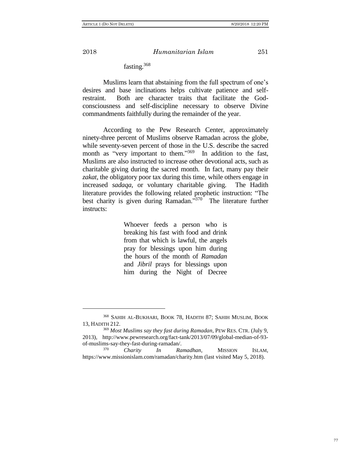$\overline{a}$ 

fasting.<sup>368</sup>

Muslims learn that abstaining from the full spectrum of one's desires and base inclinations helps cultivate patience and selfrestraint. Both are character traits that facilitate the Godconsciousness and self-discipline necessary to observe Divine commandments faithfully during the remainder of the year.

According to the Pew Research Center, approximately ninety-three percent of Muslims observe Ramadan across the globe, while seventy-seven percent of those in the U.S. describe the sacred month as "very important to them."<sup>369</sup> In addition to the fast, Muslims are also instructed to increase other devotional acts, such as charitable giving during the sacred month. In fact, many pay their *zakat*, the obligatory poor tax during this time, while others engage in increased *sadaqa*, or voluntary charitable giving. The Hadith literature provides the following related prophetic instruction: "The best charity is given during Ramadan."<sup>370</sup> The literature further instructs:

> Whoever feeds a person who is breaking his fast with food and drink from that which is lawful, the angels pray for blessings upon him during the hours of the month of *Ramadan*  and *Jibril* prays for blessings upon him during the Night of Decree

<sup>368</sup> SAHIH AL-BUKHARI, BOOK 78, HADITH 87; SAHIH MUSLIM, BOOK 13, HADITH 212.

<sup>369</sup> *Most Muslims say they fast during Ramadan*, PEW RES. CTR. (July 9, 2013), http://www.pewresearch.org/fact-tank/2013/07/09/global-median-of-93 of-muslims-say-they-fast-during-ramadan/.<br> $V_3^{370}$  Charity  $V_2^{370}$ 

<sup>370</sup> *Charity In Ramadhan*, MISSION ISLAM, https://www.missionislam.com/ramadan/charity.htm (last visited May 5, 2018).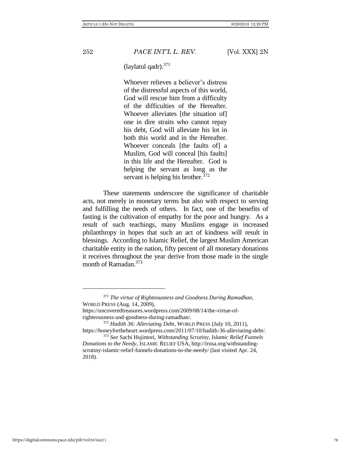(laylatul qadr). 371

Whoever relieves a believer's distress of the distressful aspects of this world, God will rescue him from a difficulty of the difficulties of the Hereafter. Whoever alleviates [the situation of] one in dire straits who cannot repay his debt, God will alleviate his lot in both this world and in the Hereafter. Whoever conceals [the faults of] a Muslim, God will conceal [his faults] in this life and the Hereafter. God is helping the servant as long as the servant is helping his brother. $372$ 

These statements underscore the significance of charitable acts, not merely in monetary terms but also with respect to serving and fulfilling the needs of others. In fact, one of the benefits of fasting is the cultivation of empathy for the poor and hungry. As a result of such teachings, many Muslims engage in increased philanthropy in hopes that such an act of kindness will result in blessings. According to Islamic Relief, the largest Muslim American charitable entity in the nation, fifty percent of all monetary donations it receives throughout the year derive from those made in the single month of Ramadan.<sup>373</sup>

<sup>371</sup> *The virtue of Righteousness and Goodness During Ramadhan*, WORLD PRESS (Aug. 14, 2009),

https://uncoveredtreasures.wordpress.com/2009/08/14/the-virtue-ofrighteousness-and-goodness-during-ramadhan/.

<sup>372</sup> *Hadith 36: Alleviating Debt*, WORLD PRESS (July 10, 2011), https://honeyfortheheart.wordpress.com/2011/07/10/hadith-36-alleviating-debt/.

<sup>373</sup> *See* Sachi Hujimori, *Withstanding Scrutiny, Islamic Relief Funnels Donations to the Needy*, ISLAMIC RELIEF USA, http://irusa.org/withstandingscrutiny-islamic-relief-funnels-donations-to-the-needy/ (last visited Apr. 24, 2018).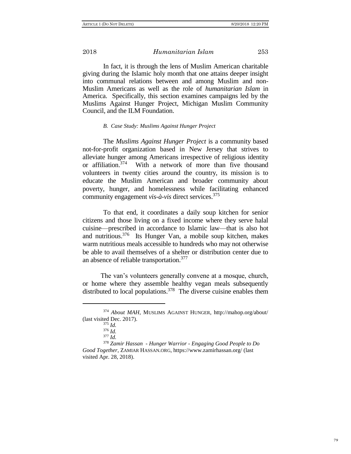In fact, it is through the lens of Muslim American charitable giving during the Islamic holy month that one attains deeper insight into communal relations between and among Muslim and non-Muslim Americans as well as the role of *humanitarian Islam* in America. Specifically, this section examines campaigns led by the Muslims Against Hunger Project, Michigan Muslim Community Council, and the ILM Foundation.

## *B. Case Study: Muslims Against Hunger Project*

The *Muslims Against Hunger Project* is a community based not-for-profit organization based in New Jersey that strives to alleviate hunger among Americans irrespective of religious identity or affiliation.<sup>374</sup> With a network of more than five thousand volunteers in twenty cities around the country, its mission is to educate the Muslim American and broader community about poverty, hunger, and homelessness while facilitating enhanced community engagement *vis-à-vis* direct services.<sup>375</sup>

To that end, it coordinates a daily soup kitchen for senior citizens and those living on a fixed income where they serve halal cuisine—prescribed in accordance to Islamic law—that is also hot and nutritious.<sup>376</sup> Its Hunger Van, a mobile soup kitchen, makes warm nutritious meals accessible to hundreds who may not otherwise be able to avail themselves of a shelter or distribution center due to an absence of reliable transportation.<sup>377</sup>

The van's volunteers generally convene at a mosque, church, or home where they assemble healthy vegan meals subsequently distributed to local populations.<sup>378</sup> The diverse cuisine enables them

<sup>374</sup> *About MAH*, MUSLIMS AGAINST HUNGER, http://mahop.org/about/ (last visited Dec. 2017).

<sup>375</sup> *Id.*

<sup>376</sup> *Id.*

<sup>377</sup> *Id.*

<sup>378</sup> *Zamir Hassan - Hunger Warrior - Engaging Good People to Do Good Together*, ZAMIAR HASSAN.ORG, https://www.zamirhassan.org/ (last visited Apr. 28, 2018).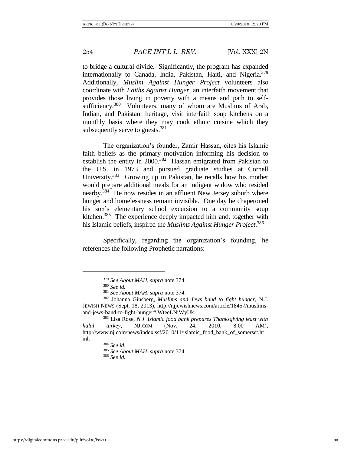to bridge a cultural divide. Significantly, the program has expanded internationally to Canada, India, Pakistan, Haiti, and Nigeria.<sup>379</sup> Additionally, *Muslim Against Hunger Project* volunteers also coordinate with *Faiths Against Hunger*, an interfaith movement that provides those living in poverty with a means and path to selfsufficiency.<sup>380</sup> Volunteers, many of whom are Muslims of Arab, Indian, and Pakistani heritage, visit interfaith soup kitchens on a monthly basis where they may cook ethnic cuisine which they subsequently serve to guests. $381$ 

The organization's founder, Zamir Hassan, cites his Islamic faith beliefs as the primary motivation informing his decision to establish the entity in 2000.<sup>382</sup> Hassan emigrated from Pakistan to the U.S. in 1973 and pursued graduate studies at Cornell University.<sup>383</sup> Growing up in Pakistan, he recalls how his mother would prepare additional meals for an indigent widow who resided nearby.<sup>384</sup> He now resides in an affluent New Jersey suburb where hunger and homelessness remain invisible. One day he chaperoned his son's elementary school excursion to a community soup kitchen.<sup>385</sup> The experience deeply impacted him and, together with his Islamic beliefs, inspired the *Muslims Against Hunger Project*. 386

Specifically, regarding the organization's founding, he references the following Prophetic narrations:

<sup>379</sup> *See About MAH, supra* note 374.

<sup>380</sup> *See id.*

<sup>381</sup> *See About MAH, supra* note 374.

<sup>382</sup> Johanna Ginsberg, *Muslims and Jews band to fight hunger*, N.J. JEWISH NEWS (Sept. 18, 2013), http://njjewishnews.com/article/18457/muslimsand-jews-band-to-fight-hunger#.WteeLNiWyUk.

<sup>383</sup> Lisa Rose*, N.J. Islamic food bank prepares Thanksgiving feast with halal turkey*, NJ.COM (Nov. 24, 2010, 8:00 AM), http://www.nj.com/news/index.ssf/2010/11/islamic\_food\_bank\_of\_somerset.ht ml.

<sup>384</sup> *See id.*

<sup>385</sup> *See About MAH, supra* note 374.

<sup>386</sup> *See id.*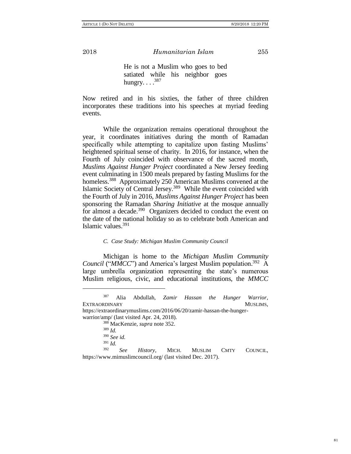He is not a Muslim who goes to bed satiated while his neighbor goes hungry.  $\ldots^{387}$ 

Now retired and in his sixties, the father of three children incorporates these traditions into his speeches at myriad feeding events.

While the organization remains operational throughout the year, it coordinates initiatives during the month of Ramadan specifically while attempting to capitalize upon fasting Muslims' heightened spiritual sense of charity. In 2016, for instance, when the Fourth of July coincided with observance of the sacred month, *Muslims Against Hunger Project* coordinated a New Jersey feeding event culminating in 1500 meals prepared by fasting Muslims for the homeless.<sup>388</sup> Approximately 250 American Muslims convened at the Islamic Society of Central Jersey.<sup>389</sup> While the event coincided with the Fourth of July in 2016, *Muslims Against Hunger Project* has been sponsoring the Ramadan *Sharing Initiative* at the mosque annually for almost a decade.<sup>390</sup> Organizers decided to conduct the event on the date of the national holiday so as to celebrate both American and Islamic values.<sup>391</sup>

## *C. Case Study: Michigan Muslim Community Council*

Michigan is home to the *Michigan Muslim Community Council* ("*MMCC*") and America's largest Muslim population. 392 A large umbrella organization representing the state's numerous Muslim religious, civic, and educational institutions, the *MMCC* 

warrior/amp/ (last visited Apr. 24, 2018).

 $\overline{a}$ 

<sup>392</sup> *See History,* MICH. MUSLIM CMTY COUNCIL, https://www.mimuslimcouncil.org/ (last visited Dec. 2017).

<sup>387</sup> Alia Abdullah, *Zamir Hassan the Hunger Warrior*, EXTRAORDINARY MUSLIMS, https://extraordinarymuslims.com/2016/06/20/zamir-hassan-the-hunger-

<sup>388</sup> MacKenzie, *supra* note 352.

<sup>389</sup> *Id.*

<sup>390</sup> *See id.*

<sup>391</sup> *Id.*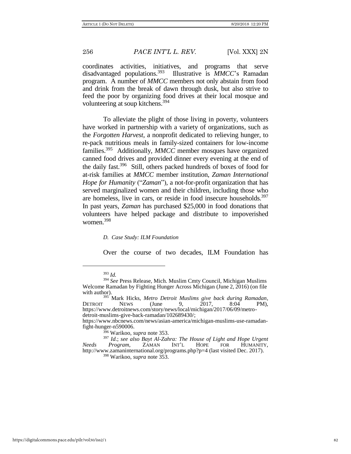coordinates activities, initiatives, and programs that serve disadvantaged populations.<sup>393</sup> Illustrative is *MMCC*'s Ramadan program. A number of *MMCC* members not only abstain from food and drink from the break of dawn through dusk, but also strive to feed the poor by organizing food drives at their local mosque and volunteering at soup kitchens.<sup>394</sup>

To alleviate the plight of those living in poverty, volunteers have worked in partnership with a variety of organizations, such as the *Forgotten Harvest*, a nonprofit dedicated to relieving hunger, to re-pack nutritious meals in family-sized containers for low-income families.<sup>395</sup> Additionally, *MMCC* member mosques have organized canned food drives and provided dinner every evening at the end of the daily fast.<sup>396</sup> Still, others packed hundreds of boxes of food for at-risk families at *MMCC* member institution, *Zaman International Hope for Humanity* ("*Zaman*")*,* a not-for-profit organization that has served marginalized women and their children, including those who are homeless, live in cars, or reside in food insecure households.<sup>397</sup> In past years, *Zaman* has purchased \$25,000 in food donations that volunteers have helped package and distribute to impoverished women.<sup>398</sup>

### *D. Case Study: ILM Foundation*

Over the course of two decades, ILM Foundation has

<sup>393</sup> *Id.*

<sup>394</sup> *See* Press Release, Mich. Muslim Cmty Council, Michigan Muslims Welcome Ramadan by Fighting Hunger Across Michigan (June 2, 2016) (on file with author).

<sup>395</sup> Mark Hicks, *Metro Detroit Muslims give back during Ramadan*, DETROIT NEWS (June 9,  $2017$ ,  $8:04$  PM), https://www.detroitnews.com/story/news/local/michigan/2017/06/09/metrodetroit-muslims-give-back-ramadan/102689430/;

https://www.nbcnews.com/news/asian-america/michigan-muslims-use-ramadanfight-hunger-n590006.

<sup>396</sup> Warikoo, *supra* note 353.

<sup>397</sup> *Id*.; *see also Bayt Al-Zahra: The House of Light and Hope Urgent Needs Program*, ZAMAN INT'L HOPE FOR HUMANITY, http://www.zamaninternational.org/programs.php?p=4 (last visited Dec. 2017). <sup>398</sup> Warikoo, *supra* note 353.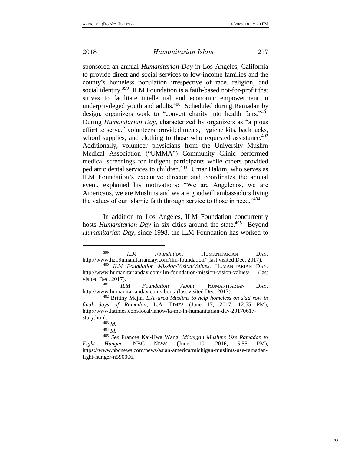sponsored an annual *Humanitarian Day* in Los Angeles, California to provide direct and social services to low-income families and the county's homeless population irrespective of race, religion, and social identity.<sup>399</sup> ILM Foundation is a faith-based not-for-profit that strives to facilitate intellectual and economic empowerment to underprivileged youth and adults.<sup>400</sup> Scheduled during Ramadan by design, organizers work to "convert charity into health fairs."<sup>401</sup> During *Humanitarian Day*, characterized by organizers as "a pious effort to serve," volunteers provided meals, hygiene kits, backpacks, school supplies, and clothing to those who requested assistance.<sup>402</sup> Additionally, volunteer physicians from the University Muslim Medical Association ("UMMA") Community Clinic performed medical screenings for indigent participants while others provided pediatric dental services to children.<sup>403</sup> Umar Hakim, who serves as ILM Foundation's executive director and coordinates the annual event, explained his motivations: "We are Angelenos, we are Americans, we are Muslims and we are goodwill ambassadors living the values of our Islamic faith through service to those in need."<sup>404</sup>

In addition to Los Angeles, ILM Foundation concurrently hosts *Humanitarian Day* in six cities around the state.<sup>405</sup> Beyond *Humanitarian Day*, since 1998, the ILM Foundation has worked to

<sup>399</sup> *ILM Foundation*, HUMANITARIAN DAY, http://www.h219umanitarianday.com/ilm-foundation/ (last visited Dec. 2017).

<sup>400</sup> *ILM Foundation Mission/Vision/Values*, HUMANITARIAN DAY, http://www.humanitarianday.com/ilm-foundation/mission-vision-values/ (last visited Dec. 2017).

ILM Foundation About, HUMANITARIAN DAY, http://www.humanitarianday.com/about/ (last visited Dec. 2017).

<sup>402</sup> Brittny Mejia, *L.A.-area Muslims to help homeless on skid row in final days of Ramadan*, L.A. TIMES (June 17, 2017, 12:55 PM), http://www.latimes.com/local/lanow/la-me-ln-humanitarian-day-20170617 story.html.

<sup>403</sup> *Id.*

<sup>404</sup> *Id.*

<sup>405</sup> *See* Frances Kai-Hwa Wang, *Michigan Muslims Use Ramadan to Fight Hunger*, NBC NEWS (June 10, 2016, 5:55 PM), https://www.nbcnews.com/news/asian-america/michigan-muslims-use-ramadanfight-hunger-n590006.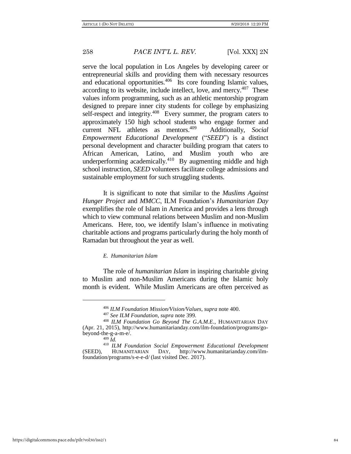serve the local population in Los Angeles by developing career or entrepreneurial skills and providing them with necessary resources and educational opportunities.<sup>406</sup> Its core founding Islamic values, according to its website, include intellect, love, and mercy.<sup>407</sup> These values inform programming, such as an athletic mentorship program designed to prepare inner city students for college by emphasizing self-respect and integrity.<sup>408</sup> Every summer, the program caters to approximately 150 high school students who engage former and current NFL athletes as mentors.<sup>409</sup> Additionally, *Social Empowerment Educational Development* ("*SEED*") is a distinct personal development and character building program that caters to African American, Latino, and Muslim youth who are underperforming academically.<sup>410</sup> By augmenting middle and high school instruction, *SEED* volunteers facilitate college admissions and sustainable employment for such struggling students.

It is significant to note that similar to the *Muslims Against Hunger Project* and *MMCC*, ILM Foundation's *Humanitarian Day* exemplifies the role of Islam in America and provides a lens through which to view communal relations between Muslim and non-Muslim Americans. Here, too, we identify Islam's influence in motivating charitable actions and programs particularly during the holy month of Ramadan but throughout the year as well.

## *E. Humanitarian Islam*

The role of *humanitarian Islam* in inspiring charitable giving to Muslim and non-Muslim Americans during the Islamic holy month is evident. While Muslim Americans are often perceived as

<sup>406</sup> *ILM Foundation Mission/Vision/Values*, *supra* note 400.

<sup>407</sup> *See ILM Foundation*, *supra* note 399.

<sup>408</sup> *ILM Foundation Go Beyond The G.A.M.E*., HUMANITARIAN DAY (Apr. 21, 2015), http://www.humanitarianday.com/ilm-foundation/programs/gobeyond-the-g-a-m-e/.

<sup>409</sup> *Id.*

<sup>410</sup> *ILM Foundation Social Empowerment Educational Development* (SEED), HUMANITARIAN DAY, http://www.humanitarianday.com/ilmfoundation/programs/s-e-e-d/ (last visited Dec. 2017).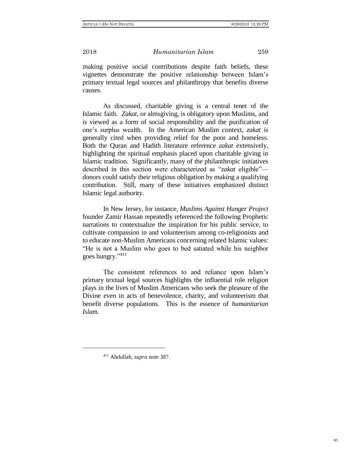making positive social contributions despite faith beliefs, these vignettes demonstrate the positive relationship between Islam's primary textual legal sources and philanthropy that benefits diverse causes.

As discussed, charitable giving is a central tenet of the Islamic faith. *Zakat*, or almsgiving, is obligatory upon Muslims, and is viewed as a form of social responsibility and the purification of one's surplus wealth. In the American Muslim context, *zakat* is generally cited when providing relief for the poor and homeless. Both the Quran and Hadith literature reference *zakat* extensively, highlighting the spiritual emphasis placed upon charitable giving in Islamic tradition. Significantly, many of the philanthropic initiatives described in this section were characterized as "*zakat* eligible" donors could satisfy their religious obligation by making a qualifying contribution. Still, many of these initiatives emphasized distinct Islamic legal authority.

In New Jersey, for instance, *Muslims Against Hunger Project* founder Zamir Hassan repeatedly referenced the following Prophetic narrations to contextualize the inspiration for his public service, to cultivate compassion in and volunteerism among co-religionists and to educate non-Muslim Americans concerning related Islamic values: "He is not a Muslim who goes to bed satiated while his neighbor goes hungry." 411

The consistent references to and reliance upon Islam's primary textual legal sources highlights the influential role religion plays in the lives of Muslim Americans who seek the pleasure of the Divine even in acts of benevolence, charity, and volunteerism that benefit diverse populations. This is the essence of *humanitarian Islam*.

<sup>411</sup> Abdullah, *supra* note 387.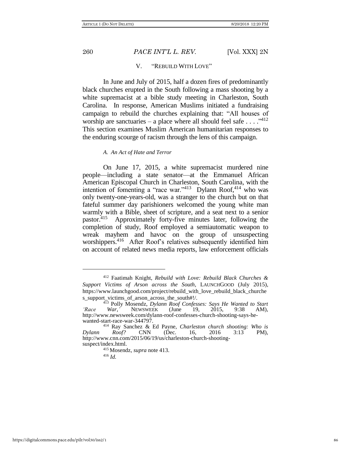## V. "REBUILD WITH LOVE"

In June and July of 2015, half a dozen fires of predominantly black churches erupted in the South following a mass shooting by a white supremacist at a bible study meeting in Charleston, South Carolina. In response, American Muslims initiated a fundraising campaign to rebuild the churches explaining that: "All houses of worship are sanctuaries – a place where all should feel safe  $\dots$  . . . . <sup>412</sup> This section examines Muslim American humanitarian responses to the enduring scourge of racism through the lens of this campaign.

## *A. An Act of Hate and Terror*

On June 17, 2015, a white supremacist murdered nine people—including a state senator—at the Emmanuel African American Episcopal Church in Charleston, South Carolina, with the intention of fomenting a "race war." <sup>413</sup> Dylann Roof,  $414$  who was only twenty-one-years-old, was a stranger to the church but on that fateful summer day parishioners welcomed the young white man warmly with a Bible, sheet of scripture, and a seat next to a senior pastor.<sup>415</sup> Approximately forty-five minutes later, following the completion of study, Roof employed a semiautomatic weapon to wreak mayhem and havoc on the group of unsuspecting worshippers.<sup>416</sup> After Roof's relatives subsequently identified him on account of related news media reports, law enforcement officials

<sup>412</sup> Faatimah Knight, *Rebuild with Love: Rebuild Black Churches & Support Victims of Arson across the South*, LAUNCHGOOD (July 2015), https://www.launchgood.com/project/rebuild\_with\_love\_rebuild\_black\_churche s support victims of arson across the south#!/.

<sup>413</sup> Polly Mosendz, *Dylann Roof Confesses: Says He Wanted to Start 'Race War*,*'* NEWSWEEK (June 19, 2015, 9:38 AM), http://www.newsweek.com/dylann-roof-confesses-church-shooting-says-hewanted-start-race-war-344797.

<sup>414</sup> Ray Sanchez & Ed Payne, *Charleston church shooting: Who is Dylann Roof?* CNN (Dec. 16, 2016 3:13 PM), http://www.cnn.com/2015/06/19/us/charleston-church-shootingsuspect/index.html.

<sup>415</sup> Mosendz, *supra* note 413.

<sup>416</sup> *Id.*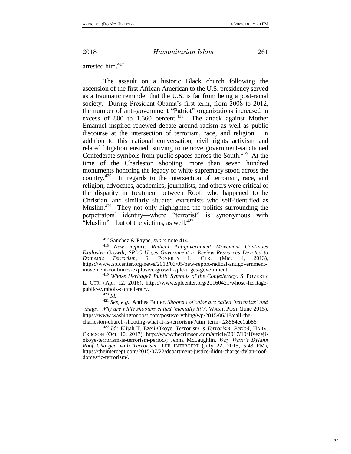## arrested him.<sup>417</sup>

The assault on a historic Black church following the ascension of the first African American to the U.S. presidency served as a traumatic reminder that the U.S. is far from being a post-racial society. During President Obama's first term, from 2008 to 2012, the number of anti-government "Patriot" organizations increased in excess of 800 to 1,360 percent.<sup>418</sup> The attack against Mother Emanuel inspired renewed debate around racism as well as public discourse at the intersection of terrorism, race, and religion. In addition to this national conversation, civil rights activism and related litigation ensued, striving to remove government-sanctioned Confederate symbols from public spaces across the South.<sup>419</sup> At the time of the Charleston shooting, more than seven hundred monuments honoring the legacy of white supremacy stood across the country.<sup>420</sup> In regards to the intersection of terrorism, race, and religion, advocates, academics, journalists, and others were critical of the disparity in treatment between Roof, who happened to be Christian, and similarly situated extremists who self-identified as Muslim.<sup>421</sup> They not only highlighted the politics surrounding the perpetrators' identity—where "terrorist" is synonymous with "Muslim"—but of the victims, as well. $422$ 

<sup>417</sup> Sanchez & Payne, *supra* note 414.

<sup>418</sup> *New Report: Radical Antigovernment Movement Continues Explosive Growth; SPLC Urges Government to Review Resources Devoted to Domestic Terrorism*, S. POVERTY L. CTR. (Mar. 4, 2013), https://www.splcenter.org/news/2013/03/05/new-report-radical-antigovernmentmovement-continues-explosive-growth-splc-urges-government.

<sup>419</sup> *Whose Heritage? Public Symbols of the Confederacy*, S. POVERTY L. CTR. (Apr. 12, 2016), https://www.splcenter.org/20160421/whose-heritagepublic-symbols-confederacy.

 $420$  *Id.* 

<sup>421</sup> *See, e.g.,* Anthea Butler, *Shooters of color are called 'terrorists' and 'thugs.' Why are white shooters called 'mentally ill'?,* WASH. POST (June 2015), https://www.washingtonpost.com/posteverything/wp/2015/06/18/call-thecharleston-church-shooting-what-it-is-terrorism/?utm\_term=.28584ee1ab86

<sup>422</sup> *Id.*; Elijah T. Ezeji-Okoye, *Terrorism is Terrorism, Period*, HARV. CRIMSON (Oct. 10, 2017), http://www.thecrimson.com/article/2017/10/10/ezejiokoye-terrorism-is-terrorism-period/; Jenna McLaughlin, *Why Wasn't Dylann Roof Charged with Terrorism*, THE INTERCEPT (July 22, 2015, 5:43 PM), https://theintercept.com/2015/07/22/department-justice-didnt-charge-dylan-roofdomestic-terrorism/.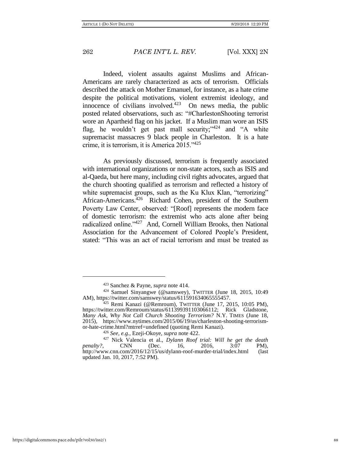$\overline{a}$ 

# 262 *PACE INT'L L. REV.* [Vol. XXX] 2N

Indeed, violent assaults against Muslims and African-Americans are rarely characterized as acts of terrorism. Officials described the attack on Mother Emanuel, for instance, as a hate crime despite the political motivations, violent extremist ideology, and innocence of civilians involved. $423$  On news media, the public posted related observations, such as: "#CharlestonShooting terrorist wore an Apartheid flag on his jacket. If a Muslim man wore an ISIS flag, he wouldn't get past mall security;"<sup>424</sup> and "A white supremacist massacres 9 black people in Charleston. It is a hate crime, it is terrorism, it is America 2015."<sup>425</sup>

As previously discussed, terrorism is frequently associated with international organizations or non-state actors, such as ISIS and al-Qaeda, but here many, including civil rights advocates, argued that the church shooting qualified as terrorism and reflected a history of white supremacist groups, such as the Ku Klux Klan, "terrorizing" African-Americans.<sup>426</sup> Richard Cohen, president of the Southern Poverty Law Center, observed: "[Roof] represents the modern face of domestic terrorism: the extremist who acts alone after being radicalized online."<sup>427</sup> And, Cornell William Brooks, then National Association for the Advancement of Colored People's President, stated: "This was an act of racial terrorism and must be treated as

<sup>423</sup> Sanchez & Payne, *supra* note 414.

<sup>424</sup> Samuel Sinyangwe (@samswey), TWITTER (June 18, 2015, 10:49 AM), https://twitter.com/samswey/status/611591634065555457.

 $425$  Remi Kanazi (@Remroum), TWITTER (June 17, 2015, 10:05 PM), https://twitter.com/Remroum/status/611399391103066112; Rick Gladstone, *Many Ask, Why Not Call Church Shooting Terrorism?* N.Y. TIMES (June 18, 2015), https://www.nytimes.com/2015/06/19/us/charleston-shooting-terrorismor-hate-crime.html?mtrref=undefined (quoting Remi Kanazi).

<sup>426</sup> *See, e.g.,* Ezeji-Okoye, *supra* note 422.

<sup>427</sup> Nick Valencia et al., *Dylann Roof trial: Will he get the death penalty?*, CNN (Dec. 16, 2016, 3:07 http://www.cnn.com/2016/12/15/us/dylann-roof-murder-trial/index.html (last updated Jan. 10, 2017, 7:52 PM).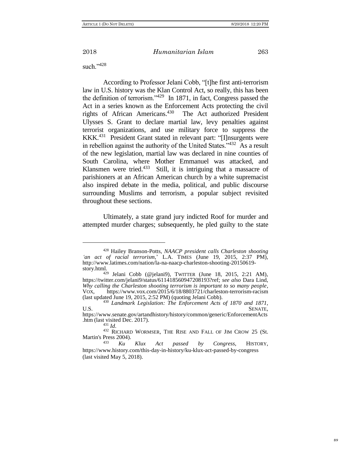such."428

According to Professor Jelani Cobb, "[t]he first anti-terrorism law in U.S. history was the Klan Control Act, so really, this has been the definition of terrorism."<sup>429</sup> In 1871, in fact, Congress passed the Act in a series known as the Enforcement Acts protecting the civil rights of African Americans.<sup>430</sup> The Act authorized President Ulysses S. Grant to declare martial law, levy penalties against terrorist organizations, and use military force to suppress the KKK.<sup>431</sup> President Grant stated in relevant part: "[I]nsurgents were in rebellion against the authority of the United States."<sup>432</sup> As a result of the new legislation, martial law was declared in nine counties of South Carolina, where Mother Emmanuel was attacked, and Klansmen were tried. $433$  Still, it is intriguing that a massacre of parishioners at an African American church by a white supremacist also inspired debate in the media, political, and public discourse surrounding Muslims and terrorism, a popular subject revisited throughout these sections.

Ultimately, a state grand jury indicted Roof for murder and attempted murder charges; subsequently, he pled guilty to the state

<sup>428</sup> Hailey Branson-Potts, *NAACP president calls Charleston shooting*  'an act of racial terrorism,' L.A. TIMES (June 19, 2015, 2:37 PM), http://www.latimes.com/nation/la-na-naacp-charleston-shooting-20150619 story.html.

 $429$  Jelani Cobb (@jelani9), TWITTER (June 18, 2015, 2:21 AM), https://twitter.com/jelani9/status/611418560947208193?ref; *see also* Dara Lind, *Why calling the Charleston shooting terrorism is important to so many people*, VOX, https://www.vox.com/2015/6/18/8803721/charleston-terrorism-racism (last updated June 19, 2015, 2:52 PM) (quoting Jelani Cobb).

<sup>430</sup> *Landmark Legislation: The Enforcement Acts of 1870 and 1871,* U.S. SENATE,

https://www.senate.gov/artandhistory/history/common/generic/EnforcementActs .htm (last visited Dec. 2017).

<sup>431</sup> *Id*.

<sup>432</sup> RICHARD WORMSER, THE RISE AND FALL OF JIM CROW 25 (St. Martin's Press 2004).

<sup>433</sup> *Ku Klux Act passed by Congress*, HISTORY, https://www.history.com/this-day-in-history/ku-klux-act-passed-by-congress (last visited May 5, 2018).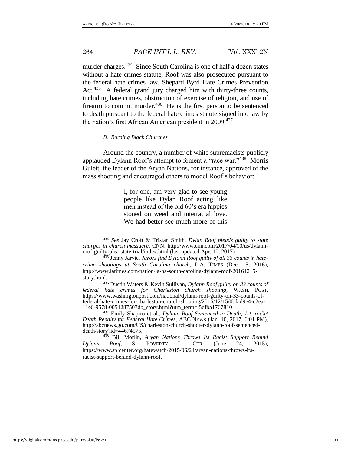murder charges.<sup>434</sup> Since South Carolina is one of half a dozen states without a hate crimes statute, Roof was also prosecuted pursuant to the federal hate crimes law, Shepard Byrd Hate Crimes Prevention Act.<sup>435</sup> A federal grand jury charged him with thirty-three counts, including hate crimes, obstruction of exercise of religion, and use of firearm to commit murder.<sup>436</sup> He is the first person to be sentenced to death pursuant to the federal hate crimes statute signed into law by the nation's first African American president in 2009.<sup>437</sup>

## *B. Burning Black Churches*

Around the country, a number of white supremacists publicly applauded Dylann Roof's attempt to foment a "race war."<sup>438</sup> Morris Gulett, the leader of the Aryan Nations, for instance, approved of the mass shooting and encouraged others to model Roof's behavior:

> I, for one, am very glad to see young people like Dylan Roof acting like men instead of the old 60's era hippies stoned on weed and interracial love. We had better see much more of this

<sup>434</sup> *See* Jay Croft & Tristan Smith, *Dylan Roof pleads guilty to state charges in church massacre*, CNN, http://www.cnn.com/2017/04/10/us/dylannroof-guilty-plea-state-trial/index.html (last updated Apr. 10, 2017).

<sup>435</sup> Jenny Jarvie, *Jurors find Dylann Roof guilty of all 33 counts in hatecrime shootings at South Carolina church*, L.A. TIMES (Dec. 15, 2016), http://www.latimes.com/nation/la-na-south-carolina-dylann-roof-20161215 story.html.

<sup>436</sup> Dustin Waters & Kevin Sullivan, *Dylann Roof guilty on 33 counts of federal hate crimes for Charleston church shooting*, WASH. POST, https://www.washingtonpost.com/national/dylann-roof-guilty-on-33-counts-offederal-hate-crimes-for-charleston-church-shooting/2016/12/15/0bfad9e4-c2ea-11e6-9578-0054287507db\_story.html?utm\_term=.5dfba1767810.

<sup>437</sup> Emily Shapiro et al., *Dylann Roof Sentenced to Death*, *1st to Get Death Penalty for Federal Hate Crimes*, ABC NEWS (Jan. 10, 2017, 6:01 PM), http://abcnews.go.com/US/charleston-church-shooter-dylann-roof-sentenceddeath/story?id=44674575.

<sup>438</sup> Bill Morlin, *Aryan Nations Throws Its Racist Support Behind Dylann Roof*, S. POVERTY L. CTR. (June 24, 2015), https://www.splcenter.org/hatewatch/2015/06/24/aryan-nations-throws-itsracist-support-behind-dylann-roof.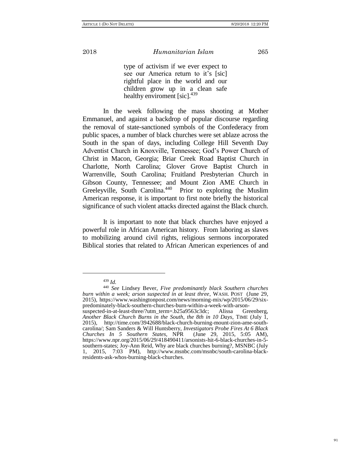type of activism if we ever expect to see our America return to it's [sic] rightful place in the world and our children grow up in a clean safe healthy enviroment [sic]. $439$ 

In the week following the mass shooting at Mother Emmanuel, and against a backdrop of popular discourse regarding the removal of state-sanctioned symbols of the Confederacy from public spaces, a number of black churches were set ablaze across the South in the span of days, including College Hill Seventh Day Adventist Church in Knoxville, Tennessee; God's Power Church of Christ in Macon, Georgia; Briar Creek Road Baptist Church in Charlotte, North Carolina; Glover Grove Baptist Church in Warrenville, South Carolina; Fruitland Presbyterian Church in Gibson County, Tennessee; and Mount Zion AME Church in Greeleyville, South Carolina.<sup>440</sup> Prior to exploring the Muslim American response, it is important to first note briefly the historical significance of such violent attacks directed against the Black church.

It is important to note that black churches have enjoyed a powerful role in African American history. From laboring as slaves to mobilizing around civil rights, religious sermons incorporated Biblical stories that related to African American experiences of and

<sup>439</sup> *Id.*

<sup>440</sup> *See* Lindsey Bever, *Five predominantly black Southern churches burn within a week; arson suspected in at least three*, WASH. POST (June 29, 2015), https://www.washingtonpost.com/news/morning-mix/wp/2015/06/29/sixpredominately-black-southern-churches-burn-within-a-week-with-arsonsuspected-in-at-least-three/?utm\_term=.b25a9563c3dc; Alissa Greenberg, *Another Black Church Burns in the South*, *the 8th in 10 Days*, TIME (July 1, 2015), http://time.com/3942688/black-church-burning-mount-zion-ame-southcarolina/; Sam Sanders & Will Huntsberry, *Investigators Probe Fires At 6 Black Churches In 5 Southern States, NPR* https://www.npr.org/2015/06/29/418490411/arsonists-hit-6-black-churches-in-5 southern-states; Joy-Ann Reid, Why are black churches burning?, MSNBC (July 1, 2015, 7:03 PM), http://www.msnbc.com/msnbc/south-carolina-blackresidents-ask-whos-burning-black-churches.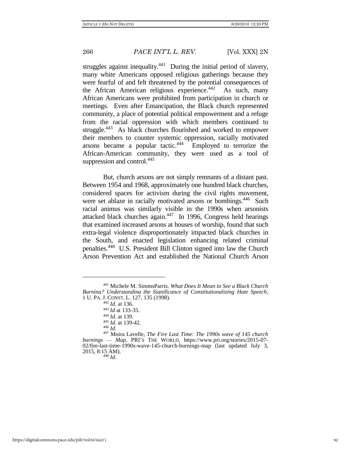struggles against inequality. $441$  During the initial period of slavery, many white Americans opposed religious gatherings because they were fearful of and felt threatened by the potential consequences of the African American religious experience.<sup>442</sup> As such, many African Americans were prohibited from participation in church or meetings. Even after Emancipation, the Black church represented community, a place of potential political empowerment and a refuge from the racial oppression with which members continued to struggle.<sup>443</sup> As black churches flourished and worked to empower their members to counter systemic oppression, racially motivated arsons became a popular tactic.<sup>444</sup> Employed to terrorize the African-American community, they were used as a tool of suppression and control.<sup>445</sup>

But, church arsons are not simply remnants of a distant past. Between 1954 and 1968, approximately one hundred black churches, considered spaces for activism during the civil rights movement, were set ablaze in racially motivated arsons or bombings.<sup>446</sup> Such racial animus was similarly visible in the 1990s when arsonists attacked black churches again. $447$  In 1996, Congress held hearings that examined increased arsons at houses of worship, found that such extra-legal violence disproportionately impacted black churches in the South, and enacted legislation enhancing related criminal penalties.<sup>448</sup> U.S. President Bill Clinton signed into law the Church Arson Prevention Act and established the National Church Arson

 $\overline{a}$ 

<sup>448</sup> *Id*.

<sup>441</sup> Michele M. SimmsParris, *What Does It Mean to See a Black Church Burning? Understanding the Significance of Constitutionalizing Hate Speech*, 1 U. PA. J. CONST. L. 127, 135 (1998).

<sup>442</sup> *Id.* at 136.

<sup>443</sup> *Id* at 133-35.

<sup>444</sup> *Id.* at 139.

<sup>445</sup> *Id.* at 139-42.

<sup>446</sup> *Id*.

<sup>447</sup> Moira Lavelle, *The Fire Last Time: The 1990s wave of 145 church burnings — Map*, PRI'S THE WORLD, https://www.pri.org/stories/2015-07- 02/fire-last-time-1990s-wave-145-church-burnings-map (last updated July 3, 2015, 8:15 AM).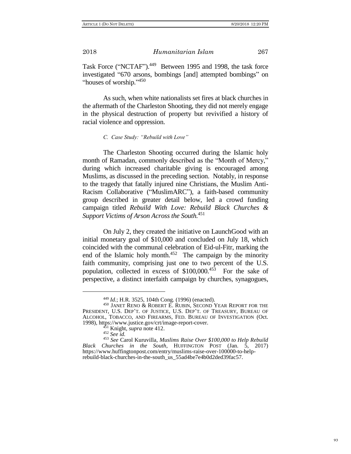Task Force ("NCTAF").<sup>449</sup> Between 1995 and 1998, the task force investigated "670 arsons, bombings [and] attempted bombings" on "houses of worship."450

As such, when white nationalists set fires at black churches in the aftermath of the Charleston Shooting, they did not merely engage in the physical destruction of property but revivified a history of racial violence and oppression.

*C. Case Study: "Rebuild with Love"*

The Charleston Shooting occurred during the Islamic holy month of Ramadan, commonly described as the "Month of Mercy," during which increased charitable giving is encouraged among Muslims, as discussed in the preceding section. Notably, in response to the tragedy that fatally injured nine Christians, the Muslim Anti-Racism Collaborative ("MuslimARC"), a faith-based community group described in greater detail below, led a crowd funding campaign titled *Rebuild With Love: Rebuild Black Churches & Support Victims of Arson Across the South.*<sup>451</sup>

On July 2, they created the initiative on LaunchGood with an initial monetary goal of \$10,000 and concluded on July 18, which coincided with the communal celebration of Eid-ul-Fitr, marking the end of the Islamic holy month. $452$  The campaign by the minority faith community, comprising just one to two percent of the U.S. population, collected in excess of \$100,000.<sup>453</sup> For the sake of perspective, a distinct interfaith campaign by churches, synagogues,

<sup>449</sup> *Id.*; H.R. 3525, 104th Cong. (1996) (enacted).

<sup>450</sup> JANET RENO & ROBERT E. RUBIN, SECOND YEAR REPORT FOR THE PRESIDENT, U.S. DEP'T. OF JUSTICE, U.S. DEP'T. OF TREASURY, BUREAU OF ALCOHOL, TOBACCO, AND FIREARMS, FED. BUREAU OF INVESTIGATION (Oct. 1998), https://www.justice.gov/crt/image-report-cover.

<sup>451</sup> Knight, *supra* note 412.

<sup>452</sup> *See id.*

<sup>453</sup> *See* Carol Kuruvilla, *Muslims Raise Over \$100,000 to Help Rebuild Black Churches in the South*, HUFFINGTON POST (Jan. 5, 2017) https://www.huffingtonpost.com/entry/muslims-raise-over-100000-to-helprebuild-black-churches-in-the-south\_us\_55ad4be7e4b0d2ded39fac57.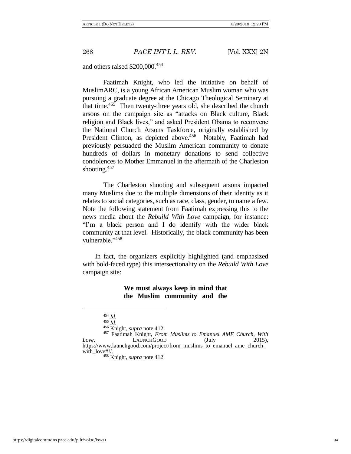and others raised \$200,000.<sup>454</sup>

Faatimah Knight, who led the initiative on behalf of MuslimARC, is a young African American Muslim woman who was pursuing a graduate degree at the Chicago Theological Seminary at that time.<sup>455</sup> Then twenty-three years old, she described the church arsons on the campaign site as "attacks on Black culture, Black religion and Black lives," and asked President Obama to reconvene the National Church Arsons Taskforce, originally established by President Clinton, as depicted above.<sup>456</sup> Notably, Faatimah had previously persuaded the Muslim American community to donate hundreds of dollars in monetary donations to send collective condolences to Mother Emmanuel in the aftermath of the Charleston shooting.<sup>457</sup>

The Charleston shooting and subsequent arsons impacted many Muslims due to the multiple dimensions of their identity as it relates to social categories, such as race, class, gender, to name a few. Note the following statement from Faatimah expressing this to the news media about the *Rebuild With Love* campaign, for instance: "I'm a black person and I do identify with the wider black community at that level. Historically, the black community has been vulnerable."<sup>458</sup>

In fact, the organizers explicitly highlighted (and emphasized with bold-faced type) this intersectionality on the *Rebuild With Love*  campaign site:

# **We must always keep in mind that the Muslim community and the**

<sup>454</sup> *Id.* 

<sup>455</sup> *Id*.

<sup>456</sup> Knight, *supra* note 412.

<sup>457</sup> Faatimah Knight, *From Muslims to Emanuel AME Church, With Love*, **LAUNCHGOOD** (July 2015), https://www.launchgood.com/project/from\_muslims\_to\_emanuel\_ame\_church\_ with\_love#!/.

<sup>458</sup> Knight, *supra* note 412.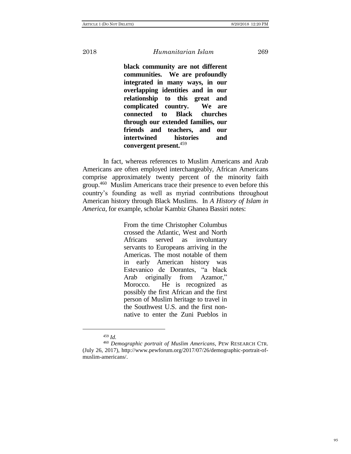**black community are not different communities. We are profoundly integrated in many ways, in our overlapping identities and in our relationship to this great and complicated country. We are connected to Black churches through our extended families, our friends and teachers, and our intertwined histories and convergent present.**<sup>459</sup>

In fact, whereas references to Muslim Americans and Arab Americans are often employed interchangeably, African Americans comprise approximately twenty percent of the minority faith group.<sup>460</sup> Muslim Americans trace their presence to even before this country's founding as well as myriad contributions throughout American history through Black Muslims. In *A History of Islam in America*, for example, scholar Kambiz Ghanea Bassiri notes:

> From the time Christopher Columbus crossed the Atlantic, West and North Africans served as involuntary servants to Europeans arriving in the Americas. The most notable of them in early American history was Estevanico de Dorantes, "a black Arab originally from Azamor," Morocco. He is recognized as possibly the first African and the first person of Muslim heritage to travel in the Southwest U.S. and the first nonnative to enter the Zuni Pueblos in

<sup>459</sup> *Id.*

<sup>460</sup> *Demographic portrait of Muslim Americans*, PEW RESEARCH CTR. (July 26, 2017), http://www.pewforum.org/2017/07/26/demographic-portrait-ofmuslim-americans/.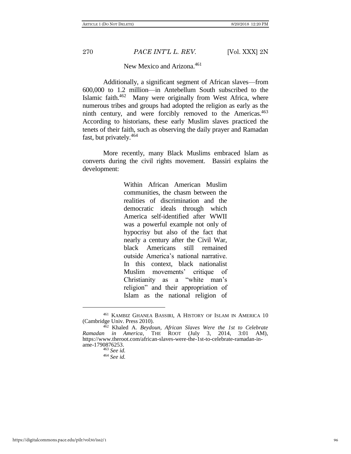# New Mexico and Arizona.<sup>461</sup>

Additionally, a significant segment of African slaves—from 600,000 to 1.2 million—in Antebellum South subscribed to the Islamic faith.<sup>462</sup> Many were originally from West Africa, where numerous tribes and groups had adopted the religion as early as the ninth century, and were forcibly removed to the Americas.<sup>463</sup> According to historians, these early Muslim slaves practiced the tenets of their faith, such as observing the daily prayer and Ramadan fast, but privately.<sup>464</sup>

More recently, many Black Muslims embraced Islam as converts during the civil rights movement. Bassiri explains the development:

> Within African American Muslim communities, the chasm between the realities of discrimination and the democratic ideals through which America self-identified after WWII was a powerful example not only of hypocrisy but also of the fact that nearly a century after the Civil War, black Americans still remained outside America's national narrative. In this context, black nationalist Muslim movements' critique of Christianity as a "white man's religion" and their appropriation of Islam as the national religion of

<sup>461</sup> KAMBIZ GHANEA BASSIRI, A HISTORY OF ISLAM IN AMERICA 10 (Cambridge Univ. Press 2010).

<sup>462</sup> Khaled A. *Beydoun, African Slaves Were the 1st to Celebrate Ramadan in America*, THE ROOT (July 3, 2014, 3:01 AM), https://www.theroot.com/african-slaves-were-the-1st-to-celebrate-ramadan-iname-1790876253.

<sup>463</sup> *See id.*

<sup>464</sup> *See id.*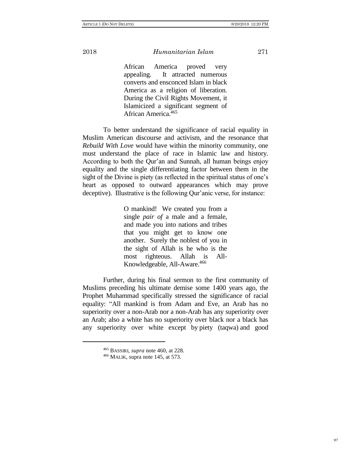African America proved very appealing. It attracted numerous converts and ensconced Islam in black America as a religion of liberation. During the Civil Rights Movement, it Islamicized a significant segment of African America.<sup>465</sup>

To better understand the significance of racial equality in Muslim American discourse and activism, and the resonance that *Rebuild With Love* would have within the minority community, one must understand the place of race in Islamic law and history. According to both the Qur'an and Sunnah, all human beings enjoy equality and the single differentiating factor between them in the sight of the Divine is piety (as reflected in the spiritual status of one's heart as opposed to outward appearances which may prove deceptive). Illustrative is the following Qur'anic verse, for instance:

> O mankind! We created you from a single *pair of* a male and a female, and made you into nations and tribes that you might get to know one another. Surely the noblest of you in the sight of Allah is he who is the most righteous. Allah is All-Knowledgeable, All-Aware.<sup>466</sup>

Further, during his final sermon to the first community of Muslims preceding his ultimate demise some 1400 years ago, the Prophet Muhammad specifically stressed the significance of racial equality: "All mankind is from Adam and Eve, an Arab has no superiority over a non-Arab nor a non-Arab has any superiority over an Arab; also a white has no superiority over black nor a black has any superiority over white except by piety (taqwa) and good

<sup>465</sup> BASSIRI, *supra* note 460, at 228.

<sup>466</sup> MALIK, supra note 145, at 573.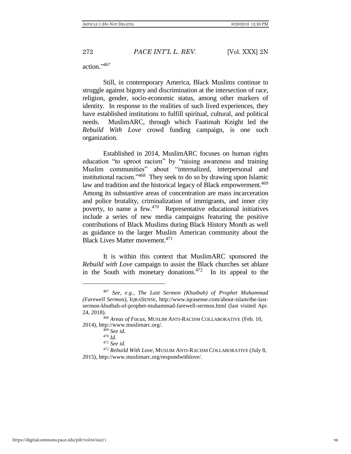action." 467

Still, in contemporary America, Black Muslims continue to struggle against bigotry and discrimination at the intersection of race, religion, gender, socio-economic status, among other markers of identity. In response to the realities of such lived experiences, they have established institutions to fulfill spiritual, cultural, and political needs. MuslimARC, through which Faatimah Knight led the *Rebuild With Love* crowd funding campaign, is one such organization.

Established in 2014, MuslimARC focuses on human rights education "to uproot racism" by "raising awareness and training Muslim communities" about "internalized, interpersonal and institutional racism."<sup>468</sup> They seek to do so by drawing upon Islamic law and tradition and the historical legacy of Black empowerment.<sup>469</sup> Among its substantive areas of concentration are mass incarceration and police brutality, criminalization of immigrants, and inner city poverty, to name a few.<sup>470</sup> Representative educational initiatives include a series of new media campaigns featuring the positive contributions of Black Muslims during Black History Month as well as guidance to the larger Muslim American community about the Black Lives Matter movement.<sup>471</sup>

It is within this context that MuslimARC sponsored the *Rebuild with Love* campaign to assist the Black churches set ablaze in the South with monetary donations. $472$  In its appeal to the

<sup>467</sup> *See, e.g., The Last Sermon (Khutbah) of Prophet Muhammad (Farewell Sermon)*, IQRASENSE, http://www.iqrasense.com/about-islam/the-lastsermon-khutbah-of-prophet-muhammad-farewell-sermon.html (last visited Apr. 24, 2018).

<sup>468</sup> *Areas of Focus*, MUSLIM ANTI-RACISM COLLABORATIVE (Feb. 10, 2014), http://www.muslimarc.org/.

<sup>469</sup> *See id.*

<sup>470</sup> *Id.*

<sup>471</sup> *See id.*

<sup>472</sup> *Rebuild With Love*, MUSLIM ANTI-RACISM COLLABORATIVE (July 8, 2015), http://www.muslimarc.org/respondwithlove/.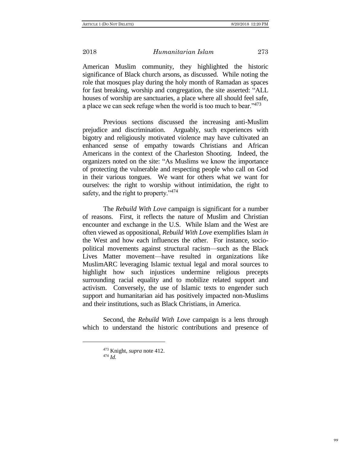American Muslim community, they highlighted the historic significance of Black church arsons, as discussed. While noting the role that mosques play during the holy month of Ramadan as spaces for fast breaking, worship and congregation, the site asserted: "ALL houses of worship are sanctuaries, a place where all should feel safe, a place we can seek refuge when the world is too much to bear."<sup>473</sup>

Previous sections discussed the increasing anti-Muslim prejudice and discrimination. Arguably, such experiences with bigotry and religiously motivated violence may have cultivated an enhanced sense of empathy towards Christians and African Americans in the context of the Charleston Shooting. Indeed, the organizers noted on the site: "As Muslims we know the importance of protecting the vulnerable and respecting people who call on God in their various tongues. We want for others what we want for ourselves: the right to worship without intimidation, the right to safety, and the right to property."<sup>474</sup>

The *Rebuild With Love* campaign is significant for a number of reasons. First, it reflects the nature of Muslim and Christian encounter and exchange in the U.S. While Islam and the West are often viewed as oppositional, *Rebuild With Love* exemplifies Islam *in* the West and how each influences the other. For instance, sociopolitical movements against structural racism—such as the Black Lives Matter movement—have resulted in organizations like MuslimARC leveraging Islamic textual legal and moral sources to highlight how such injustices undermine religious precepts surrounding racial equality and to mobilize related support and activism. Conversely, the use of Islamic texts to engender such support and humanitarian aid has positively impacted non-Muslims and their institutions, such as Black Christians, in America.

Second, the *Rebuild With Love* campaign is a lens through which to understand the historic contributions and presence of

<sup>473</sup> Knight, *supra* note 412.

<sup>474</sup> *Id.*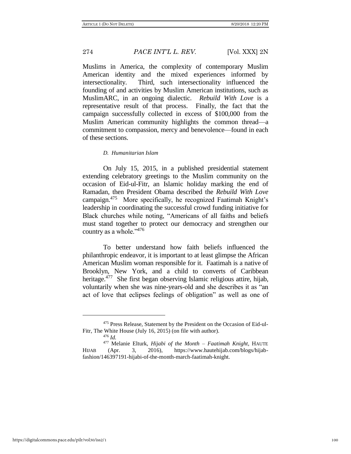Muslims in America, the complexity of contemporary Muslim American identity and the mixed experiences informed by intersectionality. Third, such intersectionality influenced the founding of and activities by Muslim American institutions, such as MuslimARC, in an ongoing dialectic. *Rebuild With Love* is a representative result of that process. Finally, the fact that the campaign successfully collected in excess of \$100,000 from the Muslim American community highlights the common thread—a commitment to compassion, mercy and benevolence—found in each of these sections.

## *D. Humanitarian Islam*

On July 15, 2015, in a published presidential statement extending celebratory greetings to the Muslim community on the occasion of Eid-ul-Fitr, an Islamic holiday marking the end of Ramadan, then President Obama described the *Rebuild With Love* campaign.<sup>475</sup> More specifically, he recognized Faatimah Knight's leadership in coordinating the successful crowd funding initiative for Black churches while noting, "Americans of all faiths and beliefs must stand together to protect our democracy and strengthen our country as a whole."<sup>476</sup>

To better understand how faith beliefs influenced the philanthropic endeavor, it is important to at least glimpse the African American Muslim woman responsible for it. Faatimah is a native of Brooklyn, New York, and a child to converts of Caribbean heritage.<sup>477</sup> She first began observing Islamic religious attire, hijab, voluntarily when she was nine-years-old and she describes it as "an act of love that eclipses feelings of obligation" as well as one of

<sup>475</sup> Press Release, Statement by the President on the Occasion of Eid-ul-Fitr, The White House (July 16, 2015) (on file with author).

<sup>476</sup> *Id.*

<sup>477</sup> Melanie Elturk, *Hijabi of the Month – Faatimah Knight*, HAUTE HIJAB (Apr. 3, 2016), https://www.hautehijab.com/blogs/hijabfashion/146397191-hijabi-of-the-month-march-faatimah-knight.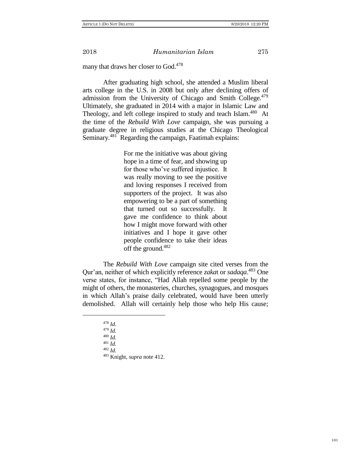many that draws her closer to God.<sup>478</sup>

After graduating high school, she attended a Muslim liberal arts college in the U.S. in 2008 but only after declining offers of admission from the University of Chicago and Smith College.<sup>479</sup> Ultimately, she graduated in 2014 with a major in Islamic Law and Theology, and left college inspired to study and teach Islam.<sup>480</sup> At the time of the *Rebuild With Love* campaign, she was pursuing a graduate degree in religious studies at the Chicago Theological Seminary.<sup>481</sup> Regarding the campaign, Faatimah explains:

> For me the initiative was about giving hope in a time of fear, and showing up for those who've suffered injustice. It was really moving to see the positive and loving responses I received from supporters of the project. It was also empowering to be a part of something that turned out so successfully. It gave me confidence to think about how I might move forward with other initiatives and I hope it gave other people confidence to take their ideas off the ground.<sup>482</sup>

The *Rebuild With Love* campaign site cited verses from the Qur'an, neither of which explicitly reference *zaka*t or *sadaqa*. <sup>483</sup> One verse states, for instance, "Had Allah repelled some people by the might of others, the monasteries, churches, synagogues, and mosques in which Allah's praise daily celebrated, would have been utterly demolished. Allah will certainly help those who help His cause;

<sup>478</sup> *Id.*

<sup>479</sup> *Id.*

<sup>480</sup> *Id.*

<sup>481</sup> *Id.* 

<sup>482</sup> *Id.* 

<sup>483</sup> Knight, *supra* note 412.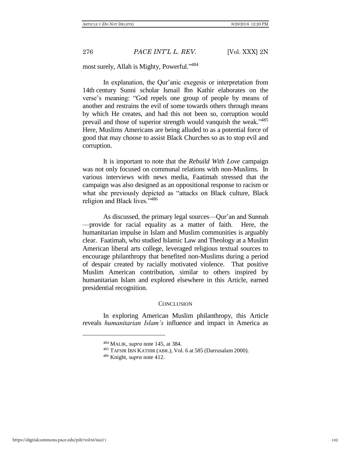most surely, Allah is Mighty, Powerful." 484

In explanation, the Qur'anic exegesis or interpretation from 14th century Sunni scholar Ismail Ibn Kathir elaborates on the verse's meaning: "God repels one group of people by means of another and restrains the evil of some towards others through means by which He creates, and had this not been so, corruption would prevail and those of superior strength would vanquish the weak."485 Here, Muslims Americans are being alluded to as a potential force of good that may choose to assist Black Churches so as to stop evil and corruption.

It is important to note that the *Rebuild With Love* campaign was not only focused on communal relations with non-Muslims. In various interviews with news media, Faatimah stressed that the campaign was also designed as an oppositional response to racism or what she previously depicted as "attacks on Black culture, Black religion and Black lives."<sup>486</sup>

As discussed, the primary legal sources—Qur'an and Sunnah —provide for racial equality as a matter of faith. Here, the humanitarian impulse in Islam and Muslim communities is arguably clear. Faatimah, who studied Islamic Law and Theology at a Muslim American liberal arts college, leveraged religious textual sources to encourage philanthropy that benefited non-Muslims during a period of despair created by racially motivated violence. That positive Muslim American contribution, similar to others inspired by humanitarian Islam and explored elsewhere in this Article, earned presidential recognition.

## **CONCLUSION**

In exploring American Muslim philanthropy, this Article reveals *humanitarian Islam's* influence and impact in America as

<sup>484</sup> MALIK, *supra* note 145, at 384.

<sup>485</sup> TAFSIR IBN KATHIR (ABR.), Vol. 6 at 585 (Darrusalam 2000).

<sup>486</sup> Knight, *supra* note 412.